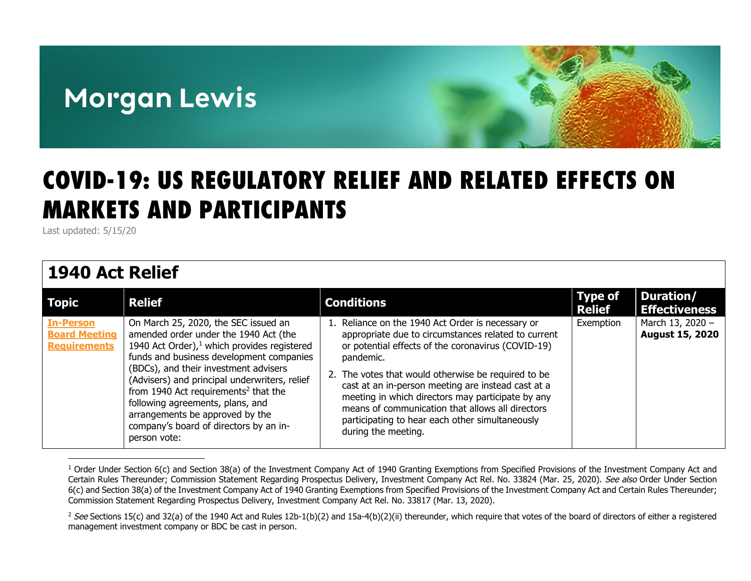# **Morgan Lewis**



# COVID-19: US REGULATORY RELIEF AND RELATED EFFECTS ON MARKETS AND PARTICIPANTS

Last updated: 5/15/20

### **1940 Act Relief**

| <b>Topic</b>                                                    | <b>Relief</b>                                                                                                                                                                                                                                                                                                                                                                                                                                              | <b>Conditions</b>                                                                                                                                                                                                                                                                                                                                                                                                                                                           | <b>Type of</b><br><b>Relief</b> | Duration/<br><b>Effectiveness</b>          |
|-----------------------------------------------------------------|------------------------------------------------------------------------------------------------------------------------------------------------------------------------------------------------------------------------------------------------------------------------------------------------------------------------------------------------------------------------------------------------------------------------------------------------------------|-----------------------------------------------------------------------------------------------------------------------------------------------------------------------------------------------------------------------------------------------------------------------------------------------------------------------------------------------------------------------------------------------------------------------------------------------------------------------------|---------------------------------|--------------------------------------------|
| <b>In-Person</b><br><b>Board Meeting</b><br><b>Requirements</b> | On March 25, 2020, the SEC issued an<br>amended order under the 1940 Act (the<br>1940 Act Order), $1$ which provides registered<br>funds and business development companies<br>(BDCs), and their investment advisers<br>(Advisers) and principal underwriters, relief<br>from 1940 Act requirements <sup>2</sup> that the<br>following agreements, plans, and<br>arrangements be approved by the<br>company's board of directors by an in-<br>person vote: | 1. Reliance on the 1940 Act Order is necessary or<br>appropriate due to circumstances related to current<br>or potential effects of the coronavirus (COVID-19)<br>pandemic.<br>2. The votes that would otherwise be required to be<br>cast at an in-person meeting are instead cast at a<br>meeting in which directors may participate by any<br>means of communication that allows all directors<br>participating to hear each other simultaneously<br>during the meeting. | Exemption                       | March 13, 2020 -<br><b>August 15, 2020</b> |

<span id="page-0-0"></span><sup>&</sup>lt;sup>1</sup> Order Under Section 6(c) and Section 38(a) of the Investment Company Act of 1940 Granting Exemptions from Specified Provisions of the Investment Company Act and Certain Rules Thereunder; Commission Statement Regarding Prospectus Delivery, Investment Company Act Rel. No. 33824 (Mar. 25, 2020). See also Order Under Section 6(c) and Section 38(a) of the Investment Company Act of 1940 Granting Exemptions from Specified Provisions of the Investment Company Act and Certain Rules Thereunder; Commission Statement Regarding Prospectus Delivery, Investment Company Act Rel. No. 33817 (Mar. 13, 2020).

<span id="page-0-1"></span><sup>&</sup>lt;sup>2</sup> See Sections 15(c) and 32(a) of the 1940 Act and Rules 12b-1(b)(2) and 15a-4(b)(2)(ii) thereunder, which require that votes of the board of directors of either a registered management investment company or BDC be cast in person.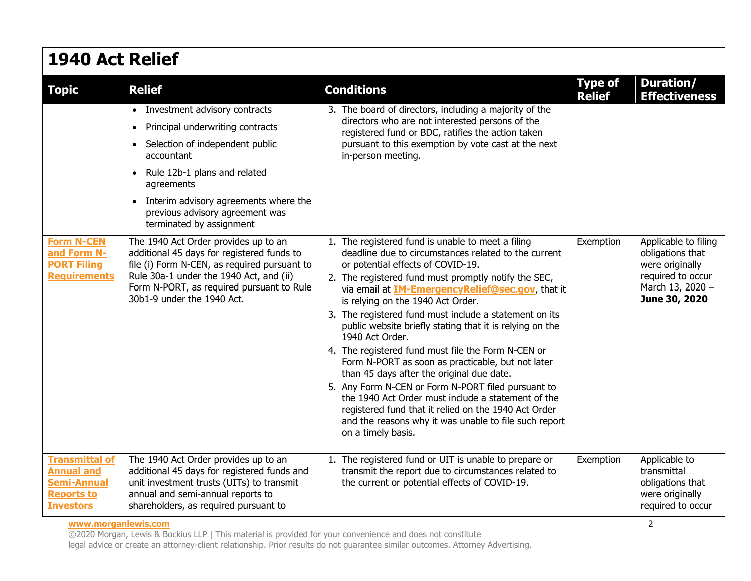|  | 1940 Act Relief |  |
|--|-----------------|--|
|  |                 |  |

| <b>Topic</b>                                                                                              | <b>Relief</b>                                                                                                                                                                                                                                            | <b>Conditions</b>                                                                                                                                                                                                                                                                                                                                                                                                                                                                                                                                                                                                                                                                                                                                                                                                                                           | <b>Type of</b><br><b>Relief</b> | Duration/<br><b>Effectiveness</b>                                                                                     |
|-----------------------------------------------------------------------------------------------------------|----------------------------------------------------------------------------------------------------------------------------------------------------------------------------------------------------------------------------------------------------------|-------------------------------------------------------------------------------------------------------------------------------------------------------------------------------------------------------------------------------------------------------------------------------------------------------------------------------------------------------------------------------------------------------------------------------------------------------------------------------------------------------------------------------------------------------------------------------------------------------------------------------------------------------------------------------------------------------------------------------------------------------------------------------------------------------------------------------------------------------------|---------------------------------|-----------------------------------------------------------------------------------------------------------------------|
|                                                                                                           | • Investment advisory contracts                                                                                                                                                                                                                          | 3. The board of directors, including a majority of the                                                                                                                                                                                                                                                                                                                                                                                                                                                                                                                                                                                                                                                                                                                                                                                                      |                                 |                                                                                                                       |
|                                                                                                           | Principal underwriting contracts<br>$\bullet$                                                                                                                                                                                                            | directors who are not interested persons of the<br>registered fund or BDC, ratifies the action taken                                                                                                                                                                                                                                                                                                                                                                                                                                                                                                                                                                                                                                                                                                                                                        |                                 |                                                                                                                       |
|                                                                                                           | • Selection of independent public<br>accountant                                                                                                                                                                                                          | pursuant to this exemption by vote cast at the next<br>in-person meeting.                                                                                                                                                                                                                                                                                                                                                                                                                                                                                                                                                                                                                                                                                                                                                                                   |                                 |                                                                                                                       |
|                                                                                                           | • Rule 12b-1 plans and related<br>agreements                                                                                                                                                                                                             |                                                                                                                                                                                                                                                                                                                                                                                                                                                                                                                                                                                                                                                                                                                                                                                                                                                             |                                 |                                                                                                                       |
|                                                                                                           | • Interim advisory agreements where the<br>previous advisory agreement was<br>terminated by assignment                                                                                                                                                   |                                                                                                                                                                                                                                                                                                                                                                                                                                                                                                                                                                                                                                                                                                                                                                                                                                                             |                                 |                                                                                                                       |
| <b>Form N-CEN</b><br>and Form N-<br><b>PORT Filing</b><br><b>Requirements</b>                             | The 1940 Act Order provides up to an<br>additional 45 days for registered funds to<br>file (i) Form N-CEN, as required pursuant to<br>Rule 30a-1 under the 1940 Act, and (ii)<br>Form N-PORT, as required pursuant to Rule<br>30b1-9 under the 1940 Act. | 1. The registered fund is unable to meet a filing<br>deadline due to circumstances related to the current<br>or potential effects of COVID-19.<br>2. The registered fund must promptly notify the SEC,<br>via email at <b>IM-EmergencyRelief@sec.gov</b> , that it<br>is relying on the 1940 Act Order.<br>3. The registered fund must include a statement on its<br>public website briefly stating that it is relying on the<br>1940 Act Order.<br>4. The registered fund must file the Form N-CEN or<br>Form N-PORT as soon as practicable, but not later<br>than 45 days after the original due date.<br>5. Any Form N-CEN or Form N-PORT filed pursuant to<br>the 1940 Act Order must include a statement of the<br>registered fund that it relied on the 1940 Act Order<br>and the reasons why it was unable to file such report<br>on a timely basis. | Exemption                       | Applicable to filing<br>obligations that<br>were originally<br>required to occur<br>March 13, 2020 -<br>June 30, 2020 |
| <b>Transmittal of</b><br><b>Annual and</b><br><b>Semi-Annual</b><br><b>Reports to</b><br><b>Investors</b> | The 1940 Act Order provides up to an<br>additional 45 days for registered funds and<br>unit investment trusts (UITs) to transmit<br>annual and semi-annual reports to<br>shareholders, as required pursuant to                                           | 1. The registered fund or UIT is unable to prepare or<br>transmit the report due to circumstances related to<br>the current or potential effects of COVID-19.                                                                                                                                                                                                                                                                                                                                                                                                                                                                                                                                                                                                                                                                                               | Exemption                       | Applicable to<br>transmittal<br>obligations that<br>were originally<br>required to occur                              |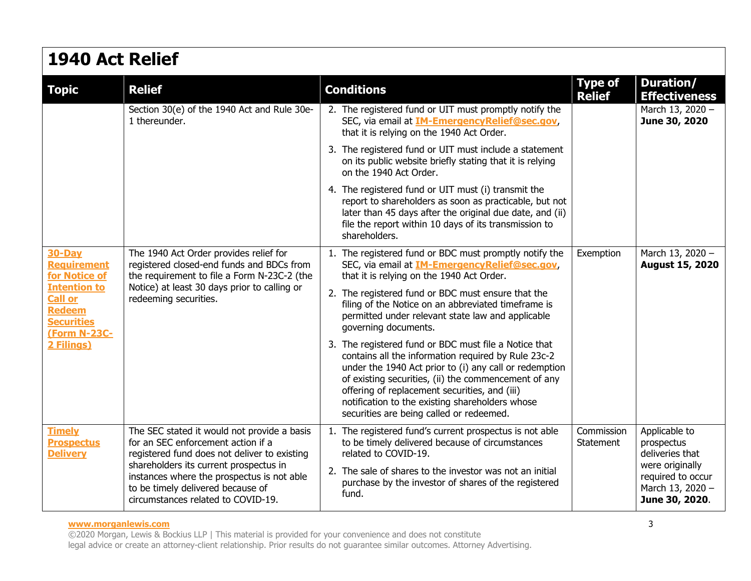### **1940 Act Relief**

| <b>Topic</b>                                                                                       | <b>Relief</b>                                                                                                                                                   | <b>Conditions</b>                                                                                                                                                                                                                                                                                                                                                              | <b>Type of</b><br><b>Relief</b> | Duration/<br><b>Effectiveness</b>                                          |
|----------------------------------------------------------------------------------------------------|-----------------------------------------------------------------------------------------------------------------------------------------------------------------|--------------------------------------------------------------------------------------------------------------------------------------------------------------------------------------------------------------------------------------------------------------------------------------------------------------------------------------------------------------------------------|---------------------------------|----------------------------------------------------------------------------|
|                                                                                                    | Section 30(e) of the 1940 Act and Rule 30e-<br>1 thereunder.                                                                                                    | 2. The registered fund or UIT must promptly notify the<br>SEC, via email at <b>IM-Emergency Relief@sec.gov</b> ,<br>that it is relying on the 1940 Act Order.                                                                                                                                                                                                                  |                                 | March 13, 2020 -<br>June 30, 2020                                          |
|                                                                                                    |                                                                                                                                                                 | 3. The registered fund or UIT must include a statement<br>on its public website briefly stating that it is relying<br>on the 1940 Act Order.                                                                                                                                                                                                                                   |                                 |                                                                            |
|                                                                                                    |                                                                                                                                                                 | 4. The registered fund or UIT must (i) transmit the<br>report to shareholders as soon as practicable, but not<br>later than 45 days after the original due date, and (ii)<br>file the report within 10 days of its transmission to<br>shareholders.                                                                                                                            |                                 |                                                                            |
| <b>30-Day</b><br><b>Requirement</b><br>for Notice of                                               | The 1940 Act Order provides relief for<br>registered closed-end funds and BDCs from<br>the requirement to file a Form N-23C-2 (the                              | 1. The registered fund or BDC must promptly notify the<br>SEC, via email at <b>IM-Emergency Relief@sec.gov</b> ,<br>that it is relying on the 1940 Act Order.                                                                                                                                                                                                                  | Exemption                       | March 13, 2020 -<br><b>August 15, 2020</b>                                 |
| <b>Intention to</b><br><b>Call or</b><br><b>Redeem</b><br><b>Securities</b><br><b>(Form N-23C-</b> | Notice) at least 30 days prior to calling or<br>redeeming securities.                                                                                           | 2. The registered fund or BDC must ensure that the<br>filing of the Notice on an abbreviated timeframe is<br>permitted under relevant state law and applicable<br>governing documents.                                                                                                                                                                                         |                                 |                                                                            |
| 2 Filings)                                                                                         |                                                                                                                                                                 | 3. The registered fund or BDC must file a Notice that<br>contains all the information required by Rule 23c-2<br>under the 1940 Act prior to (i) any call or redemption<br>of existing securities, (ii) the commencement of any<br>offering of replacement securities, and (iii)<br>notification to the existing shareholders whose<br>securities are being called or redeemed. |                                 |                                                                            |
| <b>Timely</b><br><b>Prospectus</b><br><b>Delivery</b>                                              | The SEC stated it would not provide a basis<br>for an SEC enforcement action if a<br>registered fund does not deliver to existing                               | 1. The registered fund's current prospectus is not able<br>to be timely delivered because of circumstances<br>related to COVID-19.                                                                                                                                                                                                                                             | Commission<br>Statement         | Applicable to<br>prospectus<br>deliveries that                             |
|                                                                                                    | shareholders its current prospectus in<br>instances where the prospectus is not able<br>to be timely delivered because of<br>circumstances related to COVID-19. | 2. The sale of shares to the investor was not an initial<br>purchase by the investor of shares of the registered<br>fund.                                                                                                                                                                                                                                                      |                                 | were originally<br>required to occur<br>March 13, 2020 -<br>June 30, 2020. |

#### **www.morganlewis.com** 3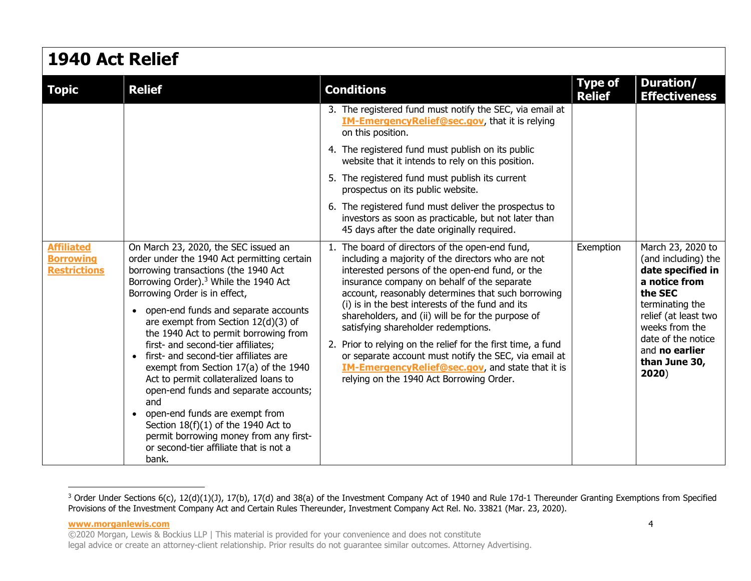| <b>1940 Act Relief</b>                                       |                                                                                                                                                                                                                                                                                                                                                                                                                                                                                                                                                                                                                                                                                                                                          |                                                                                                                                                                                                                                                                                                                                                                                                                                                                                                                                                                                                                                              |                                 |                                                                                                                                                                                                                          |
|--------------------------------------------------------------|------------------------------------------------------------------------------------------------------------------------------------------------------------------------------------------------------------------------------------------------------------------------------------------------------------------------------------------------------------------------------------------------------------------------------------------------------------------------------------------------------------------------------------------------------------------------------------------------------------------------------------------------------------------------------------------------------------------------------------------|----------------------------------------------------------------------------------------------------------------------------------------------------------------------------------------------------------------------------------------------------------------------------------------------------------------------------------------------------------------------------------------------------------------------------------------------------------------------------------------------------------------------------------------------------------------------------------------------------------------------------------------------|---------------------------------|--------------------------------------------------------------------------------------------------------------------------------------------------------------------------------------------------------------------------|
| <b>Topic</b>                                                 | <b>Relief</b>                                                                                                                                                                                                                                                                                                                                                                                                                                                                                                                                                                                                                                                                                                                            | <b>Conditions</b>                                                                                                                                                                                                                                                                                                                                                                                                                                                                                                                                                                                                                            | <b>Type of</b><br><b>Relief</b> | <b>Duration/</b><br><b>Effectiveness</b>                                                                                                                                                                                 |
|                                                              |                                                                                                                                                                                                                                                                                                                                                                                                                                                                                                                                                                                                                                                                                                                                          | 3. The registered fund must notify the SEC, via email at<br><b>IM-EmergencyRelief@sec.gov</b> , that it is relying<br>on this position.                                                                                                                                                                                                                                                                                                                                                                                                                                                                                                      |                                 |                                                                                                                                                                                                                          |
|                                                              |                                                                                                                                                                                                                                                                                                                                                                                                                                                                                                                                                                                                                                                                                                                                          | 4. The registered fund must publish on its public<br>website that it intends to rely on this position.                                                                                                                                                                                                                                                                                                                                                                                                                                                                                                                                       |                                 |                                                                                                                                                                                                                          |
|                                                              |                                                                                                                                                                                                                                                                                                                                                                                                                                                                                                                                                                                                                                                                                                                                          | 5. The registered fund must publish its current<br>prospectus on its public website.                                                                                                                                                                                                                                                                                                                                                                                                                                                                                                                                                         |                                 |                                                                                                                                                                                                                          |
|                                                              |                                                                                                                                                                                                                                                                                                                                                                                                                                                                                                                                                                                                                                                                                                                                          | 6. The registered fund must deliver the prospectus to<br>investors as soon as practicable, but not later than<br>45 days after the date originally required.                                                                                                                                                                                                                                                                                                                                                                                                                                                                                 |                                 |                                                                                                                                                                                                                          |
| <b>Affiliated</b><br><b>Borrowing</b><br><b>Restrictions</b> | On March 23, 2020, the SEC issued an<br>order under the 1940 Act permitting certain<br>borrowing transactions (the 1940 Act<br>Borrowing Order). <sup>3</sup> While the 1940 Act<br>Borrowing Order is in effect,<br>• open-end funds and separate accounts<br>are exempt from Section 12(d)(3) of<br>the 1940 Act to permit borrowing from<br>first- and second-tier affiliates;<br>• first- and second-tier affiliates are<br>exempt from Section 17(a) of the 1940<br>Act to permit collateralized loans to<br>open-end funds and separate accounts;<br>and<br>• open-end funds are exempt from<br>Section $18(f)(1)$ of the 1940 Act to<br>permit borrowing money from any first-<br>or second-tier affiliate that is not a<br>bank. | 1. The board of directors of the open-end fund,<br>including a majority of the directors who are not<br>interested persons of the open-end fund, or the<br>insurance company on behalf of the separate<br>account, reasonably determines that such borrowing<br>(i) is in the best interests of the fund and its<br>shareholders, and (ii) will be for the purpose of<br>satisfying shareholder redemptions.<br>2. Prior to relying on the relief for the first time, a fund<br>or separate account must notify the SEC, via email at<br><b>IM-EmergencyRelief@sec.gov, and state that it is</b><br>relying on the 1940 Act Borrowing Order. | Exemption                       | March 23, 2020 to<br>(and including) the<br>date specified in<br>a notice from<br>the SEC<br>terminating the<br>relief (at least two<br>weeks from the<br>date of the notice<br>and no earlier<br>than June 30,<br>2020) |

<span id="page-3-0"></span> $3$  Order Under Sections 6(c), 12(d)(1)(J), 17(b), 17(d) and 38(a) of the Investment Company Act of 1940 and Rule 17d-1 Thereunder Granting Exemptions from Specified Provisions of the Investment Company Act and Certain Rules Thereunder, Investment Company Act Rel. No. 33821 (Mar. 23, 2020).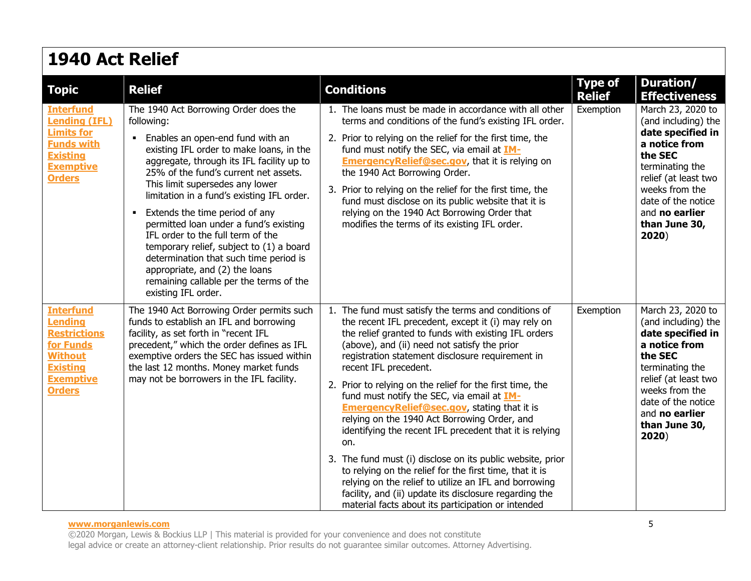### **1940 Act Relief**

| <b>Topic</b>                                                                                                                                     | <b>Relief</b>                                                                                                                                                                                                                                                                                                                                                                                                                                                                                                                                                                                                                           | <b>Conditions</b>                                                                                                                                                                                                                                                                                                                                                                                                                                                                                                                                                                                                                                                                                                                                                                                                                                                                       | <b>Type of</b><br><b>Relief</b> | Duration/<br><b>Effectiveness</b>                                                                                                                                                                                        |
|--------------------------------------------------------------------------------------------------------------------------------------------------|-----------------------------------------------------------------------------------------------------------------------------------------------------------------------------------------------------------------------------------------------------------------------------------------------------------------------------------------------------------------------------------------------------------------------------------------------------------------------------------------------------------------------------------------------------------------------------------------------------------------------------------------|-----------------------------------------------------------------------------------------------------------------------------------------------------------------------------------------------------------------------------------------------------------------------------------------------------------------------------------------------------------------------------------------------------------------------------------------------------------------------------------------------------------------------------------------------------------------------------------------------------------------------------------------------------------------------------------------------------------------------------------------------------------------------------------------------------------------------------------------------------------------------------------------|---------------------------------|--------------------------------------------------------------------------------------------------------------------------------------------------------------------------------------------------------------------------|
| <b>Interfund</b><br><b>Lending (IFL)</b><br><b>Limits for</b><br><b>Funds with</b><br><b>Existing</b><br><b>Exemptive</b><br><b>Orders</b>       | The 1940 Act Borrowing Order does the<br>following:<br>Enables an open-end fund with an<br>existing IFL order to make loans, in the<br>aggregate, through its IFL facility up to<br>25% of the fund's current net assets.<br>This limit supersedes any lower<br>limitation in a fund's existing IFL order.<br>Extends the time period of any<br>$\blacksquare$<br>permitted loan under a fund's existing<br>IFL order to the full term of the<br>temporary relief, subject to (1) a board<br>determination that such time period is<br>appropriate, and (2) the loans<br>remaining callable per the terms of the<br>existing IFL order. | 1. The loans must be made in accordance with all other<br>terms and conditions of the fund's existing IFL order.<br>2. Prior to relying on the relief for the first time, the<br>fund must notify the SEC, via email at IM-<br><b>Emergency Relief@sec.gov</b> , that it is relying on<br>the 1940 Act Borrowing Order.<br>3. Prior to relying on the relief for the first time, the<br>fund must disclose on its public website that it is<br>relying on the 1940 Act Borrowing Order that<br>modifies the terms of its existing IFL order.                                                                                                                                                                                                                                                                                                                                            | Exemption                       | March 23, 2020 to<br>(and including) the<br>date specified in<br>a notice from<br>the SEC<br>terminating the<br>relief (at least two<br>weeks from the<br>date of the notice<br>and no earlier<br>than June 30,<br>2020) |
| <b>Interfund</b><br><b>Lending</b><br><b>Restrictions</b><br>for Funds<br><b>Without</b><br><b>Existing</b><br><b>Exemptive</b><br><b>Orders</b> | The 1940 Act Borrowing Order permits such<br>funds to establish an IFL and borrowing<br>facility, as set forth in "recent IFL<br>precedent," which the order defines as IFL<br>exemptive orders the SEC has issued within<br>the last 12 months. Money market funds<br>may not be borrowers in the IFL facility.                                                                                                                                                                                                                                                                                                                        | 1. The fund must satisfy the terms and conditions of<br>the recent IFL precedent, except it (i) may rely on<br>the relief granted to funds with existing IFL orders<br>(above), and (ii) need not satisfy the prior<br>registration statement disclosure requirement in<br>recent IFL precedent.<br>2. Prior to relying on the relief for the first time, the<br>fund must notify the SEC, via email at IM-<br><b>Emergency Relief@sec.gov</b> , stating that it is<br>relying on the 1940 Act Borrowing Order, and<br>identifying the recent IFL precedent that it is relying<br>on.<br>3. The fund must (i) disclose on its public website, prior<br>to relying on the relief for the first time, that it is<br>relying on the relief to utilize an IFL and borrowing<br>facility, and (ii) update its disclosure regarding the<br>material facts about its participation or intended | Exemption                       | March 23, 2020 to<br>(and including) the<br>date specified in<br>a notice from<br>the SEC<br>terminating the<br>relief (at least two<br>weeks from the<br>date of the notice<br>and no earlier<br>than June 30,<br>2020) |

#### **www.morganlewis.com** 5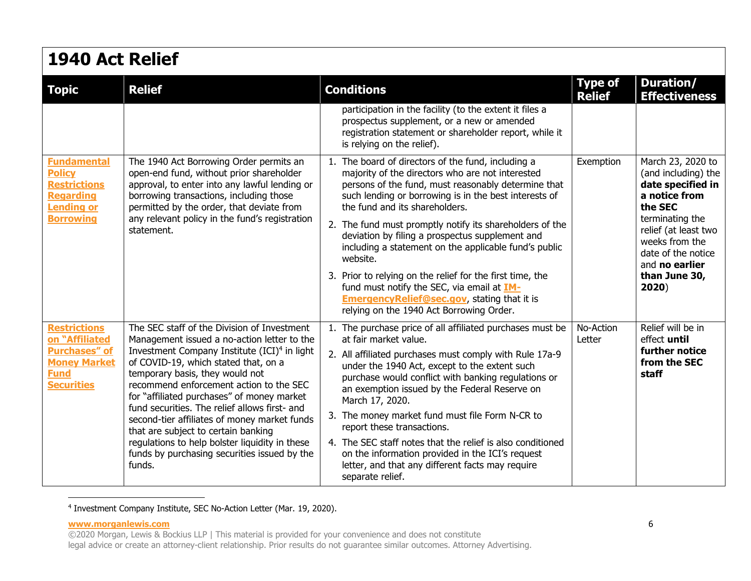| <b>1940 Act Relief</b>                                                                              |                                                                                                                                                                                                                              |                                                                                                                                                                                                                                                          |                                 |                                                                                                   |
|-----------------------------------------------------------------------------------------------------|------------------------------------------------------------------------------------------------------------------------------------------------------------------------------------------------------------------------------|----------------------------------------------------------------------------------------------------------------------------------------------------------------------------------------------------------------------------------------------------------|---------------------------------|---------------------------------------------------------------------------------------------------|
| <b>Topic</b>                                                                                        | <b>Relief</b>                                                                                                                                                                                                                | <b>Conditions</b>                                                                                                                                                                                                                                        | <b>Type of</b><br><b>Relief</b> | Duration/<br><b>Effectiveness</b>                                                                 |
|                                                                                                     |                                                                                                                                                                                                                              | participation in the facility (to the extent it files a<br>prospectus supplement, or a new or amended<br>registration statement or shareholder report, while it<br>is relying on the relief).                                                            |                                 |                                                                                                   |
| <b>Fundamental</b><br><b>Policy</b><br><b>Restrictions</b><br><b>Regarding</b><br><b>Lending or</b> | The 1940 Act Borrowing Order permits an<br>open-end fund, without prior shareholder<br>approval, to enter into any lawful lending or<br>borrowing transactions, including those<br>permitted by the order, that deviate from | 1. The board of directors of the fund, including a<br>majority of the directors who are not interested<br>persons of the fund, must reasonably determine that<br>such lending or borrowing is in the best interests of<br>the fund and its shareholders. | Exemption                       | March 23, 2020 to<br>(and including) the<br>date specified in<br>a notice from<br>the SEC         |
| <b>Borrowing</b><br>statement.                                                                      | any relevant policy in the fund's registration                                                                                                                                                                               | 2. The fund must promptly notify its shareholders of the<br>deviation by filing a prospectus supplement and<br>including a statement on the applicable fund's public<br>website.                                                                         |                                 | terminating the<br>relief (at least two<br>weeks from the<br>date of the notice<br>and no earlier |
|                                                                                                     |                                                                                                                                                                                                                              | 3. Prior to relying on the relief for the first time, the<br>fund must notify the SEC, via email at IM-<br><b>EmergencyRelief@sec.gov</b> , stating that it is<br>relying on the 1940 Act Borrowing Order.                                               |                                 | than June 30,<br>2020)                                                                            |
| <b>Restrictions</b><br>on "Affiliated                                                               | The SEC staff of the Division of Investment<br>Management issued a no-action letter to the                                                                                                                                   | 1. The purchase price of all affiliated purchases must be<br>at fair market value.                                                                                                                                                                       | No-Action<br>Letter             | Relief will be in<br>effect until                                                                 |
| <b>Purchases" of</b><br><b>Money Market</b><br><b>Fund</b><br><b>Securities</b>                     | Investment Company Institute (ICI) <sup>4</sup> in light<br>of COVID-19, which stated that, on a<br>temporary basis, they would not<br>recommend enforcement action to the SEC<br>for "affiliated purchases" of money market | 2. All affiliated purchases must comply with Rule 17a-9<br>under the 1940 Act, except to the extent such<br>purchase would conflict with banking regulations or<br>an exemption issued by the Federal Reserve on<br>March 17, 2020.                      |                                 | further notice<br>from the SEC<br>staff                                                           |
|                                                                                                     | fund securities. The relief allows first- and<br>second-tier affiliates of money market funds<br>that are subject to certain banking                                                                                         | 3. The money market fund must file Form N-CR to<br>report these transactions.                                                                                                                                                                            |                                 |                                                                                                   |
|                                                                                                     | regulations to help bolster liquidity in these<br>funds by purchasing securities issued by the<br>funds.                                                                                                                     | 4. The SEC staff notes that the relief is also conditioned<br>on the information provided in the ICI's request<br>letter, and that any different facts may require<br>separate relief.                                                                   |                                 |                                                                                                   |

<sup>4</sup> Investment Company Institute, SEC No-Action Letter (Mar. 19, 2020).

**www.morganlewis.com** 6

<sup>©2020</sup> Morgan, Lewis & Bockius LLP | This material is provided for your convenience and does not constitute legal advice or create an attorney-client relationship. Prior results do not guarantee similar outcomes. Attorney Advertising.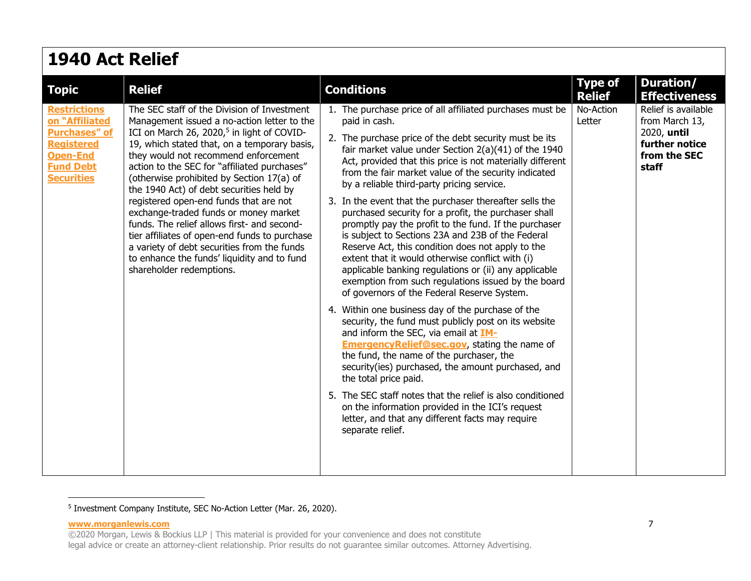| <b>1940 Act Relief</b>                                                                                                                         |                                                                                                                                                                                                                                                                                                                                                                                                                                                                                                                                                                                                                                                                                                    |                                                                                                                                                                                                                                                                                                                                                                                                                                                                                                                                                                                                                                                                                                                                                                                                                                                                                                                                                                                                                                                                                                                                                                                                                                                                                                                                                                                                                      |                                                                                                              |  |  |  |
|------------------------------------------------------------------------------------------------------------------------------------------------|----------------------------------------------------------------------------------------------------------------------------------------------------------------------------------------------------------------------------------------------------------------------------------------------------------------------------------------------------------------------------------------------------------------------------------------------------------------------------------------------------------------------------------------------------------------------------------------------------------------------------------------------------------------------------------------------------|----------------------------------------------------------------------------------------------------------------------------------------------------------------------------------------------------------------------------------------------------------------------------------------------------------------------------------------------------------------------------------------------------------------------------------------------------------------------------------------------------------------------------------------------------------------------------------------------------------------------------------------------------------------------------------------------------------------------------------------------------------------------------------------------------------------------------------------------------------------------------------------------------------------------------------------------------------------------------------------------------------------------------------------------------------------------------------------------------------------------------------------------------------------------------------------------------------------------------------------------------------------------------------------------------------------------------------------------------------------------------------------------------------------------|--------------------------------------------------------------------------------------------------------------|--|--|--|
| <b>Topic</b>                                                                                                                                   | <b>Relief</b>                                                                                                                                                                                                                                                                                                                                                                                                                                                                                                                                                                                                                                                                                      | <b>Conditions</b>                                                                                                                                                                                                                                                                                                                                                                                                                                                                                                                                                                                                                                                                                                                                                                                                                                                                                                                                                                                                                                                                                                                                                                                                                                                                                                                                                                                                    | <b>Duration/</b><br><b>Type of</b><br><b>Relief</b><br><b>Effectiveness</b>                                  |  |  |  |
| <b>Restrictions</b><br>on "Affiliated<br><b>Purchases" of</b><br><b>Registered</b><br><b>Open-End</b><br><b>Fund Debt</b><br><b>Securities</b> | The SEC staff of the Division of Investment<br>Management issued a no-action letter to the<br>ICI on March 26, 2020, <sup>5</sup> in light of COVID-<br>19, which stated that, on a temporary basis,<br>they would not recommend enforcement<br>action to the SEC for "affiliated purchases"<br>(otherwise prohibited by Section 17(a) of<br>the 1940 Act) of debt securities held by<br>registered open-end funds that are not<br>exchange-traded funds or money market<br>funds. The relief allows first- and second-<br>tier affiliates of open-end funds to purchase<br>a variety of debt securities from the funds<br>to enhance the funds' liquidity and to fund<br>shareholder redemptions. | 1. The purchase price of all affiliated purchases must be<br>paid in cash.<br>Letter<br>2. The purchase price of the debt security must be its<br>fair market value under Section 2(a)(41) of the 1940<br>Act, provided that this price is not materially different<br>from the fair market value of the security indicated<br>by a reliable third-party pricing service.<br>3. In the event that the purchaser thereafter sells the<br>purchased security for a profit, the purchaser shall<br>promptly pay the profit to the fund. If the purchaser<br>is subject to Sections 23A and 23B of the Federal<br>Reserve Act, this condition does not apply to the<br>extent that it would otherwise conflict with (i)<br>applicable banking regulations or (ii) any applicable<br>exemption from such regulations issued by the board<br>of governors of the Federal Reserve System.<br>4. Within one business day of the purchase of the<br>security, the fund must publicly post on its website<br>and inform the SEC, via email at IM-<br><b>EmergencyRelief@sec.gov</b> , stating the name of<br>the fund, the name of the purchaser, the<br>security(ies) purchased, the amount purchased, and<br>the total price paid.<br>5. The SEC staff notes that the relief is also conditioned<br>on the information provided in the ICI's request<br>letter, and that any different facts may require<br>separate relief. | No-Action<br>Relief is available<br>from March 13,<br>2020, until<br>further notice<br>from the SEC<br>staff |  |  |  |

<span id="page-6-0"></span><sup>5</sup> Investment Company Institute, SEC No-Action Letter (Mar. 26, 2020).

**www.morganlewis.com** 7

<sup>©2020</sup> Morgan, Lewis & Bockius LLP | This material is provided for your convenience and does not constitute legal advice or create an attorney-client relationship. Prior results do not guarantee similar outcomes. Attorney Advertising.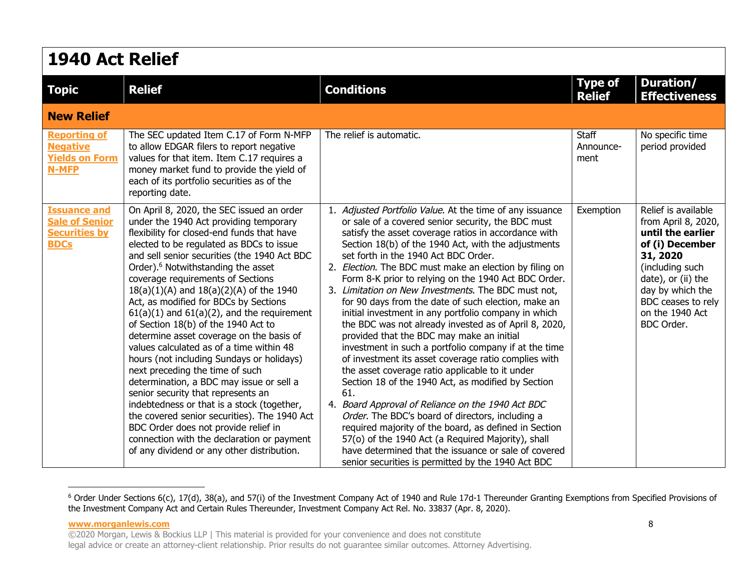| <b>1940 Act Relief</b>                                                              |                                                                                                                                                                                                                                                                                                                                                                                                                                                                                                                                                                                                                                                                                                                                                                                                                                                                                                                                                                                                    |                                                                                                                                                                                                                                                                                                                                                                                                                                                                                                                                                                                                                                                                                                                                                                                                                                                                                                                                                                                                                                                                                                                                                                                                                                             |                                 |                                                                                                                                                                                                                    |  |
|-------------------------------------------------------------------------------------|----------------------------------------------------------------------------------------------------------------------------------------------------------------------------------------------------------------------------------------------------------------------------------------------------------------------------------------------------------------------------------------------------------------------------------------------------------------------------------------------------------------------------------------------------------------------------------------------------------------------------------------------------------------------------------------------------------------------------------------------------------------------------------------------------------------------------------------------------------------------------------------------------------------------------------------------------------------------------------------------------|---------------------------------------------------------------------------------------------------------------------------------------------------------------------------------------------------------------------------------------------------------------------------------------------------------------------------------------------------------------------------------------------------------------------------------------------------------------------------------------------------------------------------------------------------------------------------------------------------------------------------------------------------------------------------------------------------------------------------------------------------------------------------------------------------------------------------------------------------------------------------------------------------------------------------------------------------------------------------------------------------------------------------------------------------------------------------------------------------------------------------------------------------------------------------------------------------------------------------------------------|---------------------------------|--------------------------------------------------------------------------------------------------------------------------------------------------------------------------------------------------------------------|--|
| <b>Topic</b>                                                                        | <b>Relief</b>                                                                                                                                                                                                                                                                                                                                                                                                                                                                                                                                                                                                                                                                                                                                                                                                                                                                                                                                                                                      | <b>Conditions</b>                                                                                                                                                                                                                                                                                                                                                                                                                                                                                                                                                                                                                                                                                                                                                                                                                                                                                                                                                                                                                                                                                                                                                                                                                           | <b>Type of</b><br><b>Relief</b> | <b>Duration/</b><br><b>Effectiveness</b>                                                                                                                                                                           |  |
| <b>New Relief</b>                                                                   |                                                                                                                                                                                                                                                                                                                                                                                                                                                                                                                                                                                                                                                                                                                                                                                                                                                                                                                                                                                                    |                                                                                                                                                                                                                                                                                                                                                                                                                                                                                                                                                                                                                                                                                                                                                                                                                                                                                                                                                                                                                                                                                                                                                                                                                                             |                                 |                                                                                                                                                                                                                    |  |
| <b>Reporting of</b><br><b>Negative</b><br><b>Yields on Form</b><br>N-MFP            | The SEC updated Item C.17 of Form N-MFP<br>to allow EDGAR filers to report negative<br>values for that item. Item C.17 requires a<br>money market fund to provide the yield of<br>each of its portfolio securities as of the<br>reporting date.                                                                                                                                                                                                                                                                                                                                                                                                                                                                                                                                                                                                                                                                                                                                                    | The relief is automatic.                                                                                                                                                                                                                                                                                                                                                                                                                                                                                                                                                                                                                                                                                                                                                                                                                                                                                                                                                                                                                                                                                                                                                                                                                    | Staff<br>Announce-<br>ment      | No specific time<br>period provided                                                                                                                                                                                |  |
| <b>Issuance and</b><br><b>Sale of Senior</b><br><b>Securities by</b><br><b>BDCs</b> | On April 8, 2020, the SEC issued an order<br>under the 1940 Act providing temporary<br>flexibility for closed-end funds that have<br>elected to be regulated as BDCs to issue<br>and sell senior securities (the 1940 Act BDC<br>Order). <sup>6</sup> Notwithstanding the asset<br>coverage requirements of Sections<br>$18(a)(1)(A)$ and $18(a)(2)(A)$ of the 1940<br>Act, as modified for BDCs by Sections<br>$61(a)(1)$ and $61(a)(2)$ , and the requirement<br>of Section 18(b) of the 1940 Act to<br>determine asset coverage on the basis of<br>values calculated as of a time within 48<br>hours (not including Sundays or holidays)<br>next preceding the time of such<br>determination, a BDC may issue or sell a<br>senior security that represents an<br>indebtedness or that is a stock (together,<br>the covered senior securities). The 1940 Act<br>BDC Order does not provide relief in<br>connection with the declaration or payment<br>of any dividend or any other distribution. | 1. Adjusted Portfolio Value. At the time of any issuance<br>or sale of a covered senior security, the BDC must<br>satisfy the asset coverage ratios in accordance with<br>Section 18(b) of the 1940 Act, with the adjustments<br>set forth in the 1940 Act BDC Order.<br>2. Election. The BDC must make an election by filing on<br>Form 8-K prior to relying on the 1940 Act BDC Order.<br>3. Limitation on New Investments. The BDC must not,<br>for 90 days from the date of such election, make an<br>initial investment in any portfolio company in which<br>the BDC was not already invested as of April 8, 2020,<br>provided that the BDC may make an initial<br>investment in such a portfolio company if at the time<br>of investment its asset coverage ratio complies with<br>the asset coverage ratio applicable to it under<br>Section 18 of the 1940 Act, as modified by Section<br>61.<br>4. Board Approval of Reliance on the 1940 Act BDC<br>Order. The BDC's board of directors, including a<br>required majority of the board, as defined in Section<br>57(o) of the 1940 Act (a Required Majority), shall<br>have determined that the issuance or sale of covered<br>senior securities is permitted by the 1940 Act BDC | Exemption                       | Relief is available<br>from April 8, 2020,<br>until the earlier<br>of (i) December<br>31, 2020<br>(including such<br>date), or (ii) the<br>day by which the<br>BDC ceases to rely<br>on the 1940 Act<br>BDC Order. |  |

<span id="page-7-0"></span><sup>&</sup>lt;sup>6</sup> Order Under Sections 6(c), 17(d), 38(a), and 57(i) of the Investment Company Act of 1940 and Rule 17d-1 Thereunder Granting Exemptions from Specified Provisions of the Investment Company Act and Certain Rules Thereunder, Investment Company Act Rel. No. 33837 (Apr. 8, 2020).

**www.morganlewis.com** 8 ©2020 Morgan, Lewis & Bockius LLP | This material is provided for your convenience and does not constitute legal advice or create an attorney-client relationship. Prior results do not guarantee similar outcomes. Attorney Advertising.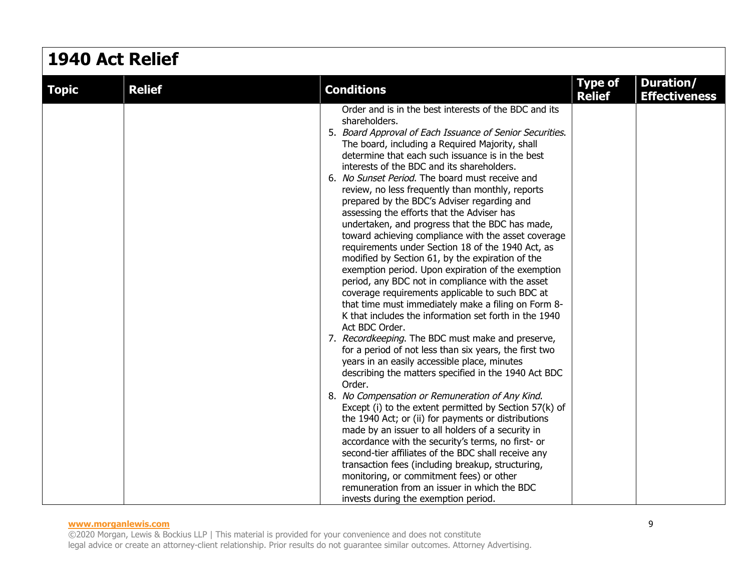| <b>1940 Act Relief</b> |               |                                                                                                                                                                                                                                                                                                                                                                                                                                                                                                                                                                                                                                                                                                                                                                                                                                                                                                                                                                                                                                                                                                                                                                                                                                                                                                                                                                                                                                                                                                                                                                                                                                                                                                                                                                               |                                 |                                   |  |
|------------------------|---------------|-------------------------------------------------------------------------------------------------------------------------------------------------------------------------------------------------------------------------------------------------------------------------------------------------------------------------------------------------------------------------------------------------------------------------------------------------------------------------------------------------------------------------------------------------------------------------------------------------------------------------------------------------------------------------------------------------------------------------------------------------------------------------------------------------------------------------------------------------------------------------------------------------------------------------------------------------------------------------------------------------------------------------------------------------------------------------------------------------------------------------------------------------------------------------------------------------------------------------------------------------------------------------------------------------------------------------------------------------------------------------------------------------------------------------------------------------------------------------------------------------------------------------------------------------------------------------------------------------------------------------------------------------------------------------------------------------------------------------------------------------------------------------------|---------------------------------|-----------------------------------|--|
| <b>Topic</b>           | <b>Relief</b> | <b>Conditions</b>                                                                                                                                                                                                                                                                                                                                                                                                                                                                                                                                                                                                                                                                                                                                                                                                                                                                                                                                                                                                                                                                                                                                                                                                                                                                                                                                                                                                                                                                                                                                                                                                                                                                                                                                                             | <b>Type of</b><br><b>Relief</b> | Duration/<br><b>Effectiveness</b> |  |
|                        |               | Order and is in the best interests of the BDC and its<br>shareholders.<br>5. Board Approval of Each Issuance of Senior Securities.<br>The board, including a Required Majority, shall<br>determine that each such issuance is in the best<br>interests of the BDC and its shareholders.<br>6. No Sunset Period. The board must receive and<br>review, no less frequently than monthly, reports<br>prepared by the BDC's Adviser regarding and<br>assessing the efforts that the Adviser has<br>undertaken, and progress that the BDC has made,<br>toward achieving compliance with the asset coverage<br>requirements under Section 18 of the 1940 Act, as<br>modified by Section 61, by the expiration of the<br>exemption period. Upon expiration of the exemption<br>period, any BDC not in compliance with the asset<br>coverage requirements applicable to such BDC at<br>that time must immediately make a filing on Form 8-<br>K that includes the information set forth in the 1940<br>Act BDC Order.<br>7. Recordkeeping. The BDC must make and preserve,<br>for a period of not less than six years, the first two<br>years in an easily accessible place, minutes<br>describing the matters specified in the 1940 Act BDC<br>Order.<br>8. No Compensation or Remuneration of Any Kind.<br>Except (i) to the extent permitted by Section 57(k) of<br>the 1940 Act; or (ii) for payments or distributions<br>made by an issuer to all holders of a security in<br>accordance with the security's terms, no first- or<br>second-tier affiliates of the BDC shall receive any<br>transaction fees (including breakup, structuring,<br>monitoring, or commitment fees) or other<br>remuneration from an issuer in which the BDC<br>invests during the exemption period. |                                 |                                   |  |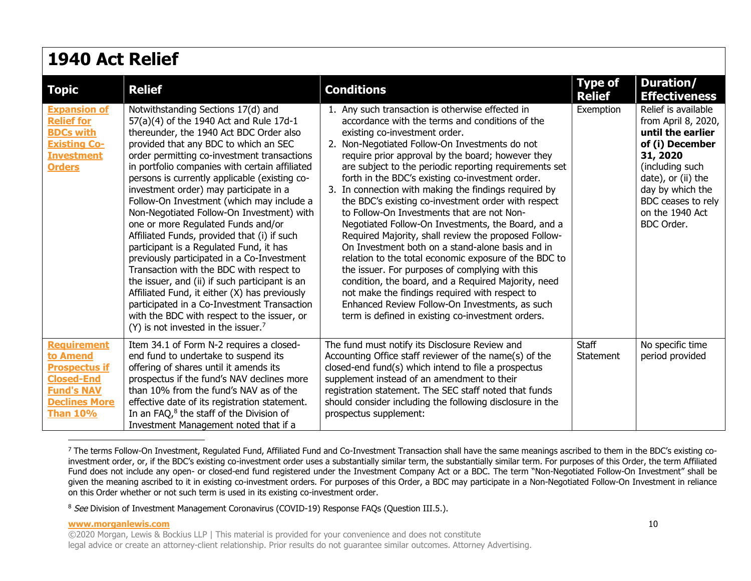| <b>1940 Act Relief</b>                                                                                                                      |                                                                                                                                                                                                                                                                                                                                                                                                                                                                                                                                                                                                                                                                                                                                                                                                                                                                                                                                         |                                                                                                                                                                                                                                                                                                                                                                                                                                                                                                                                                                                                                                                                                                                                                                                                                                                                                                                                                                                                                       |                                 |                                                                                                                                                                                                                    |  |
|---------------------------------------------------------------------------------------------------------------------------------------------|-----------------------------------------------------------------------------------------------------------------------------------------------------------------------------------------------------------------------------------------------------------------------------------------------------------------------------------------------------------------------------------------------------------------------------------------------------------------------------------------------------------------------------------------------------------------------------------------------------------------------------------------------------------------------------------------------------------------------------------------------------------------------------------------------------------------------------------------------------------------------------------------------------------------------------------------|-----------------------------------------------------------------------------------------------------------------------------------------------------------------------------------------------------------------------------------------------------------------------------------------------------------------------------------------------------------------------------------------------------------------------------------------------------------------------------------------------------------------------------------------------------------------------------------------------------------------------------------------------------------------------------------------------------------------------------------------------------------------------------------------------------------------------------------------------------------------------------------------------------------------------------------------------------------------------------------------------------------------------|---------------------------------|--------------------------------------------------------------------------------------------------------------------------------------------------------------------------------------------------------------------|--|
| <b>Topic</b>                                                                                                                                | <b>Relief</b>                                                                                                                                                                                                                                                                                                                                                                                                                                                                                                                                                                                                                                                                                                                                                                                                                                                                                                                           | <b>Conditions</b>                                                                                                                                                                                                                                                                                                                                                                                                                                                                                                                                                                                                                                                                                                                                                                                                                                                                                                                                                                                                     | <b>Type of</b><br><b>Relief</b> | Duration/<br><b>Effectiveness</b>                                                                                                                                                                                  |  |
| <b>Expansion of</b><br><b>Relief for</b><br><b>BDCs with</b><br><b>Existing Co-</b><br><b>Investment</b><br><b>Orders</b>                   | Notwithstanding Sections 17(d) and<br>57(a)(4) of the 1940 Act and Rule 17d-1<br>thereunder, the 1940 Act BDC Order also<br>provided that any BDC to which an SEC<br>order permitting co-investment transactions<br>in portfolio companies with certain affiliated<br>persons is currently applicable (existing co-<br>investment order) may participate in a<br>Follow-On Investment (which may include a<br>Non-Negotiated Follow-On Investment) with<br>one or more Regulated Funds and/or<br>Affiliated Funds, provided that (i) if such<br>participant is a Regulated Fund, it has<br>previously participated in a Co-Investment<br>Transaction with the BDC with respect to<br>the issuer, and (ii) if such participant is an<br>Affiliated Fund, it either (X) has previously<br>participated in a Co-Investment Transaction<br>with the BDC with respect to the issuer, or<br>$(Y)$ is not invested in the issuer. <sup>7</sup> | 1. Any such transaction is otherwise effected in<br>accordance with the terms and conditions of the<br>existing co-investment order.<br>2. Non-Negotiated Follow-On Investments do not<br>require prior approval by the board; however they<br>are subject to the periodic reporting requirements set<br>forth in the BDC's existing co-investment order.<br>3. In connection with making the findings required by<br>the BDC's existing co-investment order with respect<br>to Follow-On Investments that are not Non-<br>Negotiated Follow-On Investments, the Board, and a<br>Required Majority, shall review the proposed Follow-<br>On Investment both on a stand-alone basis and in<br>relation to the total economic exposure of the BDC to<br>the issuer. For purposes of complying with this<br>condition, the board, and a Required Majority, need<br>not make the findings required with respect to<br>Enhanced Review Follow-On Investments, as such<br>term is defined in existing co-investment orders. | Exemption                       | Relief is available<br>from April 8, 2020,<br>until the earlier<br>of (i) December<br>31, 2020<br>(including such<br>date), or (ii) the<br>day by which the<br>BDC ceases to rely<br>on the 1940 Act<br>BDC Order. |  |
| <b>Requirement</b><br>to Amend<br><b>Prospectus if</b><br><b>Closed-End</b><br><b>Fund's NAV</b><br><b>Declines More</b><br><b>Than 10%</b> | Item 34.1 of Form N-2 requires a closed-<br>end fund to undertake to suspend its<br>offering of shares until it amends its<br>prospectus if the fund's NAV declines more<br>than 10% from the fund's NAV as of the<br>effective date of its registration statement.<br>In an FAQ, <sup>8</sup> the staff of the Division of<br>Investment Management noted that if a                                                                                                                                                                                                                                                                                                                                                                                                                                                                                                                                                                    | The fund must notify its Disclosure Review and<br>Accounting Office staff reviewer of the name(s) of the<br>closed-end fund(s) which intend to file a prospectus<br>supplement instead of an amendment to their<br>registration statement. The SEC staff noted that funds<br>should consider including the following disclosure in the<br>prospectus supplement:                                                                                                                                                                                                                                                                                                                                                                                                                                                                                                                                                                                                                                                      | Staff<br>Statement              | No specific time<br>period provided                                                                                                                                                                                |  |

<span id="page-9-0"></span> $^7$  The terms Follow-On Investment, Regulated Fund, Affiliated Fund and Co-Investment Transaction shall have the same meanings ascribed to them in the BDC's existing coinvestment order, or, if the BDC's existing co-investment order uses a substantially similar term, the substantially similar term. For purposes of this Order, the term Affiliated Fund does not include any open- or closed-end fund registered under the Investment Company Act or a BDC. The term "Non-Negotiated Follow-On Investment" shall be given the meaning ascribed to it in existing co-investment orders. For purposes of this Order, a BDC may participate in a Non-Negotiated Follow-On Investment in reliance on this Order whether or not such term is used in its existing co-investment order.

<span id="page-9-1"></span><sup>8</sup> See Division of Investment Management Coronavirus (COVID-19) Response FAQs (Question III.5.).

#### **www.morganlewis.com** 10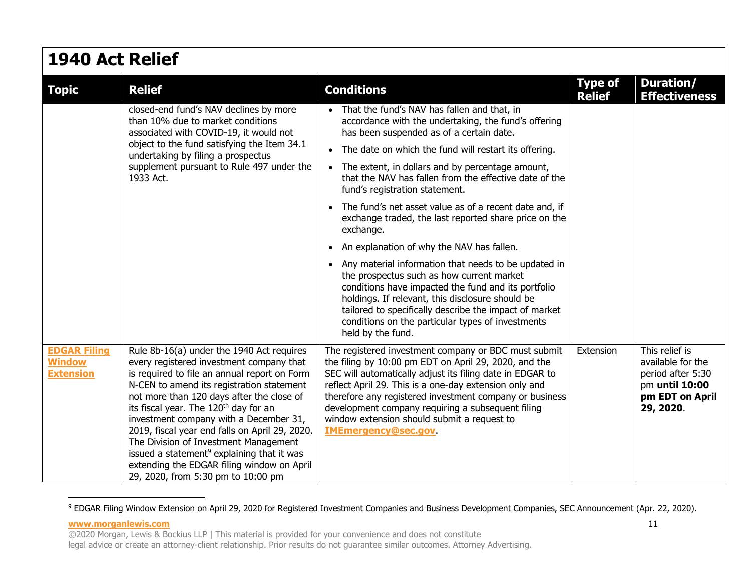| <b>1940 Act Relief</b>                                   |                                                                                                                                                                                                                                                                                                                                                                                                                                                                                                                                                                         |                                                                                                                                                                                                                                                                                                                                                                                                                                    |                                 |                                                                                                            |  |
|----------------------------------------------------------|-------------------------------------------------------------------------------------------------------------------------------------------------------------------------------------------------------------------------------------------------------------------------------------------------------------------------------------------------------------------------------------------------------------------------------------------------------------------------------------------------------------------------------------------------------------------------|------------------------------------------------------------------------------------------------------------------------------------------------------------------------------------------------------------------------------------------------------------------------------------------------------------------------------------------------------------------------------------------------------------------------------------|---------------------------------|------------------------------------------------------------------------------------------------------------|--|
| <b>Topic</b>                                             | <b>Relief</b>                                                                                                                                                                                                                                                                                                                                                                                                                                                                                                                                                           | <b>Conditions</b>                                                                                                                                                                                                                                                                                                                                                                                                                  | <b>Type of</b><br><b>Relief</b> | Duration/<br><b>Effectiveness</b>                                                                          |  |
|                                                          | closed-end fund's NAV declines by more<br>than 10% due to market conditions<br>associated with COVID-19, it would not<br>object to the fund satisfying the Item 34.1<br>undertaking by filing a prospectus<br>supplement pursuant to Rule 497 under the<br>1933 Act.                                                                                                                                                                                                                                                                                                    | That the fund's NAV has fallen and that, in<br>accordance with the undertaking, the fund's offering<br>has been suspended as of a certain date.                                                                                                                                                                                                                                                                                    |                                 |                                                                                                            |  |
|                                                          |                                                                                                                                                                                                                                                                                                                                                                                                                                                                                                                                                                         | The date on which the fund will restart its offering.<br>$\bullet$                                                                                                                                                                                                                                                                                                                                                                 |                                 |                                                                                                            |  |
|                                                          |                                                                                                                                                                                                                                                                                                                                                                                                                                                                                                                                                                         | The extent, in dollars and by percentage amount,<br>$\bullet$<br>that the NAV has fallen from the effective date of the<br>fund's registration statement.                                                                                                                                                                                                                                                                          |                                 |                                                                                                            |  |
|                                                          |                                                                                                                                                                                                                                                                                                                                                                                                                                                                                                                                                                         | The fund's net asset value as of a recent date and, if<br>$\bullet$<br>exchange traded, the last reported share price on the<br>exchange.                                                                                                                                                                                                                                                                                          |                                 |                                                                                                            |  |
|                                                          |                                                                                                                                                                                                                                                                                                                                                                                                                                                                                                                                                                         | An explanation of why the NAV has fallen.<br>$\bullet$                                                                                                                                                                                                                                                                                                                                                                             |                                 |                                                                                                            |  |
|                                                          |                                                                                                                                                                                                                                                                                                                                                                                                                                                                                                                                                                         | Any material information that needs to be updated in<br>$\bullet$<br>the prospectus such as how current market<br>conditions have impacted the fund and its portfolio<br>holdings. If relevant, this disclosure should be<br>tailored to specifically describe the impact of market<br>conditions on the particular types of investments<br>held by the fund.                                                                      |                                 |                                                                                                            |  |
| <b>EDGAR Filing</b><br><b>Window</b><br><b>Extension</b> | Rule 8b-16(a) under the 1940 Act requires<br>every registered investment company that<br>is required to file an annual report on Form<br>N-CEN to amend its registration statement<br>not more than 120 days after the close of<br>its fiscal year. The 120 <sup>th</sup> day for an<br>investment company with a December 31,<br>2019, fiscal year end falls on April 29, 2020.<br>The Division of Investment Management<br>issued a statement <sup>9</sup> explaining that it was<br>extending the EDGAR filing window on April<br>29, 2020, from 5:30 pm to 10:00 pm | The registered investment company or BDC must submit<br>the filing by 10:00 pm EDT on April 29, 2020, and the<br>SEC will automatically adjust its filing date in EDGAR to<br>reflect April 29. This is a one-day extension only and<br>therefore any registered investment company or business<br>development company requiring a subsequent filing<br>window extension should submit a request to<br><b>IMEmergency@sec.gov.</b> | Extension                       | This relief is<br>available for the<br>period after 5:30<br>pm until 10:00<br>pm EDT on April<br>29, 2020. |  |

<span id="page-10-0"></span><sup>&</sup>lt;sup>9</sup> EDGAR Filing Window Extension on April 29, 2020 for Registered Investment Companies and Business Development Companies, SEC Announcement (Apr. 22, 2020).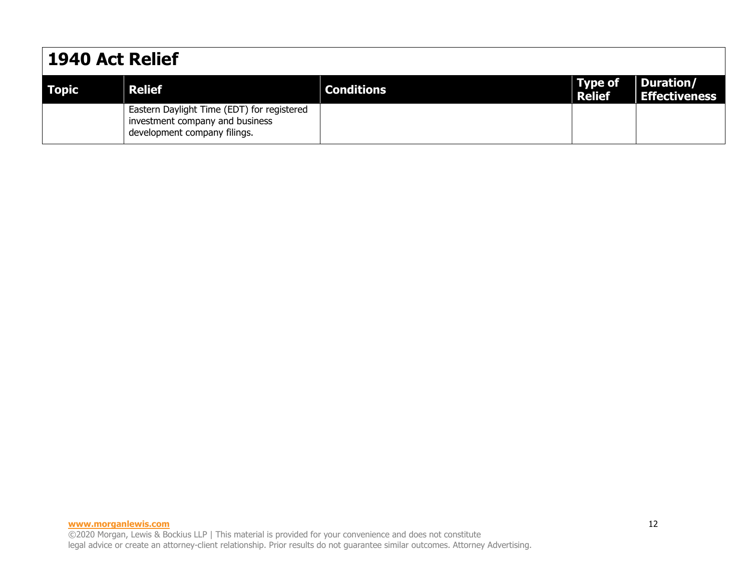### **1940 Act Relief Topic Relief Conditions Type of Relief Duration/ Effectiveness**  Eastern Daylight Time (EDT) for registered investment company and business development company filings.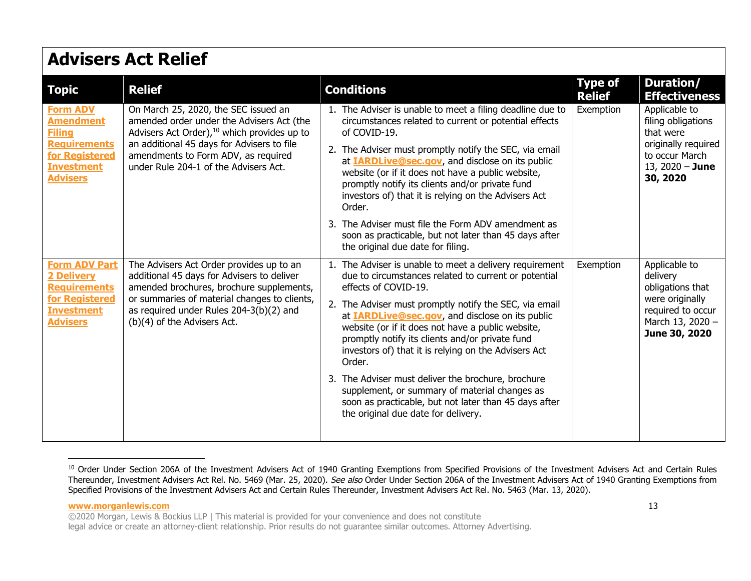| <b>Topic</b>                                                                                                                          | <b>Relief</b>                                                                                                                                                                                                                                                              | <b>Conditions</b>                                                                                                                                                                                                                                                                                                                                                                                                                                                                                                                                                                                                                             | <b>Type of</b><br><b>Relief</b> | Duration/<br><b>Effectiveness</b>                                                                                          |
|---------------------------------------------------------------------------------------------------------------------------------------|----------------------------------------------------------------------------------------------------------------------------------------------------------------------------------------------------------------------------------------------------------------------------|-----------------------------------------------------------------------------------------------------------------------------------------------------------------------------------------------------------------------------------------------------------------------------------------------------------------------------------------------------------------------------------------------------------------------------------------------------------------------------------------------------------------------------------------------------------------------------------------------------------------------------------------------|---------------------------------|----------------------------------------------------------------------------------------------------------------------------|
| <b>Form ADV</b><br><b>Amendment</b><br><b>Filing</b><br><b>Requirements</b><br>for Registered<br><b>Investment</b><br><b>Advisers</b> | On March 25, 2020, the SEC issued an<br>amended order under the Advisers Act (the<br>Advisers Act Order), <sup>10</sup> which provides up to<br>an additional 45 days for Advisers to file<br>amendments to Form ADV, as required<br>under Rule 204-1 of the Advisers Act. | 1. The Adviser is unable to meet a filing deadline due to<br>circumstances related to current or potential effects<br>of COVID-19.<br>2. The Adviser must promptly notify the SEC, via email<br>at <b>IARDLive@sec.gov</b> , and disclose on its public<br>website (or if it does not have a public website,<br>promptly notify its clients and/or private fund<br>investors of) that it is relying on the Advisers Act<br>Order.<br>3. The Adviser must file the Form ADV amendment as                                                                                                                                                       | Exemption                       | Applicable to<br>filing obligations<br>that were<br>originally required<br>to occur March<br>13, $2020 -$ June<br>30, 2020 |
|                                                                                                                                       |                                                                                                                                                                                                                                                                            | soon as practicable, but not later than 45 days after<br>the original due date for filing.                                                                                                                                                                                                                                                                                                                                                                                                                                                                                                                                                    |                                 |                                                                                                                            |
| <b>Form ADV Part</b><br><b>2 Delivery</b><br><b>Requirements</b><br>for Registered<br><b>Investment</b><br><b>Advisers</b>            | The Advisers Act Order provides up to an<br>additional 45 days for Advisers to deliver<br>amended brochures, brochure supplements,<br>or summaries of material changes to clients,<br>as required under Rules 204-3(b)(2) and<br>(b)(4) of the Advisers Act.               | 1. The Adviser is unable to meet a delivery requirement<br>due to circumstances related to current or potential<br>effects of COVID-19.<br>2. The Adviser must promptly notify the SEC, via email<br>at <b>IARDLive@sec.gov</b> , and disclose on its public<br>website (or if it does not have a public website,<br>promptly notify its clients and/or private fund<br>investors of) that it is relying on the Advisers Act<br>Order.<br>3. The Adviser must deliver the brochure, brochure<br>supplement, or summary of material changes as<br>soon as practicable, but not later than 45 days after<br>the original due date for delivery. | Exemption                       | Applicable to<br>delivery<br>obligations that<br>were originally<br>required to occur<br>March 13, 2020 -<br>June 30, 2020 |

<sup>&</sup>lt;sup>10</sup> Order Under Section 206A of the Investment Advisers Act of 1940 Granting Exemptions from Specified Provisions of the Investment Advisers Act and Certain Rules Thereunder, Investment Advisers Act Rel. No. 5469 (Mar. 25, 2020). See also Order Under Section 206A of the Investment Advisers Act of 1940 Granting Exemptions from Specified Provisions of the Investment Advisers Act and Certain Rules Thereunder, Investment Advisers Act Rel. No. 5463 (Mar. 13, 2020).

**www.morganlewis.com** 13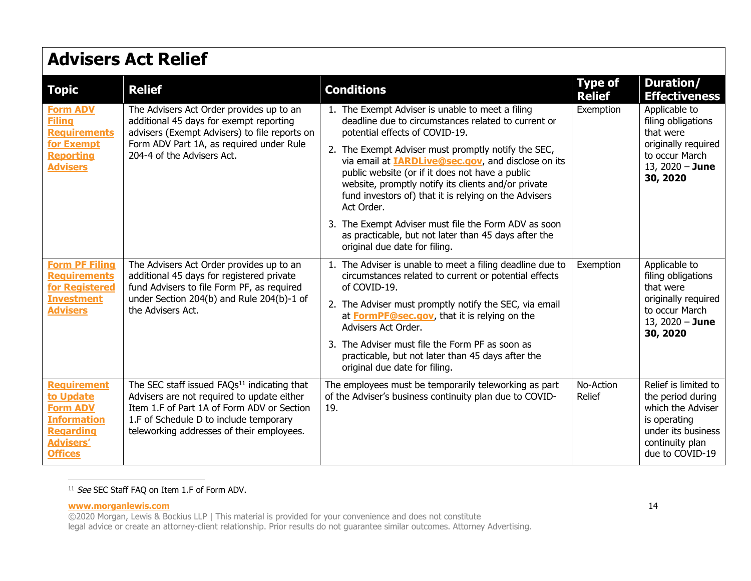| <b>Topic</b>                                                                                                                       | <b>Relief</b>                                                                                                                                                                                                                              | <b>Conditions</b>                                                                                                                                                                                                                                                                                                                                                                                                                               | <b>Type of</b><br><b>Relief</b> | <b>Duration/</b><br><b>Effectiveness</b>                                                                                                   |
|------------------------------------------------------------------------------------------------------------------------------------|--------------------------------------------------------------------------------------------------------------------------------------------------------------------------------------------------------------------------------------------|-------------------------------------------------------------------------------------------------------------------------------------------------------------------------------------------------------------------------------------------------------------------------------------------------------------------------------------------------------------------------------------------------------------------------------------------------|---------------------------------|--------------------------------------------------------------------------------------------------------------------------------------------|
| <b>Form ADV</b><br><b>Filing</b><br><b>Requirements</b><br>for Exempt<br><b>Reporting</b><br><b>Advisers</b>                       | The Advisers Act Order provides up to an<br>additional 45 days for exempt reporting<br>advisers (Exempt Advisers) to file reports on<br>Form ADV Part 1A, as required under Rule<br>204-4 of the Advisers Act.                             | 1. The Exempt Adviser is unable to meet a filing<br>deadline due to circumstances related to current or<br>potential effects of COVID-19.<br>2. The Exempt Adviser must promptly notify the SEC,<br>via email at <b>IARDLive@sec.gov</b> , and disclose on its<br>public website (or if it does not have a public<br>website, promptly notify its clients and/or private<br>fund investors of) that it is relying on the Advisers<br>Act Order. | Exemption                       | Applicable to<br>filing obligations<br>that were<br>originally required<br>to occur March<br>13, $2020 -$ June<br>30, 2020                 |
|                                                                                                                                    |                                                                                                                                                                                                                                            | 3. The Exempt Adviser must file the Form ADV as soon<br>as practicable, but not later than 45 days after the<br>original due date for filing.                                                                                                                                                                                                                                                                                                   |                                 |                                                                                                                                            |
| <b>Form PF Filing</b><br><b>Requirements</b><br>for Registered<br><b>Investment</b><br><b>Advisers</b>                             | The Advisers Act Order provides up to an<br>additional 45 days for registered private<br>fund Advisers to file Form PF, as required<br>under Section 204(b) and Rule 204(b)-1 of<br>the Advisers Act.                                      | 1. The Adviser is unable to meet a filing deadline due to<br>circumstances related to current or potential effects<br>of COVID-19.<br>2. The Adviser must promptly notify the SEC, via email<br>at <b>FormPF@sec.gov</b> , that it is relying on the<br>Advisers Act Order.                                                                                                                                                                     | Exemption                       | Applicable to<br>filing obligations<br>that were<br>originally required<br>to occur March<br>13, $2020 -$ June<br>30, 2020                 |
|                                                                                                                                    |                                                                                                                                                                                                                                            | 3. The Adviser must file the Form PF as soon as<br>practicable, but not later than 45 days after the<br>original due date for filing.                                                                                                                                                                                                                                                                                                           |                                 |                                                                                                                                            |
| <b>Requirement</b><br>to Update<br><b>Form ADV</b><br><b>Information</b><br><b>Regarding</b><br><b>Advisers'</b><br><b>Offices</b> | The SEC staff issued FAQs <sup>11</sup> indicating that<br>Advisers are not required to update either<br>Item 1.F of Part 1A of Form ADV or Section<br>1.F of Schedule D to include temporary<br>teleworking addresses of their employees. | The employees must be temporarily teleworking as part<br>of the Adviser's business continuity plan due to COVID-<br>19.                                                                                                                                                                                                                                                                                                                         | No-Action<br>Relief             | Relief is limited to<br>the period during<br>which the Adviser<br>is operating<br>under its business<br>continuity plan<br>due to COVID-19 |

### <sup>11</sup> See SEC Staff FAQ on Item 1.F of Form ADV.

### **www.morganlewis.com** 14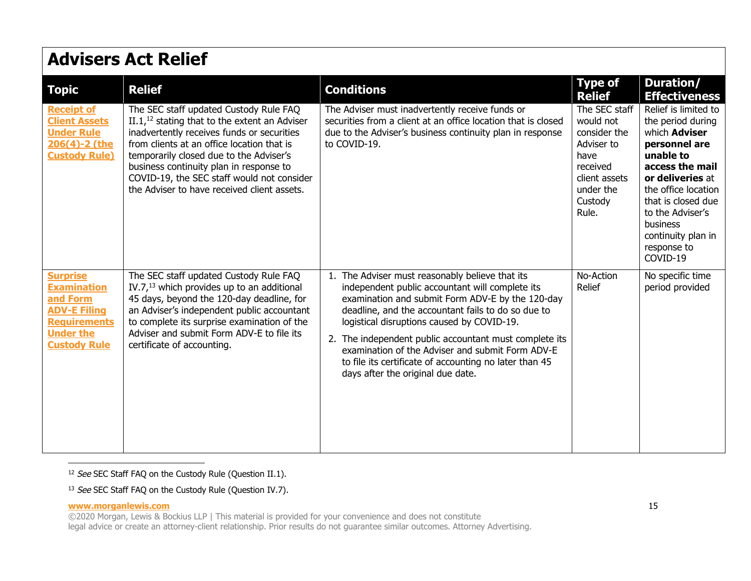| <b>Topic</b>                                                                                                                               | <b>Relief</b>                                                                                                                                                                                                                                                                                                                                                           | <b>Conditions</b>                                                                                                                                                                                                                                                                                                                                                                                                                                                       | <b>Type of</b><br><b>Relief</b>                                                                                                | Duration/<br><b>Effectiveness</b>                                                                                                                                                                                                                                    |
|--------------------------------------------------------------------------------------------------------------------------------------------|-------------------------------------------------------------------------------------------------------------------------------------------------------------------------------------------------------------------------------------------------------------------------------------------------------------------------------------------------------------------------|-------------------------------------------------------------------------------------------------------------------------------------------------------------------------------------------------------------------------------------------------------------------------------------------------------------------------------------------------------------------------------------------------------------------------------------------------------------------------|--------------------------------------------------------------------------------------------------------------------------------|----------------------------------------------------------------------------------------------------------------------------------------------------------------------------------------------------------------------------------------------------------------------|
| <b>Receipt of</b><br><b>Client Assets</b><br><b>Under Rule</b><br>206(4)-2 (the<br><b>Custody Rule)</b>                                    | The SEC staff updated Custody Rule FAQ<br>$II.112$ stating that to the extent an Adviser<br>inadvertently receives funds or securities<br>from clients at an office location that is<br>temporarily closed due to the Adviser's<br>business continuity plan in response to<br>COVID-19, the SEC staff would not consider<br>the Adviser to have received client assets. | The Adviser must inadvertently receive funds or<br>securities from a client at an office location that is closed<br>due to the Adviser's business continuity plan in response<br>to COVID-19.                                                                                                                                                                                                                                                                           | The SEC staff<br>would not<br>consider the<br>Adviser to<br>have<br>received<br>client assets<br>under the<br>Custody<br>Rule. | Relief is limited to<br>the period during<br>which <b>Adviser</b><br>personnel are<br>unable to<br>access the mail<br>or deliveries at<br>the office location<br>that is closed due<br>to the Adviser's<br>business<br>continuity plan in<br>response to<br>COVID-19 |
| <b>Surprise</b><br><b>Examination</b><br>and Form<br><b>ADV-E Filing</b><br><b>Requirements</b><br><b>Under the</b><br><b>Custody Rule</b> | The SEC staff updated Custody Rule FAQ<br>IV.7, $^{13}$ which provides up to an additional<br>45 days, beyond the 120-day deadline, for<br>an Adviser's independent public accountant<br>to complete its surprise examination of the<br>Adviser and submit Form ADV-E to file its<br>certificate of accounting.                                                         | 1. The Adviser must reasonably believe that its<br>independent public accountant will complete its<br>examination and submit Form ADV-E by the 120-day<br>deadline, and the accountant fails to do so due to<br>logistical disruptions caused by COVID-19.<br>2. The independent public accountant must complete its<br>examination of the Adviser and submit Form ADV-E<br>to file its certificate of accounting no later than 45<br>days after the original due date. | No-Action<br>Relief                                                                                                            | No specific time<br>period provided                                                                                                                                                                                                                                  |

<sup>12</sup> See SEC Staff FAQ on the Custody Rule (Question II.1).

<sup>13</sup> See SEC Staff FAQ on the Custody Rule (Question IV.7).

### **www.morganlewis.com** 15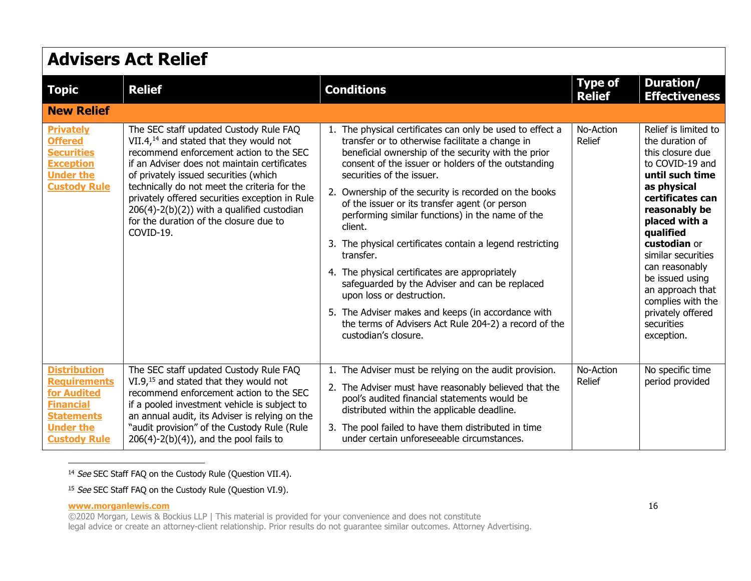#### **Advisers Act Relief Topic Relief Conditions Type of Relief Duration/ Effectiveness New Relief [Privately](https://www.sec.gov/divisions/investment/custody_faq_030510.htm)  [Offered](https://www.sec.gov/divisions/investment/custody_faq_030510.htm)  [Securities](https://www.sec.gov/divisions/investment/custody_faq_030510.htm)  [Exception](https://www.sec.gov/divisions/investment/custody_faq_030510.htm)  [Under the](https://www.sec.gov/divisions/investment/custody_faq_030510.htm)  [Custody Rule](https://www.sec.gov/divisions/investment/custody_faq_030510.htm)** The SEC staff updated Custody Rule FAQ VII.4,<sup>14</sup> and stated that they would not recommend enforcement action to the SEC if an Adviser does not maintain certificates of privately issued securities (which technically do not meet the criteria for the privately offered securities exception in Rule 206(4)-2(b)(2)) with a qualified custodian for the duration of the closure due to COVID-19. 1. The physical certificates can only be used to effect a transfer or to otherwise facilitate a change in beneficial ownership of the security with the prior consent of the issuer or holders of the outstanding securities of the issuer. 2. Ownership of the security is recorded on the books of the issuer or its transfer agent (or person performing similar functions) in the name of the client. 3. The physical certificates contain a legend restricting transfer. 4. The physical certificates are appropriately safeguarded by the Adviser and can be replaced upon loss or destruction. 5. The Adviser makes and keeps (in accordance with the terms of Advisers Act Rule 204-2) a record of the custodian's closure. No-Action Relief Relief is limited to the duration of this closure due to COVID-19 and **until such time as physical certificates can reasonably be placed with a qualified custodian** or similar securities can reasonably be issued using an approach that complies with the privately offered securities exception. **[Distribution](https://www.sec.gov/divisions/investment/custody_faq_030510.htm)  [Requirements](https://www.sec.gov/divisions/investment/custody_faq_030510.htm)  [for Audited](https://www.sec.gov/divisions/investment/custody_faq_030510.htm)  [Financial](https://www.sec.gov/divisions/investment/custody_faq_030510.htm)  [Statements](https://www.sec.gov/divisions/investment/custody_faq_030510.htm)  [Under the](https://www.sec.gov/divisions/investment/custody_faq_030510.htm)  [Custody Rule](https://www.sec.gov/divisions/investment/custody_faq_030510.htm)** The SEC staff updated Custody Rule FAQ VI.9,<sup>15</sup> and stated that they would not recommend enforcement action to the SEC if a pooled investment vehicle is subject to an annual audit, its Adviser is relying on the "audit provisio[n" o](#page-15-1)f the Custody Rule (Rule  $206(4)-2(b)(4)$ , and the pool fails to 1. The Adviser must be relying on the audit provision. 2. The Adviser must have reasonably believed that the pool's audited financial statements would be distributed within the applicable deadline. 3. [The pool failed to have them distributed in time](#page-15-0)  under certain unforeseeable circumstances. No-Action Relief No specific time period provided

<span id="page-15-0"></span><sup>14</sup> See SEC Staff FAQ on the Custody Rule (Question VII.4).

<span id="page-15-1"></span><sup>15</sup> See SEC Staff FAQ on the Custody Rule (Question VI.9).

### **www.morganlewis.com** 16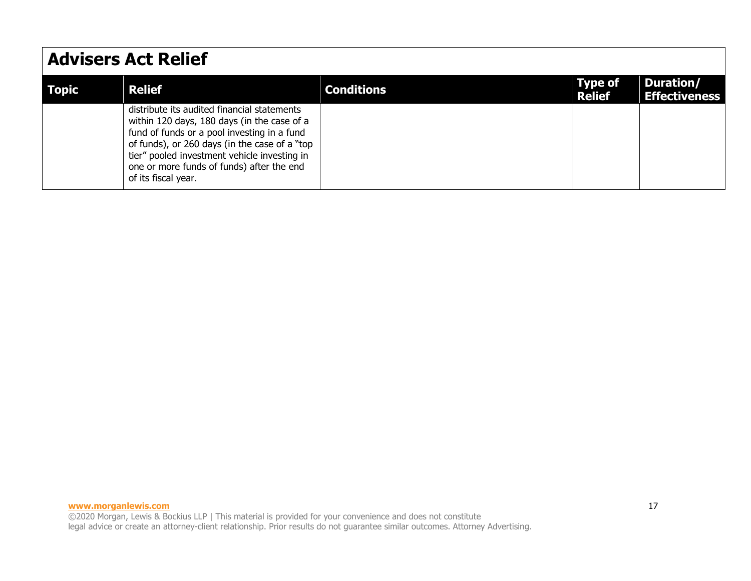| <b>Topic</b> | <b>Relief</b>                                                                                                                                                                                                                                                                                                  | <b>Conditions</b> | Type of<br><b>Relief</b> | Duration/<br><b>Effectiveness</b> |
|--------------|----------------------------------------------------------------------------------------------------------------------------------------------------------------------------------------------------------------------------------------------------------------------------------------------------------------|-------------------|--------------------------|-----------------------------------|
|              | distribute its audited financial statements<br>within 120 days, 180 days (in the case of a<br>fund of funds or a pool investing in a fund<br>of funds), or 260 days (in the case of a "top<br>tier" pooled investment vehicle investing in<br>one or more funds of funds) after the end<br>of its fiscal year. |                   |                          |                                   |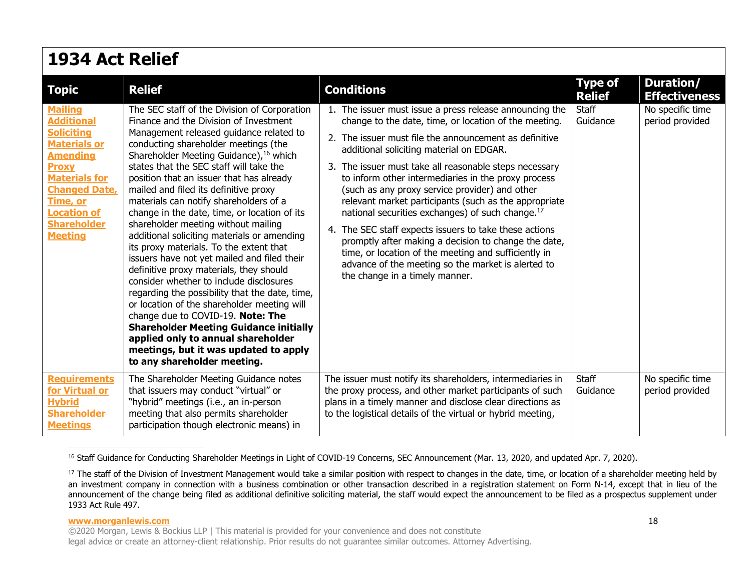| 1934 Act Relief                                                                                                                                                                                                                              |                                                                                                                                                                                                                                                                                                                                                                                                                                                                                                                                                                                                                                                                                                                                                                                                                                                                                                                                                                                                                           |                                                                                                                                                                                                                                                                                                                                                                                                                                                                                                                                                                                                                                                                                                                                                                                      |                                 |                                     |
|----------------------------------------------------------------------------------------------------------------------------------------------------------------------------------------------------------------------------------------------|---------------------------------------------------------------------------------------------------------------------------------------------------------------------------------------------------------------------------------------------------------------------------------------------------------------------------------------------------------------------------------------------------------------------------------------------------------------------------------------------------------------------------------------------------------------------------------------------------------------------------------------------------------------------------------------------------------------------------------------------------------------------------------------------------------------------------------------------------------------------------------------------------------------------------------------------------------------------------------------------------------------------------|--------------------------------------------------------------------------------------------------------------------------------------------------------------------------------------------------------------------------------------------------------------------------------------------------------------------------------------------------------------------------------------------------------------------------------------------------------------------------------------------------------------------------------------------------------------------------------------------------------------------------------------------------------------------------------------------------------------------------------------------------------------------------------------|---------------------------------|-------------------------------------|
| <b>Topic</b>                                                                                                                                                                                                                                 | <b>Relief</b>                                                                                                                                                                                                                                                                                                                                                                                                                                                                                                                                                                                                                                                                                                                                                                                                                                                                                                                                                                                                             | <b>Conditions</b>                                                                                                                                                                                                                                                                                                                                                                                                                                                                                                                                                                                                                                                                                                                                                                    | <b>Type of</b><br><b>Relief</b> | Duration/<br><b>Effectiveness</b>   |
| <b>Mailing</b><br><b>Additional</b><br><b>Soliciting</b><br><b>Materials or</b><br><b>Amending</b><br><b>Proxy</b><br><b>Materials for</b><br><b>Changed Date,</b><br>Time, or<br><b>Location of</b><br><b>Shareholder</b><br><b>Meeting</b> | The SEC staff of the Division of Corporation<br>Finance and the Division of Investment<br>Management released guidance related to<br>conducting shareholder meetings (the<br>Shareholder Meeting Guidance), 16 which<br>states that the SEC staff will take the<br>position that an issuer that has already<br>mailed and filed its definitive proxy<br>materials can notify shareholders of a<br>change in the date, time, or location of its<br>shareholder meeting without mailing<br>additional soliciting materials or amending<br>its proxy materials. To the extent that<br>issuers have not yet mailed and filed their<br>definitive proxy materials, they should<br>consider whether to include disclosures<br>regarding the possibility that the date, time,<br>or location of the shareholder meeting will<br>change due to COVID-19. Note: The<br><b>Shareholder Meeting Guidance initially</b><br>applied only to annual shareholder<br>meetings, but it was updated to apply<br>to any shareholder meeting. | 1. The issuer must issue a press release announcing the<br>change to the date, time, or location of the meeting.<br>2. The issuer must file the announcement as definitive<br>additional soliciting material on EDGAR.<br>3. The issuer must take all reasonable steps necessary<br>to inform other intermediaries in the proxy process<br>(such as any proxy service provider) and other<br>relevant market participants (such as the appropriate<br>national securities exchanges) of such change. <sup>17</sup><br>4. The SEC staff expects issuers to take these actions<br>promptly after making a decision to change the date,<br>time, or location of the meeting and sufficiently in<br>advance of the meeting so the market is alerted to<br>the change in a timely manner. | <b>Staff</b><br>Guidance        | No specific time<br>period provided |
| <b>Requirements</b><br>for Virtual or<br><b>Hybrid</b><br><b>Shareholder</b><br><b>Meetings</b>                                                                                                                                              | The Shareholder Meeting Guidance notes<br>that issuers may conduct "virtual" or<br>"hybrid" meetings (i.e., an in-person<br>meeting that also permits shareholder<br>participation though electronic means) in                                                                                                                                                                                                                                                                                                                                                                                                                                                                                                                                                                                                                                                                                                                                                                                                            | The issuer must notify its shareholders, intermediaries in<br>the proxy process, and other market participants of such<br>plans in a timely manner and disclose clear directions as<br>to the logistical details of the virtual or hybrid meeting,                                                                                                                                                                                                                                                                                                                                                                                                                                                                                                                                   | <b>Staff</b><br>Guidance        | No specific time<br>period provided |

<sup>16</sup> Staff Guidance for Conducting Shareholder Meetings in Light of COVID-19 Concerns, SEC Announcement (Mar. 13, 2020, and updated Apr. 7, 2020).

<sup>17</sup> The staff of the Division of Investment Management would take a similar position with respect to changes in the date, time, or location of a shareholder meeting held by an investment company in connection with a business combination or other transaction described in a registration statement on Form N-14, except that in lieu of the announcement of the change being filed as additional definitive soliciting material, the staff would expect the announcement to be filed as a prospectus supplement under 1933 Act Rule 497.

### **www.morganlewis.com** 18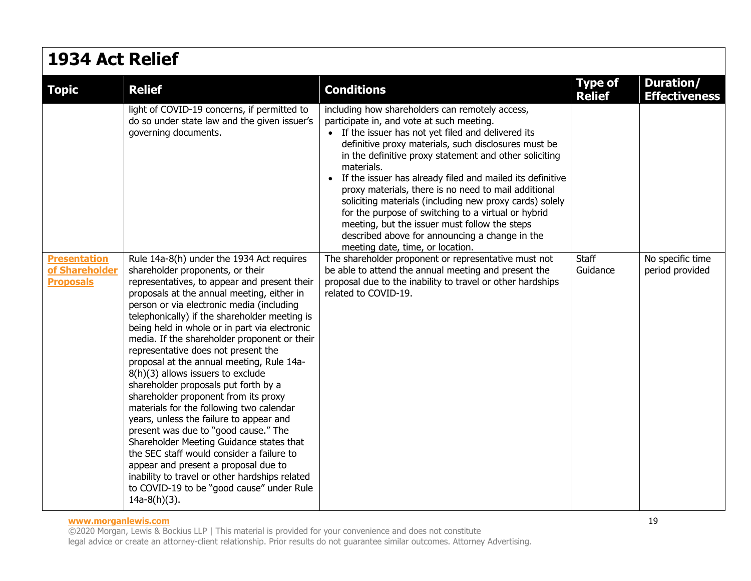## **1934 Act Relief**

| <b>Topic</b>                                              | <b>Relief</b>                                                                                                                                                                                                                                                                                                                                                                                                                                                                                                                                                                                                                                                                                                                                                                                                                                                                                                                                                         | <b>Conditions</b>                                                                                                                                                                                                                                                                                                                                                                                                                                                                                                                                                                                                                                                   | <b>Type of</b><br><b>Relief</b> | <b>Duration/</b><br><b>Effectiveness</b> |
|-----------------------------------------------------------|-----------------------------------------------------------------------------------------------------------------------------------------------------------------------------------------------------------------------------------------------------------------------------------------------------------------------------------------------------------------------------------------------------------------------------------------------------------------------------------------------------------------------------------------------------------------------------------------------------------------------------------------------------------------------------------------------------------------------------------------------------------------------------------------------------------------------------------------------------------------------------------------------------------------------------------------------------------------------|---------------------------------------------------------------------------------------------------------------------------------------------------------------------------------------------------------------------------------------------------------------------------------------------------------------------------------------------------------------------------------------------------------------------------------------------------------------------------------------------------------------------------------------------------------------------------------------------------------------------------------------------------------------------|---------------------------------|------------------------------------------|
|                                                           | light of COVID-19 concerns, if permitted to<br>do so under state law and the given issuer's<br>governing documents.                                                                                                                                                                                                                                                                                                                                                                                                                                                                                                                                                                                                                                                                                                                                                                                                                                                   | including how shareholders can remotely access,<br>participate in, and vote at such meeting.<br>• If the issuer has not yet filed and delivered its<br>definitive proxy materials, such disclosures must be<br>in the definitive proxy statement and other soliciting<br>materials.<br>• If the issuer has already filed and mailed its definitive<br>proxy materials, there is no need to mail additional<br>soliciting materials (including new proxy cards) solely<br>for the purpose of switching to a virtual or hybrid<br>meeting, but the issuer must follow the steps<br>described above for announcing a change in the<br>meeting date, time, or location. |                                 |                                          |
| <b>Presentation</b><br>of Shareholder<br><b>Proposals</b> | Rule 14a-8(h) under the 1934 Act requires<br>shareholder proponents, or their<br>representatives, to appear and present their<br>proposals at the annual meeting, either in<br>person or via electronic media (including<br>telephonically) if the shareholder meeting is<br>being held in whole or in part via electronic<br>media. If the shareholder proponent or their<br>representative does not present the<br>proposal at the annual meeting, Rule 14a-<br>8(h)(3) allows issuers to exclude<br>shareholder proposals put forth by a<br>shareholder proponent from its proxy<br>materials for the following two calendar<br>years, unless the failure to appear and<br>present was due to "good cause." The<br>Shareholder Meeting Guidance states that<br>the SEC staff would consider a failure to<br>appear and present a proposal due to<br>inability to travel or other hardships related<br>to COVID-19 to be "good cause" under Rule<br>$14a-8(h)(3)$ . | The shareholder proponent or representative must not<br>be able to attend the annual meeting and present the<br>proposal due to the inability to travel or other hardships<br>related to COVID-19.                                                                                                                                                                                                                                                                                                                                                                                                                                                                  | Staff<br>Guidance               | No specific time<br>period provided      |

#### **www.morganlewis.com** 19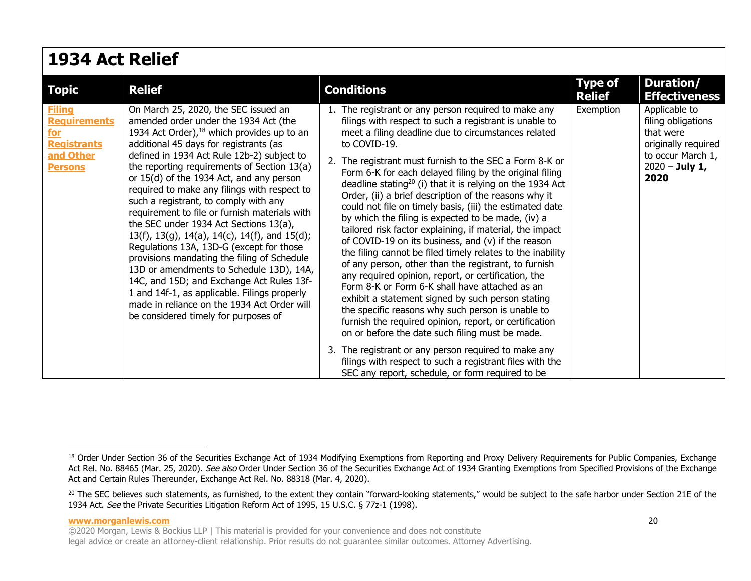| <b>1934 Act Relief</b>                                                                           |                                                                                                                                                                                                                                                                                                                                                                                                                                                                                                                                                                                                                                                                                                                                                                                                                                                                                            |                                                                                                                                                                                                                                                                                                                                                                                                                                                                                                                                                                                                                                                                                                                                                                                                                                                                                                                                                                                                                                                                                                                                                                                                                                                                                                                 |                                 |                                                                                                                          |  |
|--------------------------------------------------------------------------------------------------|--------------------------------------------------------------------------------------------------------------------------------------------------------------------------------------------------------------------------------------------------------------------------------------------------------------------------------------------------------------------------------------------------------------------------------------------------------------------------------------------------------------------------------------------------------------------------------------------------------------------------------------------------------------------------------------------------------------------------------------------------------------------------------------------------------------------------------------------------------------------------------------------|-----------------------------------------------------------------------------------------------------------------------------------------------------------------------------------------------------------------------------------------------------------------------------------------------------------------------------------------------------------------------------------------------------------------------------------------------------------------------------------------------------------------------------------------------------------------------------------------------------------------------------------------------------------------------------------------------------------------------------------------------------------------------------------------------------------------------------------------------------------------------------------------------------------------------------------------------------------------------------------------------------------------------------------------------------------------------------------------------------------------------------------------------------------------------------------------------------------------------------------------------------------------------------------------------------------------|---------------------------------|--------------------------------------------------------------------------------------------------------------------------|--|
| <b>Topic</b>                                                                                     | <b>Relief</b>                                                                                                                                                                                                                                                                                                                                                                                                                                                                                                                                                                                                                                                                                                                                                                                                                                                                              | <b>Conditions</b>                                                                                                                                                                                                                                                                                                                                                                                                                                                                                                                                                                                                                                                                                                                                                                                                                                                                                                                                                                                                                                                                                                                                                                                                                                                                                               | <b>Type of</b><br><b>Relief</b> | Duration/<br><b>Effectiveness</b>                                                                                        |  |
| <b>Filing</b><br><b>Requirements</b><br>for<br><b>Registrants</b><br>and Other<br><b>Persons</b> | On March 25, 2020, the SEC issued an<br>amended order under the 1934 Act (the<br>1934 Act Order), <sup>18</sup> which provides up to an<br>additional 45 days for registrants (as<br>defined in 1934 Act Rule 12b-2) subject to<br>the reporting requirements of Section 13(a)<br>or 15(d) of the 1934 Act, and any person<br>required to make any filings with respect to<br>such a registrant, to comply with any<br>requirement to file or furnish materials with<br>the SEC under 1934 Act Sections 13(a),<br>13(f), 13(g), 14(a), 14(c), 14(f), and 15(d);<br>Regulations 13A, 13D-G (except for those<br>provisions mandating the filing of Schedule<br>13D or amendments to Schedule 13D), 14A,<br>14C, and 15D; and Exchange Act Rules 13f-<br>1 and 14f-1, as applicable. Filings properly<br>made in reliance on the 1934 Act Order will<br>be considered timely for purposes of | 1. The registrant or any person required to make any<br>filings with respect to such a registrant is unable to<br>meet a filing deadline due to circumstances related<br>to COVID-19.<br>2. The registrant must furnish to the SEC a Form 8-K or<br>Form 6-K for each delayed filing by the original filing<br>deadline stating <sup>20</sup> (i) that it is relying on the 1934 Act<br>Order, (ii) a brief description of the reasons why it<br>could not file on timely basis, (iii) the estimated date<br>by which the filing is expected to be made, (iv) a<br>tailored risk factor explaining, if material, the impact<br>of COVID-19 on its business, and (v) if the reason<br>the filing cannot be filed timely relates to the inability<br>of any person, other than the registrant, to furnish<br>any required opinion, report, or certification, the<br>Form 8-K or Form 6-K shall have attached as an<br>exhibit a statement signed by such person stating<br>the specific reasons why such person is unable to<br>furnish the required opinion, report, or certification<br>on or before the date such filing must be made.<br>3. The registrant or any person required to make any<br>filings with respect to such a registrant files with the<br>SEC any report, schedule, or form required to be | Exemption                       | Applicable to<br>filing obligations<br>that were<br>originally required<br>to occur March 1,<br>$2020 - July 1,$<br>2020 |  |

<span id="page-19-0"></span><sup>18</sup> Order Under Section 36 of the Securities Exchange Act of 1934 Modifying Exemptions from Reporting and Proxy Delivery Requirements for Public Companies, Exchange Act Rel. No. 88465 (Mar. 25, 2020). See also Order Under Section 36 of the Securities Exchange Act of 1934 Granting Exemptions from Specified Provisions of the Exchange Act and Certain Rules Thereunder, Exchange Act Rel. No. 88318 (Mar. 4, 2020).

<span id="page-19-1"></span><sup>&</sup>lt;sup>20</sup> The SEC believes such statements, as furnished, to the extent they contain "forward-looking statements," would be subject to the safe harbor under Section 21E of the 1934 Act. See the Private Securities Litigation Reform Act of 1995, 15 U.S.C. § 77z-1 (1998).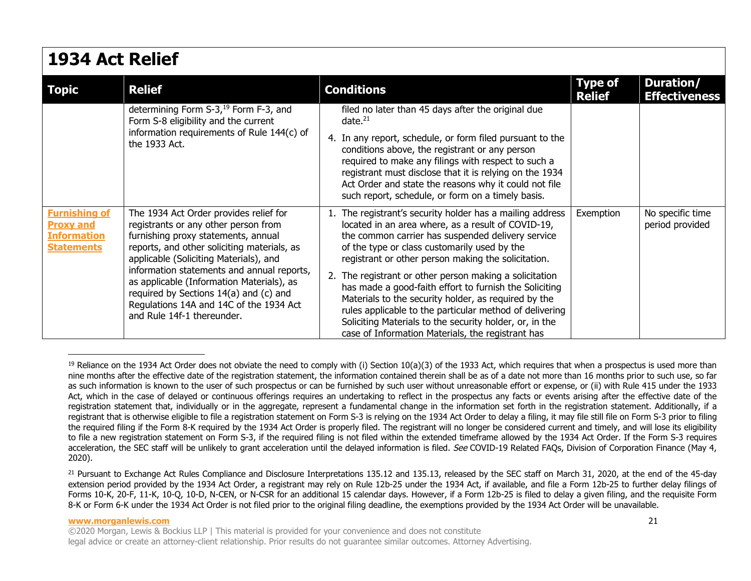### **1934 Act Relief**

| <b>Topic</b>                                                                        | <b>Relief</b>                                                                                                                                                                                                                                                                                                                                                                                                                | <b>Conditions</b>                                                                                                                                                                                                                                                                                                                                                                                                                                                                                                                                                                                                                   | <b>Type of</b><br><b>Relief</b> | Duration/<br><b>Effectiveness</b>   |
|-------------------------------------------------------------------------------------|------------------------------------------------------------------------------------------------------------------------------------------------------------------------------------------------------------------------------------------------------------------------------------------------------------------------------------------------------------------------------------------------------------------------------|-------------------------------------------------------------------------------------------------------------------------------------------------------------------------------------------------------------------------------------------------------------------------------------------------------------------------------------------------------------------------------------------------------------------------------------------------------------------------------------------------------------------------------------------------------------------------------------------------------------------------------------|---------------------------------|-------------------------------------|
|                                                                                     | determining Form S-3, <sup>19</sup> Form F-3, and<br>Form S-8 eligibility and the current<br>information requirements of Rule 144(c) of<br>the 1933 Act.                                                                                                                                                                                                                                                                     | filed no later than 45 days after the original due<br>date. $21$                                                                                                                                                                                                                                                                                                                                                                                                                                                                                                                                                                    |                                 |                                     |
|                                                                                     |                                                                                                                                                                                                                                                                                                                                                                                                                              | 4. In any report, schedule, or form filed pursuant to the<br>conditions above, the registrant or any person<br>required to make any filings with respect to such a<br>registrant must disclose that it is relying on the 1934<br>Act Order and state the reasons why it could not file<br>such report, schedule, or form on a timely basis.                                                                                                                                                                                                                                                                                         |                                 |                                     |
| <b>Furnishing of</b><br><b>Proxy and</b><br><b>Information</b><br><b>Statements</b> | The 1934 Act Order provides relief for<br>registrants or any other person from<br>furnishing proxy statements, annual<br>reports, and other soliciting materials, as<br>applicable (Soliciting Materials), and<br>information statements and annual reports,<br>as applicable (Information Materials), as<br>required by Sections 14(a) and (c) and<br>Regulations 14A and 14C of the 1934 Act<br>and Rule 14f-1 thereunder. | 1. The registrant's security holder has a mailing address<br>located in an area where, as a result of COVID-19,<br>the common carrier has suspended delivery service<br>of the type or class customarily used by the<br>registrant or other person making the solicitation.<br>2. The registrant or other person making a solicitation<br>has made a good-faith effort to furnish the Soliciting<br>Materials to the security holder, as required by the<br>rules applicable to the particular method of delivering<br>Soliciting Materials to the security holder, or, in the<br>case of Information Materials, the registrant has | Exemption                       | No specific time<br>period provided |

<sup>&</sup>lt;sup>19</sup> Reliance on the 1934 Act Order does not obviate the need to comply with (i) Section  $10(a)(3)$  of the 1933 Act, which requires that when a prospectus is used more than nine months after the effective date of the registration statement, the information contained therein shall be as of a date not more than 16 months prior to such use, so far as such information is known to the user of such prospectus or can be furnished by such user without unreasonable effort or expense, or (ii) with Rule 415 under the 1933 Act, which in the case of delayed or continuous offerings requires an undertaking to reflect in the prospectus any facts or events arising after the effective date of the registration statement that, individually or in the aggregate, represent a fundamental change in the information set forth in the registration statement. Additionally, if a registrant that is otherwise eligible to file a registration statement on Form S-3 is relying on the 1934 Act Order to delay a filing, it may file still file on Form S-3 prior to filing the required filing if the Form 8-K required by the 1934 Act Order is properly filed. The registrant will no longer be considered current and timely, and will lose its eligibility to file a new registration statement on Form S-3, if the required filing is not filed within the extended timeframe allowed by the 1934 Act Order. If the Form S-3 requires acceleration, the SEC staff will be unlikely to grant acceleration until the delayed information is filed. See COVID-19 Related FAQs, Division of Corporation Finance (May 4, 2020).

#### **www.morganlewis.com** 21

<span id="page-20-0"></span><sup>&</sup>lt;sup>21</sup> Pursuant to Exchange Act Rules Compliance and Disclosure Interpretations 135.12 and 135.13, released by the SEC staff on March 31, 2020, at the end of the 45-day extension period provided by the 1934 Act Order, a registrant may rely on Rule 12b-25 under the 1934 Act, if available, and file a Form 12b-25 to further delay filings of Forms 10-K, 20-F, 11-K, 10-Q, 10-D, N-CEN, or N-CSR for an additional 15 calendar days. However, if a Form 12b-25 is filed to delay a given filing, and the requisite Form 8-K or Form 6-K under the 1934 Act Order is not filed prior to the original filing deadline, the exemptions provided by the 1934 Act Order will be unavailable.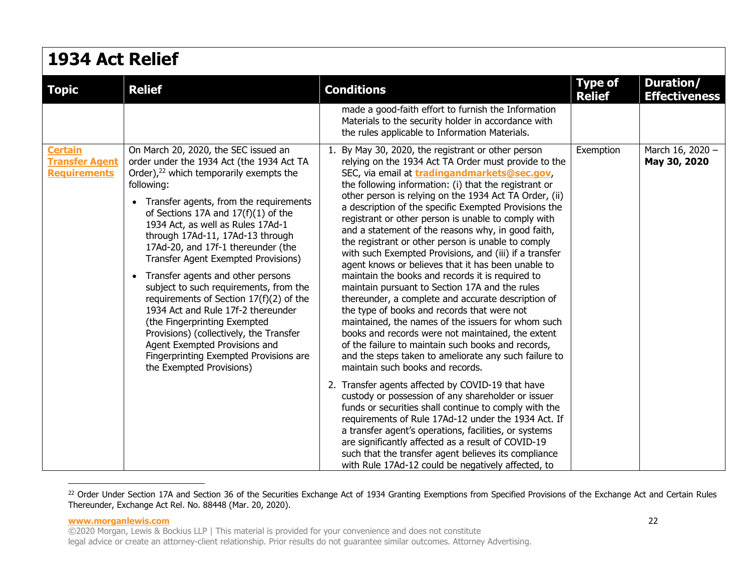| 1934 Act Relief                                                |                                                                                                                                                                                                                                                                                                                                                                                                                                                                                                                                                                                                                                                                                                                                                       |                                                                                                                                                                                                                                                                                                                                                                                                                                                                                                                                                                                                                                                                                                                                                                                                                                                                                                                                                                                                                                                                                                            |                                 |                                   |  |
|----------------------------------------------------------------|-------------------------------------------------------------------------------------------------------------------------------------------------------------------------------------------------------------------------------------------------------------------------------------------------------------------------------------------------------------------------------------------------------------------------------------------------------------------------------------------------------------------------------------------------------------------------------------------------------------------------------------------------------------------------------------------------------------------------------------------------------|------------------------------------------------------------------------------------------------------------------------------------------------------------------------------------------------------------------------------------------------------------------------------------------------------------------------------------------------------------------------------------------------------------------------------------------------------------------------------------------------------------------------------------------------------------------------------------------------------------------------------------------------------------------------------------------------------------------------------------------------------------------------------------------------------------------------------------------------------------------------------------------------------------------------------------------------------------------------------------------------------------------------------------------------------------------------------------------------------------|---------------------------------|-----------------------------------|--|
| <b>Topic</b>                                                   | <b>Relief</b>                                                                                                                                                                                                                                                                                                                                                                                                                                                                                                                                                                                                                                                                                                                                         | <b>Conditions</b>                                                                                                                                                                                                                                                                                                                                                                                                                                                                                                                                                                                                                                                                                                                                                                                                                                                                                                                                                                                                                                                                                          | <b>Type of</b><br><b>Relief</b> | Duration/<br><b>Effectiveness</b> |  |
|                                                                |                                                                                                                                                                                                                                                                                                                                                                                                                                                                                                                                                                                                                                                                                                                                                       | made a good-faith effort to furnish the Information<br>Materials to the security holder in accordance with<br>the rules applicable to Information Materials.                                                                                                                                                                                                                                                                                                                                                                                                                                                                                                                                                                                                                                                                                                                                                                                                                                                                                                                                               |                                 |                                   |  |
| <b>Certain</b><br><b>Transfer Agent</b><br><b>Requirements</b> | On March 20, 2020, the SEC issued an<br>order under the 1934 Act (the 1934 Act TA<br>Order), <sup>22</sup> which temporarily exempts the<br>following:<br>• Transfer agents, from the requirements<br>of Sections 17A and $17(f)(1)$ of the<br>1934 Act, as well as Rules 17Ad-1<br>through 17Ad-11, 17Ad-13 through<br>17Ad-20, and 17f-1 thereunder (the<br>Transfer Agent Exempted Provisions)<br>• Transfer agents and other persons<br>subject to such requirements, from the<br>requirements of Section 17(f)(2) of the<br>1934 Act and Rule 17f-2 thereunder<br>(the Fingerprinting Exempted<br>Provisions) (collectively, the Transfer<br>Agent Exempted Provisions and<br>Fingerprinting Exempted Provisions are<br>the Exempted Provisions) | 1. By May 30, 2020, the registrant or other person<br>relying on the 1934 Act TA Order must provide to the<br>SEC, via email at <b>tradingandmarkets@sec.gov</b> ,<br>the following information: (i) that the registrant or<br>other person is relying on the 1934 Act TA Order, (ii)<br>a description of the specific Exempted Provisions the<br>registrant or other person is unable to comply with<br>and a statement of the reasons why, in good faith,<br>the registrant or other person is unable to comply<br>with such Exempted Provisions, and (iii) if a transfer<br>agent knows or believes that it has been unable to<br>maintain the books and records it is required to<br>maintain pursuant to Section 17A and the rules<br>thereunder, a complete and accurate description of<br>the type of books and records that were not<br>maintained, the names of the issuers for whom such<br>books and records were not maintained, the extent<br>of the failure to maintain such books and records,<br>and the steps taken to ameliorate any such failure to<br>maintain such books and records. | Exemption                       | March 16, 2020 -<br>May 30, 2020  |  |
|                                                                |                                                                                                                                                                                                                                                                                                                                                                                                                                                                                                                                                                                                                                                                                                                                                       | 2. Transfer agents affected by COVID-19 that have<br>custody or possession of any shareholder or issuer<br>funds or securities shall continue to comply with the<br>requirements of Rule 17Ad-12 under the 1934 Act. If<br>a transfer agent's operations, facilities, or systems<br>are significantly affected as a result of COVID-19<br>such that the transfer agent believes its compliance<br>with Rule 17Ad-12 could be negatively affected, to                                                                                                                                                                                                                                                                                                                                                                                                                                                                                                                                                                                                                                                       |                                 |                                   |  |

<span id="page-21-0"></span><sup>22</sup> Order Under Section 17A and Section 36 of the Securities Exchange Act of 1934 Granting Exemptions from Specified Provisions of the Exchange Act and Certain Rules Thereunder, Exchange Act Rel. No. 88448 (Mar. 20, 2020).

#### **www.morganlewis.com** 22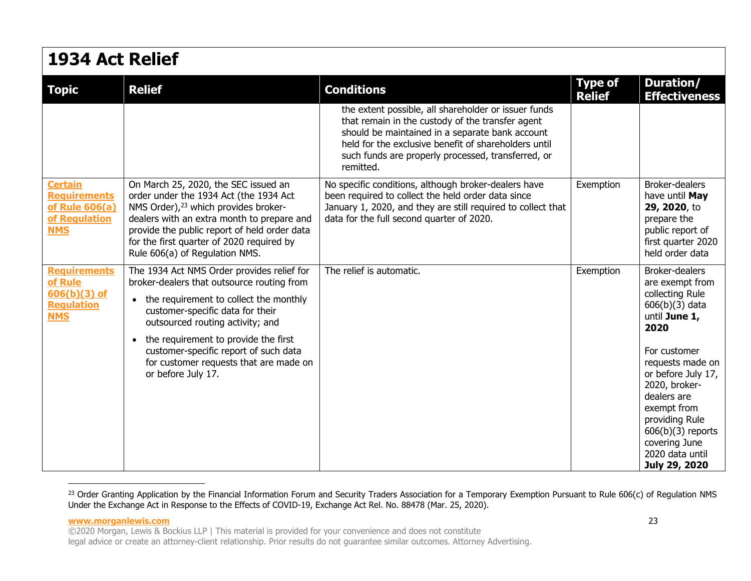| 1934 Act Relief                                                                                                                                                                                                                                                                                                                                                 |                                                                                                                                                                                                                                                                                        |                                 |                                                                                                                                                                                                                                                                                         |  |
|-----------------------------------------------------------------------------------------------------------------------------------------------------------------------------------------------------------------------------------------------------------------------------------------------------------------------------------------------------------------|----------------------------------------------------------------------------------------------------------------------------------------------------------------------------------------------------------------------------------------------------------------------------------------|---------------------------------|-----------------------------------------------------------------------------------------------------------------------------------------------------------------------------------------------------------------------------------------------------------------------------------------|--|
| <b>Relief</b>                                                                                                                                                                                                                                                                                                                                                   | <b>Conditions</b>                                                                                                                                                                                                                                                                      | <b>Type of</b><br><b>Relief</b> | Duration/<br><b>Effectiveness</b>                                                                                                                                                                                                                                                       |  |
|                                                                                                                                                                                                                                                                                                                                                                 | the extent possible, all shareholder or issuer funds<br>that remain in the custody of the transfer agent<br>should be maintained in a separate bank account<br>held for the exclusive benefit of shareholders until<br>such funds are properly processed, transferred, or<br>remitted. |                                 |                                                                                                                                                                                                                                                                                         |  |
| On March 25, 2020, the SEC issued an<br>order under the 1934 Act (the 1934 Act<br>NMS Order), <sup>23</sup> which provides broker-<br>dealers with an extra month to prepare and<br>provide the public report of held order data<br>for the first quarter of 2020 required by<br>Rule 606(a) of Regulation NMS.                                                 | No specific conditions, although broker-dealers have<br>been required to collect the held order data since<br>January 1, 2020, and they are still required to collect that<br>data for the full second quarter of 2020.                                                                | Exemption                       | <b>Broker-dealers</b><br>have until May<br>29, 2020, to<br>prepare the<br>public report of<br>first quarter 2020<br>held order data                                                                                                                                                     |  |
| The 1934 Act NMS Order provides relief for<br>broker-dealers that outsource routing from<br>• the requirement to collect the monthly<br>customer-specific data for their<br>outsourced routing activity; and<br>• the requirement to provide the first<br>customer-specific report of such data<br>for customer requests that are made on<br>or before July 17. | The relief is automatic.                                                                                                                                                                                                                                                               | Exemption                       | Broker-dealers<br>are exempt from<br>collecting Rule<br>$606(b)(3)$ data<br>until June 1,<br>2020<br>For customer<br>requests made on<br>or before July 17,<br>2020, broker-<br>dealers are<br>exempt from<br>providing Rule<br>$606(b)(3)$ reports<br>covering June<br>2020 data until |  |
|                                                                                                                                                                                                                                                                                                                                                                 |                                                                                                                                                                                                                                                                                        |                                 |                                                                                                                                                                                                                                                                                         |  |

<sup>23</sup> Order Granting Application by the Financial Information Forum and Security Traders Association for a Temporary Exemption Pursuant to Rule 606(c) of Regulation NMS Under the Exchange Act in Response to the Effects of COVID-19, Exchange Act Rel. No. 88478 (Mar. 25, 2020).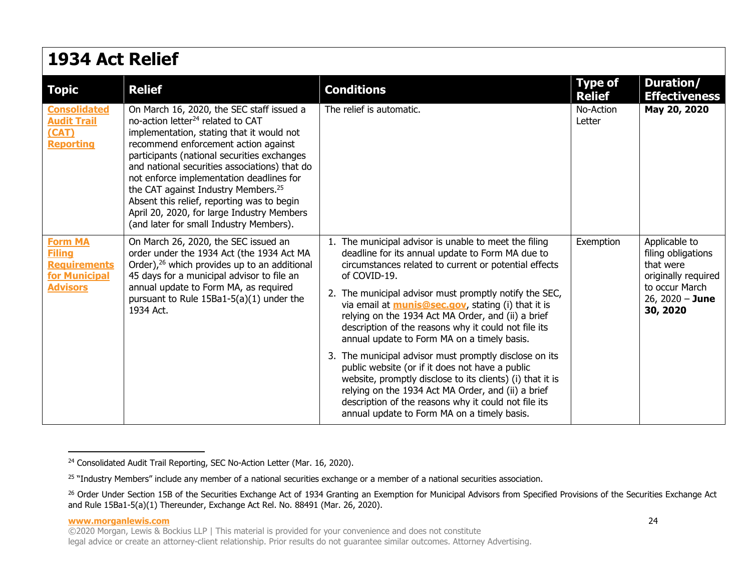### **1934 Act Relief**

| <b>Topic</b>                                                                               | <b>Relief</b>                                                                                                                                                                                                                                                                                                                                                                                                                                                                                                         | <b>Conditions</b>                                                                                                                                                                                                                                                                                                                                                                                                                                                                                                                                                                                                                                                                                                                                                                                              | <b>Type of</b><br><b>Relief</b> | Duration/<br><b>Effectiveness</b>                                                                                          |
|--------------------------------------------------------------------------------------------|-----------------------------------------------------------------------------------------------------------------------------------------------------------------------------------------------------------------------------------------------------------------------------------------------------------------------------------------------------------------------------------------------------------------------------------------------------------------------------------------------------------------------|----------------------------------------------------------------------------------------------------------------------------------------------------------------------------------------------------------------------------------------------------------------------------------------------------------------------------------------------------------------------------------------------------------------------------------------------------------------------------------------------------------------------------------------------------------------------------------------------------------------------------------------------------------------------------------------------------------------------------------------------------------------------------------------------------------------|---------------------------------|----------------------------------------------------------------------------------------------------------------------------|
| <b>Consolidated</b><br><b>Audit Trail</b><br>(CAT)<br><b>Reporting</b>                     | On March 16, 2020, the SEC staff issued a<br>no-action letter <sup>24</sup> related to CAT<br>implementation, stating that it would not<br>recommend enforcement action against<br>participants (national securities exchanges<br>and national securities associations) that do<br>not enforce implementation deadlines for<br>the CAT against Industry Members. <sup>25</sup><br>Absent this relief, reporting was to begin<br>April 20, 2020, for large Industry Members<br>(and later for small Industry Members). | The relief is automatic.                                                                                                                                                                                                                                                                                                                                                                                                                                                                                                                                                                                                                                                                                                                                                                                       | No-Action<br>Letter             | May 20, 2020                                                                                                               |
| <b>Form MA</b><br><b>Filing</b><br><b>Requirements</b><br>for Municipal<br><b>Advisors</b> | On March 26, 2020, the SEC issued an<br>order under the 1934 Act (the 1934 Act MA<br>Order), <sup>26</sup> which provides up to an additional<br>45 days for a municipal advisor to file an<br>annual update to Form MA, as required<br>pursuant to Rule $15Ba1-5(a)(1)$ under the<br>1934 Act.                                                                                                                                                                                                                       | 1. The municipal advisor is unable to meet the filing<br>deadline for its annual update to Form MA due to<br>circumstances related to current or potential effects<br>of COVID-19.<br>2. The municipal advisor must promptly notify the SEC,<br>via email at <b>munis@sec.gov</b> , stating (i) that it is<br>relying on the 1934 Act MA Order, and (ii) a brief<br>description of the reasons why it could not file its<br>annual update to Form MA on a timely basis.<br>3. The municipal advisor must promptly disclose on its<br>public website (or if it does not have a public<br>website, promptly disclose to its clients) (i) that it is<br>relying on the 1934 Act MA Order, and (ii) a brief<br>description of the reasons why it could not file its<br>annual update to Form MA on a timely basis. | Exemption                       | Applicable to<br>filing obligations<br>that were<br>originally required<br>to occur March<br>26, 2020 $-$ June<br>30, 2020 |

**www.morganlewis.com** 24

<span id="page-23-0"></span><sup>&</sup>lt;sup>24</sup> Consolidated Audit Trail Reporting, SEC No-Action Letter (Mar. 16, 2020).

<span id="page-23-1"></span><sup>&</sup>lt;sup>25</sup> "Industry Members" include any member of a national securities exchange or a member of a national securities association.

<sup>&</sup>lt;sup>26</sup> Order Under Section 15B of the Securities Exchange Act of 1934 Granting an Exemption for Municipal Advisors from Specified Provisions of the Securities Exchange Act and Rule 15Ba1-5(a)(1) Thereunder, Exchange Act Rel. No. 88491 (Mar. 26, 2020).

<sup>©2020</sup> Morgan, Lewis & Bockius LLP | This material is provided for your convenience and does not constitute legal advice or create an attorney-client relationship. Prior results do not guarantee similar outcomes. Attorney Advertising.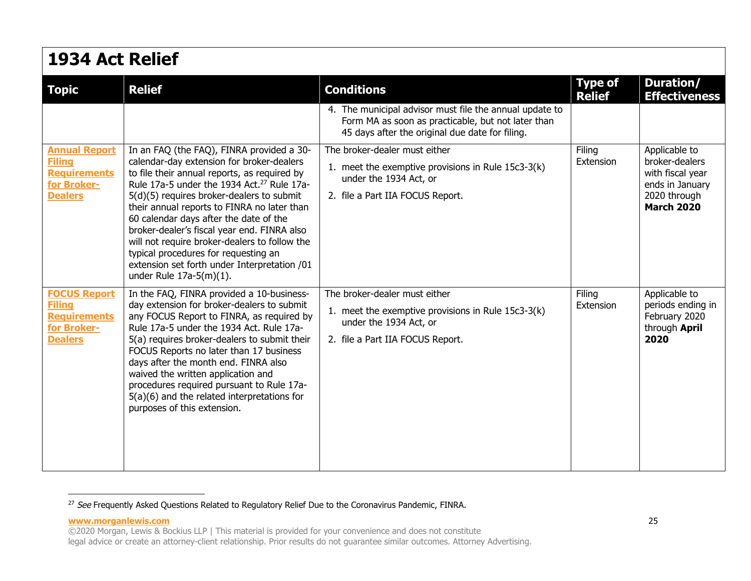### **1934 Act Relief**

| <b>Topic</b>                                                                                  | <b>Relief</b>                                                                                                                                                                                                                                                                                                                                                                                                                                                                                                                                                | <b>Conditions</b>                                                                                                                                                | <b>Type of</b>      | Duration/                                                                                                   |
|-----------------------------------------------------------------------------------------------|--------------------------------------------------------------------------------------------------------------------------------------------------------------------------------------------------------------------------------------------------------------------------------------------------------------------------------------------------------------------------------------------------------------------------------------------------------------------------------------------------------------------------------------------------------------|------------------------------------------------------------------------------------------------------------------------------------------------------------------|---------------------|-------------------------------------------------------------------------------------------------------------|
|                                                                                               |                                                                                                                                                                                                                                                                                                                                                                                                                                                                                                                                                              | 4. The municipal advisor must file the annual update to<br>Form MA as soon as practicable, but not later than<br>45 days after the original due date for filing. | <b>Relief</b>       | <b>Effectiveness</b>                                                                                        |
| <b>Annual Report</b><br><b>Filing</b><br><b>Requirements</b><br>for Broker-<br><b>Dealers</b> | In an FAQ (the FAQ), FINRA provided a 30-<br>calendar-day extension for broker-dealers<br>to file their annual reports, as required by<br>Rule 17a-5 under the 1934 Act. <sup>27</sup> Rule 17a-<br>5(d)(5) requires broker-dealers to submit<br>their annual reports to FINRA no later than<br>60 calendar days after the date of the<br>broker-dealer's fiscal year end. FINRA also<br>will not require broker-dealers to follow the<br>typical procedures for requesting an<br>extension set forth under Interpretation /01<br>under Rule $17a-5(m)(1)$ . | The broker-dealer must either<br>1. meet the exemptive provisions in Rule 15c3-3(k)<br>under the 1934 Act, or<br>2. file a Part IIA FOCUS Report.                | Filing<br>Extension | Applicable to<br>broker-dealers<br>with fiscal year<br>ends in January<br>2020 through<br><b>March 2020</b> |
| <b>FOCUS Report</b><br><b>Filing</b><br><b>Requirements</b><br>for Broker-<br><b>Dealers</b>  | In the FAQ, FINRA provided a 10-business-<br>day extension for broker-dealers to submit<br>any FOCUS Report to FINRA, as required by<br>Rule 17a-5 under the 1934 Act. Rule 17a-<br>5(a) requires broker-dealers to submit their<br>FOCUS Reports no later than 17 business<br>days after the month end. FINRA also<br>waived the written application and<br>procedures required pursuant to Rule 17a-<br>$5(a)(6)$ and the related interpretations for<br>purposes of this extension.                                                                       | The broker-dealer must either<br>1. meet the exemptive provisions in Rule 15c3-3(k)<br>under the 1934 Act, or<br>2. file a Part IIA FOCUS Report.                | Filing<br>Extension | Applicable to<br>periods ending in<br>February 2020<br>through April<br>2020                                |

<span id="page-24-0"></span><sup>&</sup>lt;sup>27</sup> See Frequently Asked Questions Related to Regulatory Relief Due to the Coronavirus Pandemic, FINRA.

**www.morganlewis.com** 25

<sup>©2020</sup> Morgan, Lewis & Bockius LLP | This material is provided for your convenience and does not constitute legal advice or create an attorney-client relationship. Prior results do not guarantee similar outcomes. Attorney Advertising.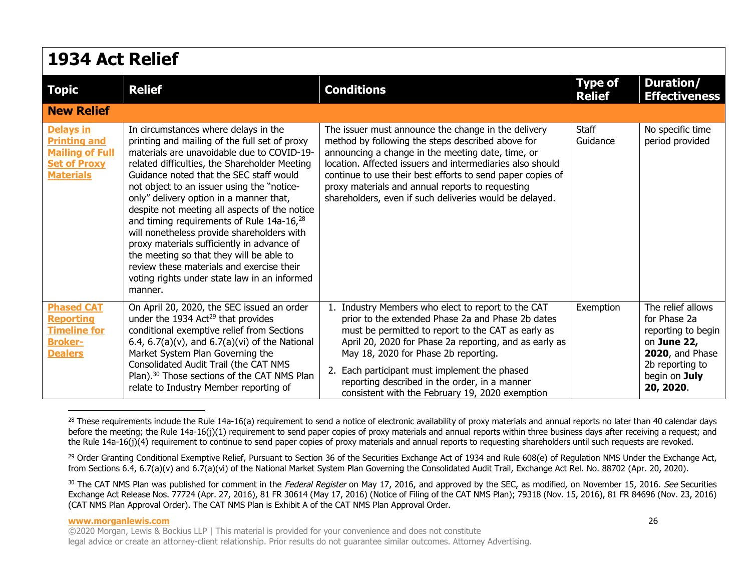| 1934 Act Relief                                                                                              |                                                                                                                                                                                                                                                                                                                                                                                                                                                                                                                                                                                                                                                                                    |                                                                                                                                                                                                                                                                                                                                                                                                                |                                 |                                                                                                                                                    |  |
|--------------------------------------------------------------------------------------------------------------|------------------------------------------------------------------------------------------------------------------------------------------------------------------------------------------------------------------------------------------------------------------------------------------------------------------------------------------------------------------------------------------------------------------------------------------------------------------------------------------------------------------------------------------------------------------------------------------------------------------------------------------------------------------------------------|----------------------------------------------------------------------------------------------------------------------------------------------------------------------------------------------------------------------------------------------------------------------------------------------------------------------------------------------------------------------------------------------------------------|---------------------------------|----------------------------------------------------------------------------------------------------------------------------------------------------|--|
| <b>Topic</b>                                                                                                 | <b>Relief</b>                                                                                                                                                                                                                                                                                                                                                                                                                                                                                                                                                                                                                                                                      | <b>Conditions</b>                                                                                                                                                                                                                                                                                                                                                                                              | <b>Type of</b><br><b>Relief</b> | Duration/<br><b>Effectiveness</b>                                                                                                                  |  |
| <b>New Relief</b>                                                                                            |                                                                                                                                                                                                                                                                                                                                                                                                                                                                                                                                                                                                                                                                                    |                                                                                                                                                                                                                                                                                                                                                                                                                |                                 |                                                                                                                                                    |  |
| <b>Delays in</b><br><b>Printing and</b><br><b>Mailing of Full</b><br><b>Set of Proxy</b><br><b>Materials</b> | In circumstances where delays in the<br>printing and mailing of the full set of proxy<br>materials are unavoidable due to COVID-19-<br>related difficulties, the Shareholder Meeting<br>Guidance noted that the SEC staff would<br>not object to an issuer using the "notice-<br>only" delivery option in a manner that,<br>despite not meeting all aspects of the notice<br>and timing requirements of Rule 14a-16, <sup>28</sup><br>will nonetheless provide shareholders with<br>proxy materials sufficiently in advance of<br>the meeting so that they will be able to<br>review these materials and exercise their<br>voting rights under state law in an informed<br>manner. | The issuer must announce the change in the delivery<br>method by following the steps described above for<br>announcing a change in the meeting date, time, or<br>location. Affected issuers and intermediaries also should<br>continue to use their best efforts to send paper copies of<br>proxy materials and annual reports to requesting<br>shareholders, even if such deliveries would be delayed.        | <b>Staff</b><br>Guidance        | No specific time<br>period provided                                                                                                                |  |
| <b>Phased CAT</b><br><b>Reporting</b><br><b>Timeline for</b><br><b>Broker-</b><br><b>Dealers</b>             | On April 20, 2020, the SEC issued an order<br>under the 1934 Act <sup>29</sup> that provides<br>conditional exemptive relief from Sections<br>6.4, 6.7(a)(v), and 6.7(a)(vi) of the National<br>Market System Plan Governing the<br>Consolidated Audit Trail (the CAT NMS<br>Plan). <sup>30</sup> Those sections of the CAT NMS Plan<br>relate to Industry Member reporting of                                                                                                                                                                                                                                                                                                     | Industry Members who elect to report to the CAT<br>prior to the extended Phase 2a and Phase 2b dates<br>must be permitted to report to the CAT as early as<br>April 20, 2020 for Phase 2a reporting, and as early as<br>May 18, 2020 for Phase 2b reporting.<br>Each participant must implement the phased<br>reporting described in the order, in a manner<br>consistent with the February 19, 2020 exemption | Exemption                       | The relief allows<br>for Phase 2a<br>reporting to begin<br>on June 22,<br><b>2020</b> , and Phase<br>2b reporting to<br>begin on July<br>20, 2020. |  |

<sup>28</sup> These requirements include th[e Rul](#page-25-1)e 14a-16(a) requirement to send a notice of electronic availability of proxy materials and annual reports no later than 40 calendar days before the meeting; the Rule 14a-16(j)(1) requirement to send paper copies of proxy materials and annual reports within three business days after receiving a request; and the Rule 14a-16(j)(4) requirement to continue to send paper copies of proxy materials and annual reports to requesting shareholders until such requests are revoked.

<span id="page-25-0"></span><sup>29</sup> Order Granting Conditional Exemptive Relief, Pursuant to Section 36 of the Securities Exchange Act of 1934 and Rule 608(e) of Regulation NMS Under the Exchange Act, from Sections 6.4, 6.7(a)(v) and 6.7(a)(vi) of the National Market System Plan Governing the Consolidated Audit Trail, Exchange Act Rel. No. 88702 (Apr. 20, 2020).

<span id="page-25-1"></span>30 The CAT NMS Plan was published for comment in the Federal Register on May 17, 2016, and approved by the SEC, as modified, on November 15, 2016. See Securities Exchange Act Release Nos. 77724 (Apr. 27, 2016), 81 FR 30614 (May 17, 2016) (Notice of Filing of the CAT NMS Plan); 79318 (Nov. 15, 2016), 81 FR 84696 (Nov. 23, 2016) (CAT NMS Plan Approval Order). The CAT NMS Plan is Exhibit A of the CAT NMS Plan Approval Order.

### **www.morganlewis.com** 26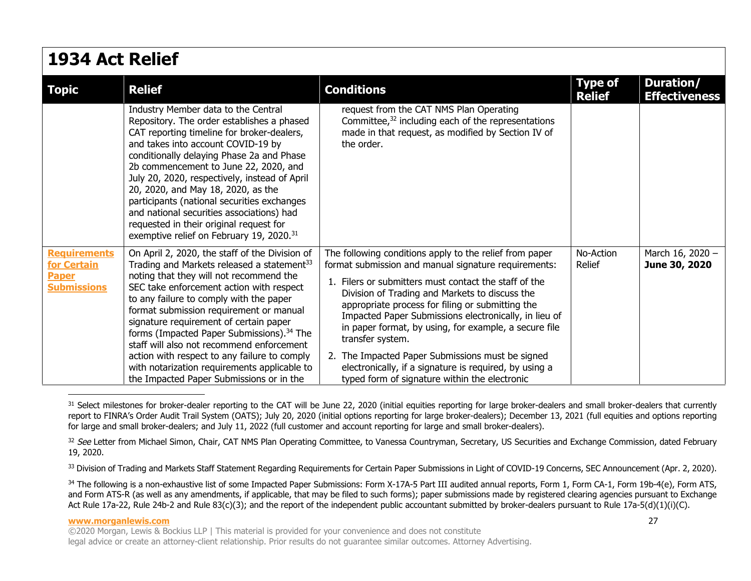| 1934 Act Relief             |                                                                                                                                                                                                                                                                                                                                                                                                                                                                                                                                                   |                                                                                                                                                                                                                                                                                                   |                                 |                                   |  |
|-----------------------------|---------------------------------------------------------------------------------------------------------------------------------------------------------------------------------------------------------------------------------------------------------------------------------------------------------------------------------------------------------------------------------------------------------------------------------------------------------------------------------------------------------------------------------------------------|---------------------------------------------------------------------------------------------------------------------------------------------------------------------------------------------------------------------------------------------------------------------------------------------------|---------------------------------|-----------------------------------|--|
| <b>Topic</b>                | <b>Relief</b>                                                                                                                                                                                                                                                                                                                                                                                                                                                                                                                                     | <b>Conditions</b>                                                                                                                                                                                                                                                                                 | <b>Type of</b><br><b>Relief</b> | Duration/<br><b>Effectiveness</b> |  |
|                             | Industry Member data to the Central<br>Repository. The order establishes a phased<br>CAT reporting timeline for broker-dealers,<br>and takes into account COVID-19 by<br>conditionally delaying Phase 2a and Phase<br>2b commencement to June 22, 2020, and<br>July 20, 2020, respectively, instead of April<br>20, 2020, and May 18, 2020, as the<br>participants (national securities exchanges<br>and national securities associations) had<br>requested in their original request for<br>exemptive relief on February 19, 2020. <sup>31</sup> | request from the CAT NMS Plan Operating<br>Committee, $32$ including each of the representations<br>made in that request, as modified by Section IV of<br>the order.                                                                                                                              |                                 |                                   |  |
| <b>Requirements</b>         | On April 2, 2020, the staff of the Division of                                                                                                                                                                                                                                                                                                                                                                                                                                                                                                    | The following conditions apply to the relief from paper                                                                                                                                                                                                                                           | No-Action                       | March 16, 2020 -                  |  |
| for Certain<br><b>Paper</b> | Trading and Markets released a statement <sup>33</sup><br>noting that they will not recommend the                                                                                                                                                                                                                                                                                                                                                                                                                                                 | format submission and manual signature requirements:                                                                                                                                                                                                                                              | Relief                          | June 30, 2020                     |  |
| <b>Submissions</b>          | SEC take enforcement action with respect<br>to any failure to comply with the paper<br>format submission requirement or manual<br>signature requirement of certain paper<br>forms (Impacted Paper Submissions). <sup>34</sup> The<br>staff will also not recommend enforcement                                                                                                                                                                                                                                                                    | 1. Filers or submitters must contact the staff of the<br>Division of Trading and Markets to discuss the<br>appropriate process for filing or submitting the<br>Impacted Paper Submissions electronically, in lieu of<br>in paper format, by using, for example, a secure file<br>transfer system. |                                 |                                   |  |
|                             | action with respect to any failure to comply<br>with notarization requirements applicable to<br>the Impacted Paper Submissions or in the                                                                                                                                                                                                                                                                                                                                                                                                          | 2. The Impacted Paper Submissions must be signed<br>electronically, if a signature is required, by using a<br>typed form of signature within the electronic                                                                                                                                       |                                 |                                   |  |

<span id="page-26-0"></span><sup>31</sup> Select milestones for broker-dealer reporting to the CAT will be June 22, 2020 (initial equities reporting for large broker-dealers and small broker-dealers that currently report to FINRA's Order Audit Trail System (OATS); July 20, 2020 (initial options reporting for large broker-dealers); December 13, 2021 (full equities and options reporting for large and small broker-dealers; and July 11, 2022 (full customer and account reporting for large and small broker-dealers).

32 See Letter from Michael Simon, Chair, CAT NMS Plan Operating Committee, to Vanessa Countryman, Secretary, US Securities and Exchange Commission, dated February 19, 2020.

<span id="page-26-1"></span>33 Division of Trading and Markets Staff Statement Regarding Requirements for Certain Paper Submissions in Light of COVID-19 Concerns, SEC Announcement (Apr. 2, 2020).

<span id="page-26-2"></span>34 The following is a non-exhaustive list of some Impacted Paper Submissions: Form X-17A-5 Part III audited annual reports, Form 1, Form CA-1, Form 19b-4(e), Form ATS, and Form ATS-R (as well as any amendments, if applicable, that may be filed to such forms); paper submissions made by registered clearing agencies pursuant to Exchange Act Rule 17a-22, Rule 24b-2 and Rule 83(c)(3); and the report of the independent public accountant submitted by broker-dealers pursuant to Rule 17a-5(d)(1)(i)(C).

### **www.morganlewis.com** 27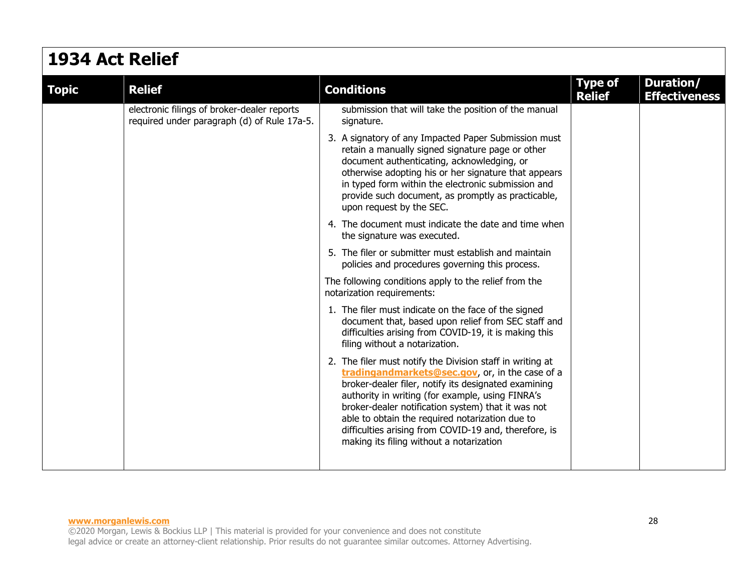### **1934 Act Relief**

| <b>Topic</b> | <b>Relief</b>                                                                              | <b>Conditions</b>                                                                                                                                                                                                                                                                                                                                                                                                                      | <b>Type of</b><br><b>Relief</b> | Duration/<br><b>Effectiveness</b> |
|--------------|--------------------------------------------------------------------------------------------|----------------------------------------------------------------------------------------------------------------------------------------------------------------------------------------------------------------------------------------------------------------------------------------------------------------------------------------------------------------------------------------------------------------------------------------|---------------------------------|-----------------------------------|
|              | electronic filings of broker-dealer reports<br>required under paragraph (d) of Rule 17a-5. | submission that will take the position of the manual<br>signature.                                                                                                                                                                                                                                                                                                                                                                     |                                 |                                   |
|              |                                                                                            | 3. A signatory of any Impacted Paper Submission must<br>retain a manually signed signature page or other<br>document authenticating, acknowledging, or<br>otherwise adopting his or her signature that appears<br>in typed form within the electronic submission and<br>provide such document, as promptly as practicable,<br>upon request by the SEC.                                                                                 |                                 |                                   |
|              |                                                                                            | 4. The document must indicate the date and time when<br>the signature was executed.                                                                                                                                                                                                                                                                                                                                                    |                                 |                                   |
|              |                                                                                            | 5. The filer or submitter must establish and maintain<br>policies and procedures governing this process.                                                                                                                                                                                                                                                                                                                               |                                 |                                   |
|              |                                                                                            | The following conditions apply to the relief from the<br>notarization requirements:                                                                                                                                                                                                                                                                                                                                                    |                                 |                                   |
|              |                                                                                            | 1. The filer must indicate on the face of the signed<br>document that, based upon relief from SEC staff and<br>difficulties arising from COVID-19, it is making this<br>filing without a notarization.                                                                                                                                                                                                                                 |                                 |                                   |
|              |                                                                                            | 2. The filer must notify the Division staff in writing at<br>tradingandmarkets@sec.gov, or, in the case of a<br>broker-dealer filer, notify its designated examining<br>authority in writing (for example, using FINRA's<br>broker-dealer notification system) that it was not<br>able to obtain the required notarization due to<br>difficulties arising from COVID-19 and, therefore, is<br>making its filing without a notarization |                                 |                                   |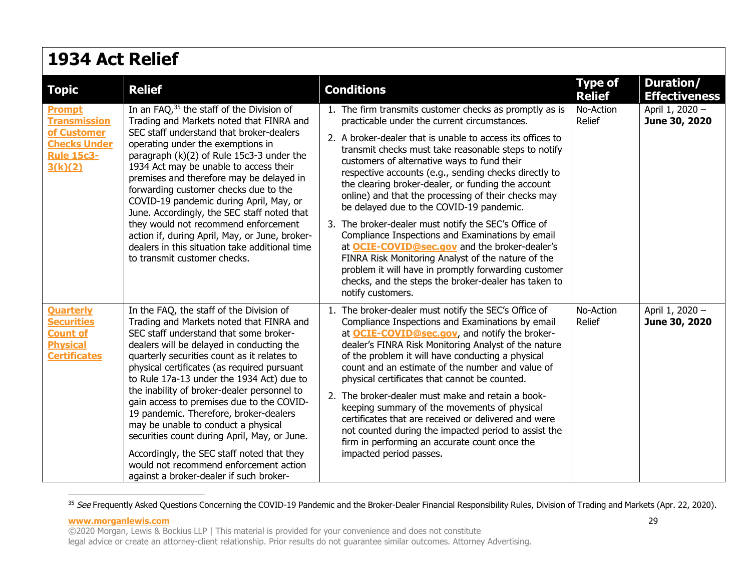| 1934 Act Relief                                                                                            |                                                                                                                                                                                                                                                                                                                                                                                                                                                                                                                                                                                                                                                                                        |                                                                                                                                                                                                                                                                                                                                                                                                                                                                                                                                                                                                                                                                                                                                                                                                                                                               |                                 |                                   |  |
|------------------------------------------------------------------------------------------------------------|----------------------------------------------------------------------------------------------------------------------------------------------------------------------------------------------------------------------------------------------------------------------------------------------------------------------------------------------------------------------------------------------------------------------------------------------------------------------------------------------------------------------------------------------------------------------------------------------------------------------------------------------------------------------------------------|---------------------------------------------------------------------------------------------------------------------------------------------------------------------------------------------------------------------------------------------------------------------------------------------------------------------------------------------------------------------------------------------------------------------------------------------------------------------------------------------------------------------------------------------------------------------------------------------------------------------------------------------------------------------------------------------------------------------------------------------------------------------------------------------------------------------------------------------------------------|---------------------------------|-----------------------------------|--|
| <b>Topic</b>                                                                                               | <b>Relief</b>                                                                                                                                                                                                                                                                                                                                                                                                                                                                                                                                                                                                                                                                          | <b>Conditions</b>                                                                                                                                                                                                                                                                                                                                                                                                                                                                                                                                                                                                                                                                                                                                                                                                                                             | <b>Type of</b><br><b>Relief</b> | Duration/<br><b>Effectiveness</b> |  |
| <b>Prompt</b><br><b>Transmission</b><br>of Customer<br><b>Checks Under</b><br><b>Rule 15c3-</b><br>3(k)(2) | In an FAQ, 35 the staff of the Division of<br>Trading and Markets noted that FINRA and<br>SEC staff understand that broker-dealers<br>operating under the exemptions in<br>paragraph (k)(2) of Rule 15c3-3 under the<br>1934 Act may be unable to access their<br>premises and therefore may be delayed in<br>forwarding customer checks due to the<br>COVID-19 pandemic during April, May, or<br>June. Accordingly, the SEC staff noted that<br>they would not recommend enforcement<br>action if, during April, May, or June, broker-<br>dealers in this situation take additional time<br>to transmit customer checks.                                                              | 1. The firm transmits customer checks as promptly as is<br>practicable under the current circumstances.<br>2. A broker-dealer that is unable to access its offices to<br>transmit checks must take reasonable steps to notify<br>customers of alternative ways to fund their<br>respective accounts (e.g., sending checks directly to<br>the clearing broker-dealer, or funding the account<br>online) and that the processing of their checks may<br>be delayed due to the COVID-19 pandemic.<br>3. The broker-dealer must notify the SEC's Office of<br>Compliance Inspections and Examinations by email<br>at <b>OCIE-COVID@sec.gov</b> and the broker-dealer's<br>FINRA Risk Monitoring Analyst of the nature of the<br>problem it will have in promptly forwarding customer<br>checks, and the steps the broker-dealer has taken to<br>notify customers. | No-Action<br><b>Relief</b>      | April 1, 2020 -<br>June 30, 2020  |  |
| <b>Quarterly</b><br><b>Securities</b><br><b>Count of</b><br><b>Physical</b><br><b>Certificates</b>         | In the FAQ, the staff of the Division of<br>Trading and Markets noted that FINRA and<br>SEC staff understand that some broker-<br>dealers will be delayed in conducting the<br>quarterly securities count as it relates to<br>physical certificates (as required pursuant<br>to Rule 17a-13 under the 1934 Act) due to<br>the inability of broker-dealer personnel to<br>gain access to premises due to the COVID-<br>19 pandemic. Therefore, broker-dealers<br>may be unable to conduct a physical<br>securities count during April, May, or June.<br>Accordingly, the SEC staff noted that they<br>would not recommend enforcement action<br>against a broker-dealer if such broker- | 1. The broker-dealer must notify the SEC's Office of<br>Compliance Inspections and Examinations by email<br>at <b>OCIE-COVID@sec.gov</b> , and notify the broker-<br>dealer's FINRA Risk Monitoring Analyst of the nature<br>of the problem it will have conducting a physical<br>count and an estimate of the number and value of<br>physical certificates that cannot be counted.<br>2. The broker-dealer must make and retain a book-<br>keeping summary of the movements of physical<br>certificates that are received or delivered and were<br>not counted during the impacted period to assist the<br>firm in performing an accurate count once the<br>impacted period passes.                                                                                                                                                                          | No-Action<br>Relief             | April 1, 2020 -<br>June 30, 2020  |  |

<span id="page-28-0"></span><sup>&</sup>lt;sup>35</sup> See Frequently Asked Questions Concerning the COVID-19 Pandemic and the Broker-Dealer Financial Responsibility Rules, Division of Trading and Markets (Apr. 22, 2020).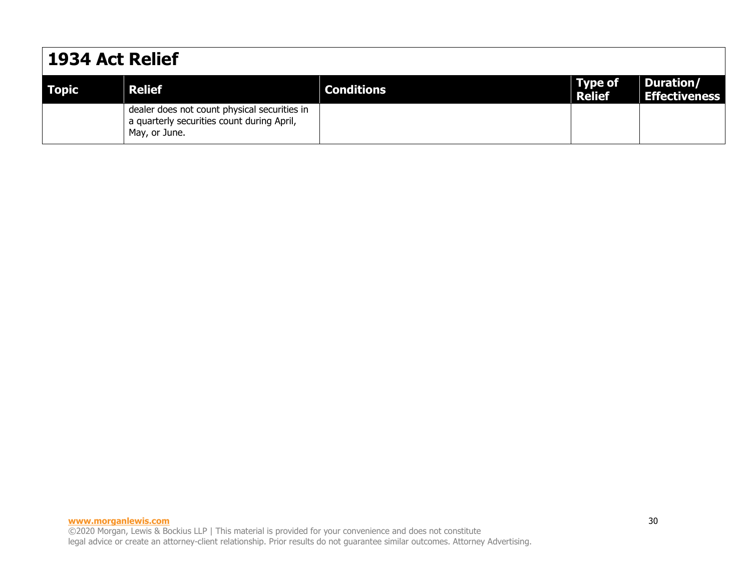### **1934 Act Relief**

| <b>Topic</b> | <b>Relief</b>                                                                                               | <b>Conditions</b> | $\blacksquare$ Type of<br>Relief | Duration/<br><b>Effectiveness</b> |
|--------------|-------------------------------------------------------------------------------------------------------------|-------------------|----------------------------------|-----------------------------------|
|              | dealer does not count physical securities in<br>a quarterly securities count during April,<br>May, or June. |                   |                                  |                                   |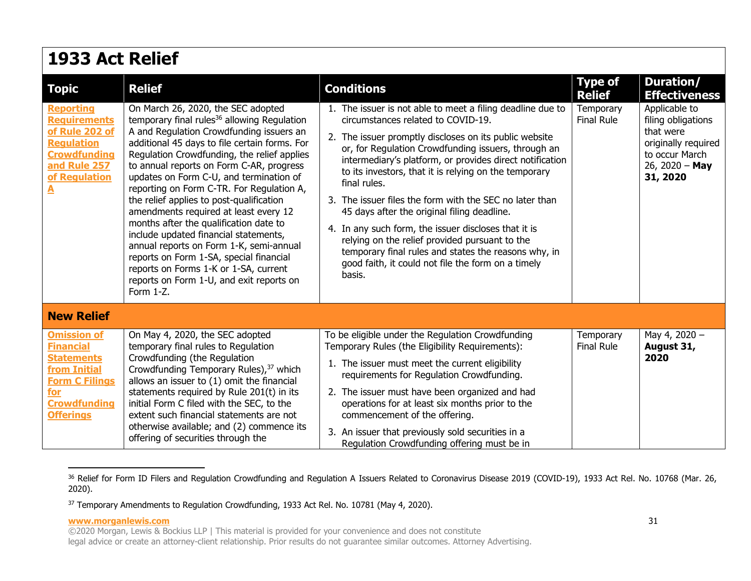| 1933 Act Relief                                                                                                                                                   |                                                                                                                                                                                                                                                                                                                                                                                                                                                                                                                                                                                                                                                                                                                                               |                                                                                                                                                                                                                                                                                                                                                                                                                                                                                                                                                                                                                                                                                                    |                                 |                                                                                                                         |  |  |
|-------------------------------------------------------------------------------------------------------------------------------------------------------------------|-----------------------------------------------------------------------------------------------------------------------------------------------------------------------------------------------------------------------------------------------------------------------------------------------------------------------------------------------------------------------------------------------------------------------------------------------------------------------------------------------------------------------------------------------------------------------------------------------------------------------------------------------------------------------------------------------------------------------------------------------|----------------------------------------------------------------------------------------------------------------------------------------------------------------------------------------------------------------------------------------------------------------------------------------------------------------------------------------------------------------------------------------------------------------------------------------------------------------------------------------------------------------------------------------------------------------------------------------------------------------------------------------------------------------------------------------------------|---------------------------------|-------------------------------------------------------------------------------------------------------------------------|--|--|
| <b>Topic</b>                                                                                                                                                      | <b>Relief</b>                                                                                                                                                                                                                                                                                                                                                                                                                                                                                                                                                                                                                                                                                                                                 | <b>Conditions</b>                                                                                                                                                                                                                                                                                                                                                                                                                                                                                                                                                                                                                                                                                  | <b>Type of</b><br><b>Relief</b> | Duration/<br><b>Effectiveness</b>                                                                                       |  |  |
| <b>Reporting</b><br><b>Requirements</b><br>of Rule 202 of<br><b>Regulation</b><br><b>Crowdfunding</b><br>and Rule 257<br>of Regulation<br>$\overline{\mathbf{A}}$ | On March 26, 2020, the SEC adopted<br>temporary final rules <sup>36</sup> allowing Regulation<br>A and Regulation Crowdfunding issuers an<br>additional 45 days to file certain forms. For<br>Regulation Crowdfunding, the relief applies<br>to annual reports on Form C-AR, progress<br>updates on Form C-U, and termination of<br>reporting on Form C-TR. For Regulation A,<br>the relief applies to post-qualification<br>amendments required at least every 12<br>months after the qualification date to<br>include updated financial statements,<br>annual reports on Form 1-K, semi-annual<br>reports on Form 1-SA, special financial<br>reports on Forms 1-K or 1-SA, current<br>reports on Form 1-U, and exit reports on<br>Form 1-Z. | 1. The issuer is not able to meet a filing deadline due to<br>circumstances related to COVID-19.<br>2. The issuer promptly discloses on its public website<br>or, for Regulation Crowdfunding issuers, through an<br>intermediary's platform, or provides direct notification<br>to its investors, that it is relying on the temporary<br>final rules.<br>3. The issuer files the form with the SEC no later than<br>45 days after the original filing deadline.<br>4. In any such form, the issuer discloses that it is<br>relying on the relief provided pursuant to the<br>temporary final rules and states the reasons why, in<br>good faith, it could not file the form on a timely<br>basis. | Temporary<br><b>Final Rule</b>  | Applicable to<br>filing obligations<br>that were<br>originally required<br>to occur March<br>26, 2020 - May<br>31, 2020 |  |  |
| <b>New Relief</b>                                                                                                                                                 |                                                                                                                                                                                                                                                                                                                                                                                                                                                                                                                                                                                                                                                                                                                                               |                                                                                                                                                                                                                                                                                                                                                                                                                                                                                                                                                                                                                                                                                                    |                                 |                                                                                                                         |  |  |
| <b>Omission of</b><br><b>Financial</b><br><b>Statements</b><br>from Initial<br><b>Form C Filings</b><br>for<br><b>Crowdfunding</b><br><b>Offerings</b>            | On May 4, 2020, the SEC adopted<br>temporary final rules to Regulation<br>Crowdfunding (the Regulation<br>Crowdfunding Temporary Rules), <sup>37</sup> which<br>allows an issuer to (1) omit the financial<br>statements required by Rule 201(t) in its<br>initial Form C filed with the SEC, to the<br>extent such financial statements are not<br>otherwise available; and (2) commence its<br>offering of securities through the                                                                                                                                                                                                                                                                                                           | To be eligible under the Regulation Crowdfunding<br>Temporary Rules (the Eligibility Requirements):<br>1. The issuer must meet the current eligibility<br>requirements for Regulation Crowdfunding.<br>2. The issuer must have been organized and had<br>operations for at least six months prior to the<br>commencement of the offering.<br>3. An issuer that previously sold securities in a<br>Regulation Crowdfunding offering must be in                                                                                                                                                                                                                                                      | Temporary<br><b>Final Rule</b>  | May 4, 2020 -<br>August 31,<br>2020                                                                                     |  |  |

<span id="page-30-0"></span><sup>&</sup>lt;sup>36</sup> Relief for Form ID Filers and Regulation Crowdfunding and Regulation A Issuers Related to Coronavirus Disease 2019 (COVID-19), 1933 Act Rel. No. 10768 (Mar. 26, 2020).

<sup>&</sup>lt;sup>37</sup> Temporary Amendments to Regulation Crowdfunding, 1933 Act Rel. No. 10781 (May 4, 2020).

<sup>©2020</sup> Morgan, Lewis & Bockius LLP | This material is provided for your convenience and does not constitute legal advice or create an attorney-client relationship. Prior results do not guarantee similar outcomes. Attorney Advertising.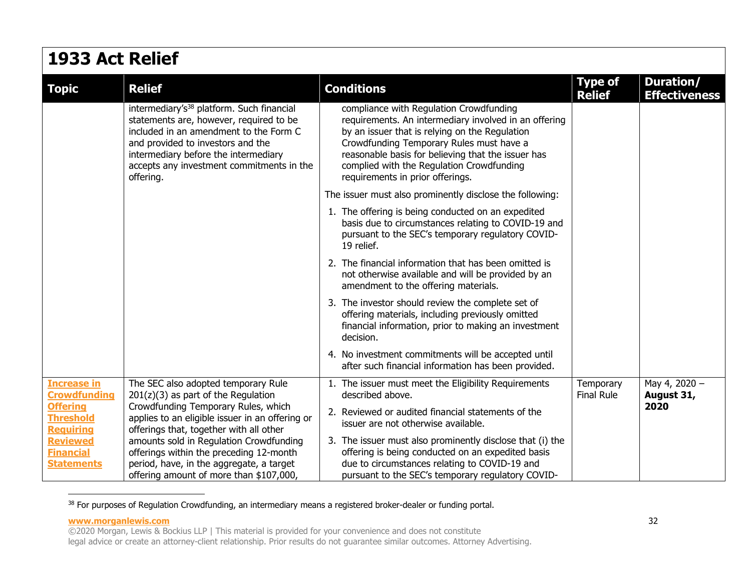| 1933 Act Relief                                                                                                                                                                              |                                                                                                                                                                                                                                                                                   |                                                                                                                                                                                                                                                                                                                                       |                                 |                                          |  |
|----------------------------------------------------------------------------------------------------------------------------------------------------------------------------------------------|-----------------------------------------------------------------------------------------------------------------------------------------------------------------------------------------------------------------------------------------------------------------------------------|---------------------------------------------------------------------------------------------------------------------------------------------------------------------------------------------------------------------------------------------------------------------------------------------------------------------------------------|---------------------------------|------------------------------------------|--|
| <b>Topic</b>                                                                                                                                                                                 | <b>Relief</b>                                                                                                                                                                                                                                                                     | <b>Conditions</b>                                                                                                                                                                                                                                                                                                                     | <b>Type of</b><br><b>Relief</b> | <b>Duration/</b><br><b>Effectiveness</b> |  |
|                                                                                                                                                                                              | intermediary's <sup>38</sup> platform. Such financial<br>statements are, however, required to be<br>included in an amendment to the Form C<br>and provided to investors and the<br>intermediary before the intermediary<br>accepts any investment commitments in the<br>offering. | compliance with Regulation Crowdfunding<br>requirements. An intermediary involved in an offering<br>by an issuer that is relying on the Regulation<br>Crowdfunding Temporary Rules must have a<br>reasonable basis for believing that the issuer has<br>complied with the Regulation Crowdfunding<br>requirements in prior offerings. |                                 |                                          |  |
|                                                                                                                                                                                              |                                                                                                                                                                                                                                                                                   | The issuer must also prominently disclose the following:                                                                                                                                                                                                                                                                              |                                 |                                          |  |
|                                                                                                                                                                                              |                                                                                                                                                                                                                                                                                   | 1. The offering is being conducted on an expedited<br>basis due to circumstances relating to COVID-19 and<br>pursuant to the SEC's temporary regulatory COVID-<br>19 relief.                                                                                                                                                          |                                 |                                          |  |
|                                                                                                                                                                                              |                                                                                                                                                                                                                                                                                   | 2. The financial information that has been omitted is<br>not otherwise available and will be provided by an<br>amendment to the offering materials.                                                                                                                                                                                   |                                 |                                          |  |
|                                                                                                                                                                                              |                                                                                                                                                                                                                                                                                   | 3. The investor should review the complete set of<br>offering materials, including previously omitted<br>financial information, prior to making an investment<br>decision.                                                                                                                                                            |                                 |                                          |  |
|                                                                                                                                                                                              |                                                                                                                                                                                                                                                                                   | 4. No investment commitments will be accepted until<br>after such financial information has been provided.                                                                                                                                                                                                                            |                                 |                                          |  |
| <b>Increase in</b><br><b>Crowdfunding</b>                                                                                                                                                    | The SEC also adopted temporary Rule<br>$201(z)(3)$ as part of the Regulation                                                                                                                                                                                                      | 1. The issuer must meet the Eligibility Requirements<br>described above.                                                                                                                                                                                                                                                              | Temporary<br><b>Final Rule</b>  | May 4, 2020 -<br>August 31,              |  |
| Crowdfunding Temporary Rules, which<br><b>Offering</b><br><b>Threshold</b><br>applies to an eligible issuer in an offering or<br><b>Requiring</b><br>offerings that, together with all other | 2. Reviewed or audited financial statements of the<br>issuer are not otherwise available.                                                                                                                                                                                         |                                                                                                                                                                                                                                                                                                                                       | 2020                            |                                          |  |
| <b>Reviewed</b><br><b>Financial</b><br><b>Statements</b>                                                                                                                                     | amounts sold in Regulation Crowdfunding<br>offerings within the preceding 12-month<br>period, have, in the aggregate, a target<br>offering amount of more than \$107,000,                                                                                                         | 3. The issuer must also prominently disclose that (i) the<br>offering is being conducted on an expedited basis<br>due to circumstances relating to COVID-19 and<br>pursuant to the SEC's temporary regulatory COVID-                                                                                                                  |                                 |                                          |  |

<span id="page-31-0"></span>38 For purposes of Regulation Crowdfunding, an intermediary means a registered broker-dealer or funding portal.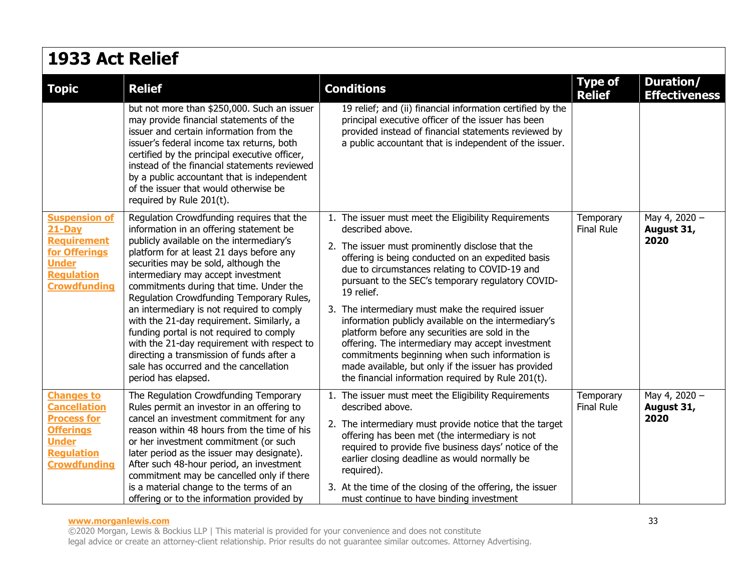## **1933 Act Relief**

| <b>Topic</b>                                                                                                                                   | <b>Relief</b>                                                                                                                                                                                                                                                                                                                                                                                                                                                                                                                                                                                                                                        | <b>Conditions</b>                                                                                                                                                                                                                                                                                                                                                                                                                                                                                                                                                                                                                                                                       | <b>Type of</b><br><b>Relief</b> | <b>Duration/</b><br><b>Effectiveness</b> |
|------------------------------------------------------------------------------------------------------------------------------------------------|------------------------------------------------------------------------------------------------------------------------------------------------------------------------------------------------------------------------------------------------------------------------------------------------------------------------------------------------------------------------------------------------------------------------------------------------------------------------------------------------------------------------------------------------------------------------------------------------------------------------------------------------------|-----------------------------------------------------------------------------------------------------------------------------------------------------------------------------------------------------------------------------------------------------------------------------------------------------------------------------------------------------------------------------------------------------------------------------------------------------------------------------------------------------------------------------------------------------------------------------------------------------------------------------------------------------------------------------------------|---------------------------------|------------------------------------------|
|                                                                                                                                                | but not more than \$250,000. Such an issuer<br>may provide financial statements of the<br>issuer and certain information from the<br>issuer's federal income tax returns, both<br>certified by the principal executive officer,<br>instead of the financial statements reviewed<br>by a public accountant that is independent<br>of the issuer that would otherwise be<br>required by Rule 201(t).                                                                                                                                                                                                                                                   | 19 relief; and (ii) financial information certified by the<br>principal executive officer of the issuer has been<br>provided instead of financial statements reviewed by<br>a public accountant that is independent of the issuer.                                                                                                                                                                                                                                                                                                                                                                                                                                                      |                                 |                                          |
| <b>Suspension of</b><br>$21-Pay$<br><b>Requirement</b><br>for Offerings<br><b>Under</b><br><b>Regulation</b><br><b>Crowdfunding</b>            | Regulation Crowdfunding requires that the<br>information in an offering statement be<br>publicly available on the intermediary's<br>platform for at least 21 days before any<br>securities may be sold, although the<br>intermediary may accept investment<br>commitments during that time. Under the<br>Regulation Crowdfunding Temporary Rules,<br>an intermediary is not required to comply<br>with the 21-day requirement. Similarly, a<br>funding portal is not required to comply<br>with the 21-day requirement with respect to<br>directing a transmission of funds after a<br>sale has occurred and the cancellation<br>period has elapsed. | 1. The issuer must meet the Eligibility Requirements<br>described above.<br>2. The issuer must prominently disclose that the<br>offering is being conducted on an expedited basis<br>due to circumstances relating to COVID-19 and<br>pursuant to the SEC's temporary regulatory COVID-<br>19 relief.<br>3. The intermediary must make the required issuer<br>information publicly available on the intermediary's<br>platform before any securities are sold in the<br>offering. The intermediary may accept investment<br>commitments beginning when such information is<br>made available, but only if the issuer has provided<br>the financial information required by Rule 201(t). | Temporary<br><b>Final Rule</b>  | May 4, 2020 -<br>August 31,<br>2020      |
| <b>Changes to</b><br><b>Cancellation</b><br><b>Process for</b><br><b>Offerings</b><br><b>Under</b><br><b>Regulation</b><br><b>Crowdfunding</b> | The Regulation Crowdfunding Temporary<br>Rules permit an investor in an offering to<br>cancel an investment commitment for any<br>reason within 48 hours from the time of his<br>or her investment commitment (or such<br>later period as the issuer may designate).<br>After such 48-hour period, an investment<br>commitment may be cancelled only if there<br>is a material change to the terms of an<br>offering or to the information provided by                                                                                                                                                                                               | 1. The issuer must meet the Eligibility Requirements<br>described above.<br>2. The intermediary must provide notice that the target<br>offering has been met (the intermediary is not<br>required to provide five business days' notice of the<br>earlier closing deadline as would normally be<br>required).<br>3. At the time of the closing of the offering, the issuer<br>must continue to have binding investment                                                                                                                                                                                                                                                                  | Temporary<br>Final Rule         | May 4, 2020 -<br>August 31,<br>2020      |

#### **www.morganlewis.com** 33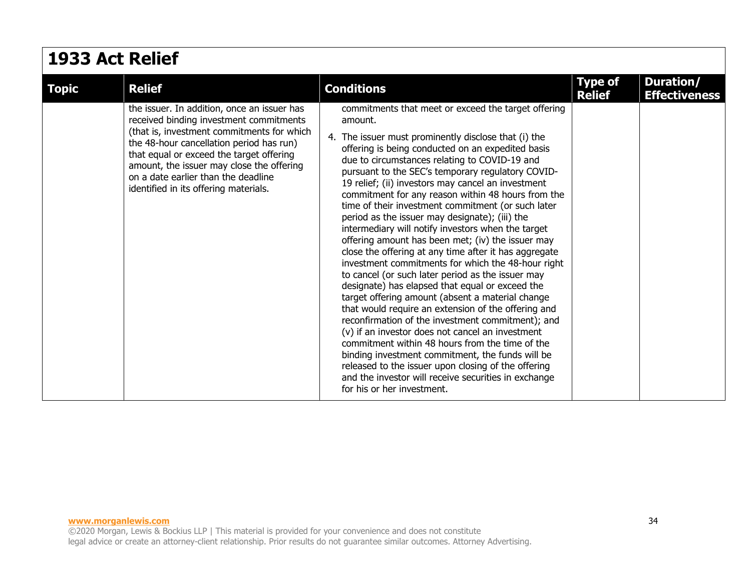| 1933 Act Relief |                                                                                                                                                                                                                                                                                                                                                           |                                                                                                                                                                                                                                                                                                                                                                                                                                                                                                                                                                                                                                                                                                                                                                                                                                                                                                                                                                                                                                                                                                                                                                                                                                                                                                                 |                                 |                                   |  |
|-----------------|-----------------------------------------------------------------------------------------------------------------------------------------------------------------------------------------------------------------------------------------------------------------------------------------------------------------------------------------------------------|-----------------------------------------------------------------------------------------------------------------------------------------------------------------------------------------------------------------------------------------------------------------------------------------------------------------------------------------------------------------------------------------------------------------------------------------------------------------------------------------------------------------------------------------------------------------------------------------------------------------------------------------------------------------------------------------------------------------------------------------------------------------------------------------------------------------------------------------------------------------------------------------------------------------------------------------------------------------------------------------------------------------------------------------------------------------------------------------------------------------------------------------------------------------------------------------------------------------------------------------------------------------------------------------------------------------|---------------------------------|-----------------------------------|--|
| <b>Topic</b>    | <b>Relief</b>                                                                                                                                                                                                                                                                                                                                             | <b>Conditions</b>                                                                                                                                                                                                                                                                                                                                                                                                                                                                                                                                                                                                                                                                                                                                                                                                                                                                                                                                                                                                                                                                                                                                                                                                                                                                                               | <b>Type of</b><br><b>Relief</b> | Duration/<br><b>Effectiveness</b> |  |
|                 | the issuer. In addition, once an issuer has<br>received binding investment commitments<br>(that is, investment commitments for which<br>the 48-hour cancellation period has run)<br>that equal or exceed the target offering<br>amount, the issuer may close the offering<br>on a date earlier than the deadline<br>identified in its offering materials. | commitments that meet or exceed the target offering<br>amount.<br>4. The issuer must prominently disclose that (i) the<br>offering is being conducted on an expedited basis<br>due to circumstances relating to COVID-19 and<br>pursuant to the SEC's temporary regulatory COVID-<br>19 relief; (ii) investors may cancel an investment<br>commitment for any reason within 48 hours from the<br>time of their investment commitment (or such later<br>period as the issuer may designate); (iii) the<br>intermediary will notify investors when the target<br>offering amount has been met; (iv) the issuer may<br>close the offering at any time after it has aggregate<br>investment commitments for which the 48-hour right<br>to cancel (or such later period as the issuer may<br>designate) has elapsed that equal or exceed the<br>target offering amount (absent a material change<br>that would require an extension of the offering and<br>reconfirmation of the investment commitment); and<br>(v) if an investor does not cancel an investment<br>commitment within 48 hours from the time of the<br>binding investment commitment, the funds will be<br>released to the issuer upon closing of the offering<br>and the investor will receive securities in exchange<br>for his or her investment. |                                 |                                   |  |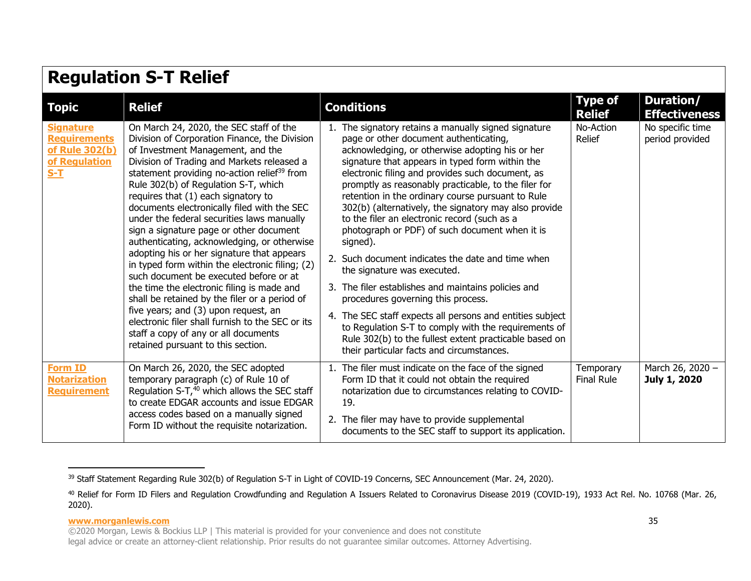| <b>Regulation S-T Relief</b>                                                        |                                                                                                                                                                                                                                                                                                                                                                                                                                                                                                                                                                                                                                                                                                                                                                                                                                                                                                                                  |                                                                                                                                                                                                                                                                                                                                                                                                                                                                                                                                                                                                                                                                                                                                                                                                                                                                                                                                                           |                                 |                                     |  |
|-------------------------------------------------------------------------------------|----------------------------------------------------------------------------------------------------------------------------------------------------------------------------------------------------------------------------------------------------------------------------------------------------------------------------------------------------------------------------------------------------------------------------------------------------------------------------------------------------------------------------------------------------------------------------------------------------------------------------------------------------------------------------------------------------------------------------------------------------------------------------------------------------------------------------------------------------------------------------------------------------------------------------------|-----------------------------------------------------------------------------------------------------------------------------------------------------------------------------------------------------------------------------------------------------------------------------------------------------------------------------------------------------------------------------------------------------------------------------------------------------------------------------------------------------------------------------------------------------------------------------------------------------------------------------------------------------------------------------------------------------------------------------------------------------------------------------------------------------------------------------------------------------------------------------------------------------------------------------------------------------------|---------------------------------|-------------------------------------|--|
| <b>Topic</b>                                                                        | <b>Relief</b>                                                                                                                                                                                                                                                                                                                                                                                                                                                                                                                                                                                                                                                                                                                                                                                                                                                                                                                    | <b>Conditions</b>                                                                                                                                                                                                                                                                                                                                                                                                                                                                                                                                                                                                                                                                                                                                                                                                                                                                                                                                         | <b>Type of</b><br><b>Relief</b> | Duration/<br><b>Effectiveness</b>   |  |
| <b>Signature</b><br><b>Requirements</b><br>of Rule 302(b)<br>of Regulation<br>$S-T$ | On March 24, 2020, the SEC staff of the<br>Division of Corporation Finance, the Division<br>of Investment Management, and the<br>Division of Trading and Markets released a<br>statement providing no-action relief <sup>39</sup> from<br>Rule 302(b) of Regulation S-T, which<br>requires that (1) each signatory to<br>documents electronically filed with the SEC<br>under the federal securities laws manually<br>sign a signature page or other document<br>authenticating, acknowledging, or otherwise<br>adopting his or her signature that appears<br>in typed form within the electronic filing; (2)<br>such document be executed before or at<br>the time the electronic filing is made and<br>shall be retained by the filer or a period of<br>five years; and (3) upon request, an<br>electronic filer shall furnish to the SEC or its<br>staff a copy of any or all documents<br>retained pursuant to this section. | 1. The signatory retains a manually signed signature<br>page or other document authenticating,<br>acknowledging, or otherwise adopting his or her<br>signature that appears in typed form within the<br>electronic filing and provides such document, as<br>promptly as reasonably practicable, to the filer for<br>retention in the ordinary course pursuant to Rule<br>302(b) (alternatively, the signatory may also provide<br>to the filer an electronic record (such as a<br>photograph or PDF) of such document when it is<br>signed).<br>2. Such document indicates the date and time when<br>the signature was executed.<br>3. The filer establishes and maintains policies and<br>procedures governing this process.<br>4. The SEC staff expects all persons and entities subject<br>to Regulation S-T to comply with the requirements of<br>Rule 302(b) to the fullest extent practicable based on<br>their particular facts and circumstances. | No-Action<br>Relief             | No specific time<br>period provided |  |
| <b>Form ID</b><br><b>Notarization</b><br><b>Requirement</b>                         | On March 26, 2020, the SEC adopted<br>temporary paragraph (c) of Rule 10 of<br>Regulation S-T, <sup>40</sup> which allows the SEC staff<br>to create EDGAR accounts and issue EDGAR<br>access codes based on a manually signed<br>Form ID without the requisite notarization.                                                                                                                                                                                                                                                                                                                                                                                                                                                                                                                                                                                                                                                    | 1. The filer must indicate on the face of the signed<br>Form ID that it could not obtain the required<br>notarization due to circumstances relating to COVID-<br>19.<br>2. The filer may have to provide supplemental<br>documents to the SEC staff to support its application.                                                                                                                                                                                                                                                                                                                                                                                                                                                                                                                                                                                                                                                                           | Temporary<br><b>Final Rule</b>  | March 26, 2020 -<br>July 1, 2020    |  |

<span id="page-34-0"></span><sup>&</sup>lt;sup>39</sup> Staff Statement Regarding Rule 302(b) of Regulation S-T in Light of COVID-19 Concerns, SEC Announcement (Mar. 24, 2020).

<span id="page-34-1"></span><sup>&</sup>lt;sup>40</sup> Relief for Form ID Filers and Regulation Crowdfunding and Regulation A Issuers Related to Coronavirus Disease 2019 (COVID-19), 1933 Act Rel. No. 10768 (Mar. 26, 2020).

<sup>©2020</sup> Morgan, Lewis & Bockius LLP | This material is provided for your convenience and does not constitute

legal advice or create an attorney-client relationship. Prior results do not guarantee similar outcomes. Attorney Advertising.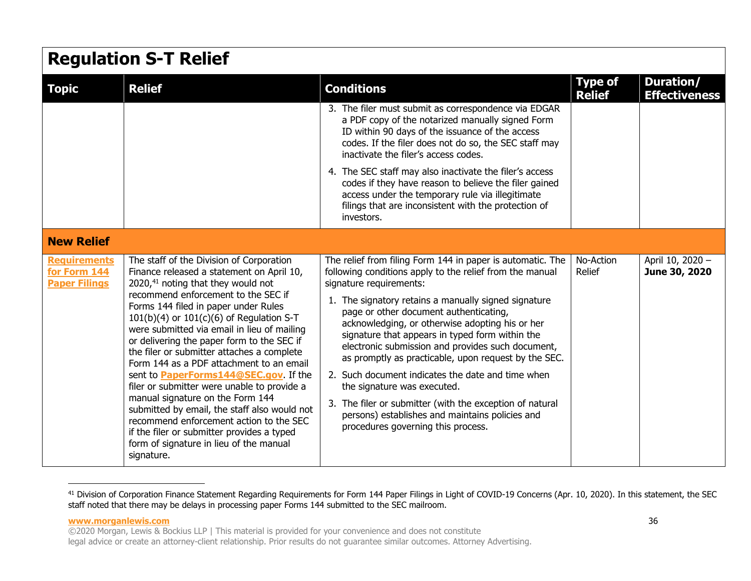#### **Regulation S-T Relief Topic Relief Conditions Type of Relief Duration/ Effectiveness** 3. The filer must submit as correspondence via EDGAR a PDF copy of the notarized manually signed Form ID within 90 days of the issuance of the access codes. If the filer does not do so, the SEC staff may inactivate the filer's access codes. 4. The SEC staff may also inactivate the filer's access codes if they have reason to believe the filer gained access under the temporary rule via illegitimate filings that are inconsistent with the protection of investors. **New Relief [Requirements](https://www.sec.gov/corpfin/announcement/form-144-paper-filings-email-option)  [for Form 144](https://www.sec.gov/corpfin/announcement/form-144-paper-filings-email-option)  [Paper Filings](https://www.sec.gov/corpfin/announcement/form-144-paper-filings-email-option)** The staff of the Division of Corporation Finance released a statement on April 10, 2020,<sup>41</sup> noting that they would not recommend enforcement to the SEC if Forms 144 filed in paper under Rules  $101(b)(4)$  or  $101(c)(6)$  of Regulation S-T were submitted via email in lieu of mailing or delivering the paper form to the SEC if the filer or submitter attaches a complete Form 144 as a PDF attachment to an email sent to **[PaperForms144@SEC.gov](mailto:PaperForms144@SEC.gov)**. If the filer or submitter were unable to provide a manual signature on the Form 144 submitted by email, the staff also would not recommend enforcement action to th[e SE](#page-35-0)C if the filer or submitter provides a typed form of signature in lieu of the manual signature. The relief from filing Form 144 in paper is automatic. The following conditions apply to the relief from the manual signature requirements: 1. The signatory retains a manually signed signature page or other document authenticating, acknowledging, or otherwise adopting his or her signature that appears in typed form within the electronic submission and provides such document, as promptly as practicable, upon request by the SEC. 2. Such document indicates the date and time when the signature was executed. 3. The filer or submitter (with the exception of natural persons) establishes and maintains policies and procedures governing this process. No-Action Relief April 10, 2020 – **June 30, 2020**

<span id="page-35-0"></span><sup>&</sup>lt;sup>41</sup> Division of Corporation Finance Statement Regarding Requirements for Form 144 Paper Filings in Light of COVID-19 Concerns (Apr. 10, 2020). In this statement, the SEC staff noted that there may be delays in processing paper Forms 144 submitted to the SEC mailroom.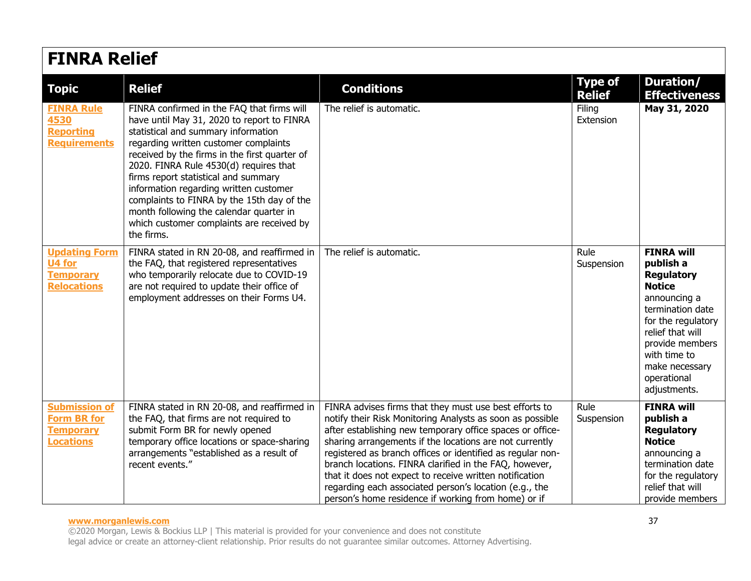| <b>FINRA Relief</b>                                                                |                                                                                                                                                                                                                                                                                                                                                                                                                                                                                                           |                                                                                                                                                                                                                                                                                                                                                                                                                                                                                                                                                 |                                 |                                                                                                                                                                                                                                        |  |
|------------------------------------------------------------------------------------|-----------------------------------------------------------------------------------------------------------------------------------------------------------------------------------------------------------------------------------------------------------------------------------------------------------------------------------------------------------------------------------------------------------------------------------------------------------------------------------------------------------|-------------------------------------------------------------------------------------------------------------------------------------------------------------------------------------------------------------------------------------------------------------------------------------------------------------------------------------------------------------------------------------------------------------------------------------------------------------------------------------------------------------------------------------------------|---------------------------------|----------------------------------------------------------------------------------------------------------------------------------------------------------------------------------------------------------------------------------------|--|
| <b>Topic</b>                                                                       | <b>Relief</b>                                                                                                                                                                                                                                                                                                                                                                                                                                                                                             | <b>Conditions</b>                                                                                                                                                                                                                                                                                                                                                                                                                                                                                                                               | <b>Type of</b><br><b>Relief</b> | Duration/<br><b>Effectiveness</b>                                                                                                                                                                                                      |  |
| <b>FINRA Rule</b><br>4530<br><b>Reporting</b><br><b>Requirements</b>               | FINRA confirmed in the FAQ that firms will<br>have until May 31, 2020 to report to FINRA<br>statistical and summary information<br>regarding written customer complaints<br>received by the firms in the first quarter of<br>2020. FINRA Rule 4530(d) requires that<br>firms report statistical and summary<br>information regarding written customer<br>complaints to FINRA by the 15th day of the<br>month following the calendar quarter in<br>which customer complaints are received by<br>the firms. | The relief is automatic.                                                                                                                                                                                                                                                                                                                                                                                                                                                                                                                        | Filing<br>Extension             | May 31, 2020                                                                                                                                                                                                                           |  |
| <b>Updating Form</b><br>U4 for<br><b>Temporary</b><br><b>Relocations</b>           | FINRA stated in RN 20-08, and reaffirmed in<br>the FAQ, that registered representatives<br>who temporarily relocate due to COVID-19<br>are not required to update their office of<br>employment addresses on their Forms U4.                                                                                                                                                                                                                                                                              | The relief is automatic.                                                                                                                                                                                                                                                                                                                                                                                                                                                                                                                        | Rule<br>Suspension              | <b>FINRA will</b><br>publish a<br><b>Regulatory</b><br><b>Notice</b><br>announcing a<br>termination date<br>for the regulatory<br>relief that will<br>provide members<br>with time to<br>make necessary<br>operational<br>adjustments. |  |
| <b>Submission of</b><br><b>Form BR for</b><br><b>Temporary</b><br><b>Locations</b> | FINRA stated in RN 20-08, and reaffirmed in<br>the FAQ, that firms are not required to<br>submit Form BR for newly opened<br>temporary office locations or space-sharing<br>arrangements "established as a result of<br>recent events."                                                                                                                                                                                                                                                                   | FINRA advises firms that they must use best efforts to<br>notify their Risk Monitoring Analysts as soon as possible<br>after establishing new temporary office spaces or office-<br>sharing arrangements if the locations are not currently<br>registered as branch offices or identified as regular non-<br>branch locations. FINRA clarified in the FAQ, however,<br>that it does not expect to receive written notification<br>regarding each associated person's location (e.g., the<br>person's home residence if working from home) or if | Rule<br>Suspension              | <b>FINRA will</b><br>publish a<br><b>Regulatory</b><br><b>Notice</b><br>announcing a<br>termination date<br>for the regulatory<br>relief that will<br>provide members                                                                  |  |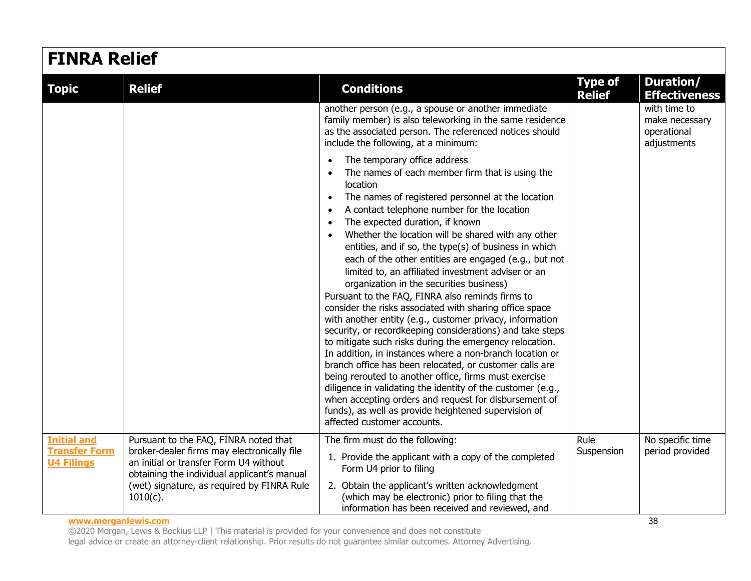| <b>FINRA Relief</b>                        |                                                                                       |                                                                                                                                                                                                                                                                                                                                                                                                                                                                                                                                                                                                                                                                                                                                                                                                                                                                                                                                                                                                                                                                                                                                                                                                                                                                    |                                 |                                                              |  |
|--------------------------------------------|---------------------------------------------------------------------------------------|--------------------------------------------------------------------------------------------------------------------------------------------------------------------------------------------------------------------------------------------------------------------------------------------------------------------------------------------------------------------------------------------------------------------------------------------------------------------------------------------------------------------------------------------------------------------------------------------------------------------------------------------------------------------------------------------------------------------------------------------------------------------------------------------------------------------------------------------------------------------------------------------------------------------------------------------------------------------------------------------------------------------------------------------------------------------------------------------------------------------------------------------------------------------------------------------------------------------------------------------------------------------|---------------------------------|--------------------------------------------------------------|--|
| <b>Topic</b>                               | <b>Relief</b>                                                                         | <b>Conditions</b>                                                                                                                                                                                                                                                                                                                                                                                                                                                                                                                                                                                                                                                                                                                                                                                                                                                                                                                                                                                                                                                                                                                                                                                                                                                  | <b>Type of</b><br><b>Relief</b> | Duration/<br><b>Effectiveness</b>                            |  |
|                                            |                                                                                       | another person (e.g., a spouse or another immediate<br>family member) is also teleworking in the same residence<br>as the associated person. The referenced notices should<br>include the following, at a minimum:                                                                                                                                                                                                                                                                                                                                                                                                                                                                                                                                                                                                                                                                                                                                                                                                                                                                                                                                                                                                                                                 |                                 | with time to<br>make necessary<br>operational<br>adjustments |  |
|                                            |                                                                                       | The temporary office address<br>$\bullet$<br>The names of each member firm that is using the<br>location<br>The names of registered personnel at the location<br>$\bullet$<br>A contact telephone number for the location<br>$\bullet$<br>The expected duration, if known<br>$\bullet$<br>Whether the location will be shared with any other<br>entities, and if so, the type(s) of business in which<br>each of the other entities are engaged (e.g., but not<br>limited to, an affiliated investment adviser or an<br>organization in the securities business)<br>Pursuant to the FAQ, FINRA also reminds firms to<br>consider the risks associated with sharing office space<br>with another entity (e.g., customer privacy, information<br>security, or recordkeeping considerations) and take steps<br>to mitigate such risks during the emergency relocation.<br>In addition, in instances where a non-branch location or<br>branch office has been relocated, or customer calls are<br>being rerouted to another office, firms must exercise<br>diligence in validating the identity of the customer (e.g.,<br>when accepting orders and request for disbursement of<br>funds), as well as provide heightened supervision of<br>affected customer accounts. |                                 |                                                              |  |
| <b>Initial and</b><br><b>Transfer Form</b> | Pursuant to the FAQ, FINRA noted that<br>broker-dealer firms may electronically file  | The firm must do the following:<br>1. Provide the applicant with a copy of the completed                                                                                                                                                                                                                                                                                                                                                                                                                                                                                                                                                                                                                                                                                                                                                                                                                                                                                                                                                                                                                                                                                                                                                                           | Rule<br>Suspension              | No specific time<br>period provided                          |  |
| <b>U4 Filings</b>                          | an initial or transfer Form U4 without<br>obtaining the individual applicant's manual | Form U4 prior to filing                                                                                                                                                                                                                                                                                                                                                                                                                                                                                                                                                                                                                                                                                                                                                                                                                                                                                                                                                                                                                                                                                                                                                                                                                                            |                                 |                                                              |  |
|                                            | (wet) signature, as required by FINRA Rule<br>$1010(c)$ .                             | 2. Obtain the applicant's written acknowledgment<br>(which may be electronic) prior to filing that the<br>information has been received and reviewed, and                                                                                                                                                                                                                                                                                                                                                                                                                                                                                                                                                                                                                                                                                                                                                                                                                                                                                                                                                                                                                                                                                                          |                                 |                                                              |  |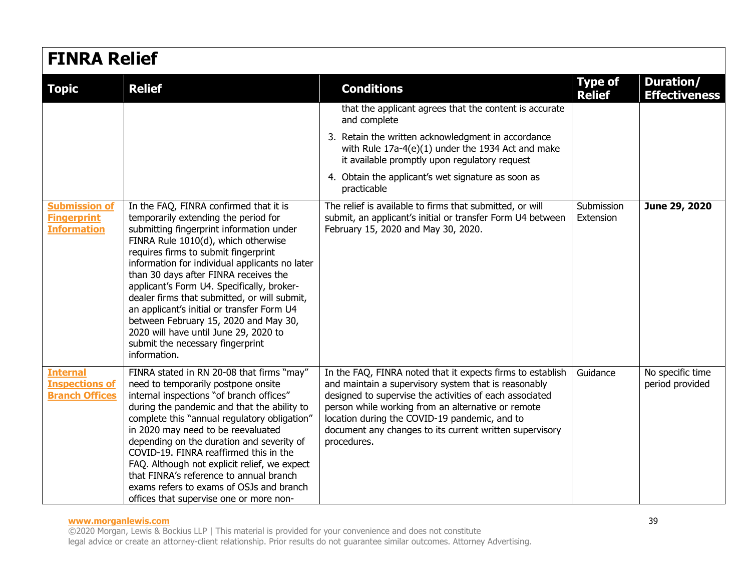| <b>FINRA Relief</b>                                               |                                                                                                                                                                                                                                                                                                                                                                                                                                                                                                                                                                                        |                                                                                                                                                                                                                                                                                                                                                                |                                 |                                     |  |
|-------------------------------------------------------------------|----------------------------------------------------------------------------------------------------------------------------------------------------------------------------------------------------------------------------------------------------------------------------------------------------------------------------------------------------------------------------------------------------------------------------------------------------------------------------------------------------------------------------------------------------------------------------------------|----------------------------------------------------------------------------------------------------------------------------------------------------------------------------------------------------------------------------------------------------------------------------------------------------------------------------------------------------------------|---------------------------------|-------------------------------------|--|
| <b>Topic</b>                                                      | <b>Relief</b>                                                                                                                                                                                                                                                                                                                                                                                                                                                                                                                                                                          | <b>Conditions</b>                                                                                                                                                                                                                                                                                                                                              | <b>Type of</b><br><b>Relief</b> | Duration/<br><b>Effectiveness</b>   |  |
|                                                                   |                                                                                                                                                                                                                                                                                                                                                                                                                                                                                                                                                                                        | that the applicant agrees that the content is accurate<br>and complete                                                                                                                                                                                                                                                                                         |                                 |                                     |  |
|                                                                   |                                                                                                                                                                                                                                                                                                                                                                                                                                                                                                                                                                                        | 3. Retain the written acknowledgment in accordance<br>with Rule 17a-4(e)(1) under the 1934 Act and make<br>it available promptly upon regulatory request                                                                                                                                                                                                       |                                 |                                     |  |
|                                                                   |                                                                                                                                                                                                                                                                                                                                                                                                                                                                                                                                                                                        | 4. Obtain the applicant's wet signature as soon as<br>practicable                                                                                                                                                                                                                                                                                              |                                 |                                     |  |
| <b>Submission of</b><br><b>Fingerprint</b><br><b>Information</b>  | In the FAQ, FINRA confirmed that it is<br>temporarily extending the period for<br>submitting fingerprint information under<br>FINRA Rule 1010(d), which otherwise<br>requires firms to submit fingerprint<br>information for individual applicants no later<br>than 30 days after FINRA receives the<br>applicant's Form U4. Specifically, broker-<br>dealer firms that submitted, or will submit,<br>an applicant's initial or transfer Form U4<br>between February 15, 2020 and May 30,<br>2020 will have until June 29, 2020 to<br>submit the necessary fingerprint<br>information. | The relief is available to firms that submitted, or will<br>submit, an applicant's initial or transfer Form U4 between<br>February 15, 2020 and May 30, 2020.                                                                                                                                                                                                  | Submission<br>Extension         | June 29, 2020                       |  |
| <b>Internal</b><br><b>Inspections of</b><br><b>Branch Offices</b> | FINRA stated in RN 20-08 that firms "may"<br>need to temporarily postpone onsite<br>internal inspections "of branch offices"<br>during the pandemic and that the ability to<br>complete this "annual regulatory obligation"<br>in 2020 may need to be reevaluated<br>depending on the duration and severity of<br>COVID-19. FINRA reaffirmed this in the<br>FAQ. Although not explicit relief, we expect<br>that FINRA's reference to annual branch<br>exams refers to exams of OSJs and branch<br>offices that supervise one or more non-                                             | In the FAQ, FINRA noted that it expects firms to establish<br>and maintain a supervisory system that is reasonably<br>designed to supervise the activities of each associated<br>person while working from an alternative or remote<br>location during the COVID-19 pandemic, and to<br>document any changes to its current written supervisory<br>procedures. | Guidance                        | No specific time<br>period provided |  |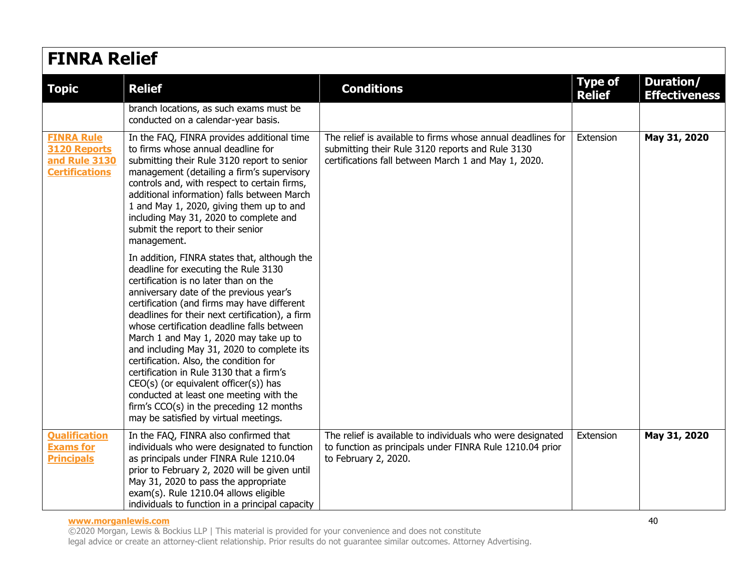## **FINRA Relief**

| <b>Topic</b>                                                                | <b>Relief</b>                                                                                                                                                                                                                                                                                                                                                                                                                                                                                                                                                                                                                                                                     | <b>Conditions</b>                                                                                                                                                       | <b>Type of</b><br><b>Relief</b> | Duration/<br><b>Effectiveness</b> |  |  |  |
|-----------------------------------------------------------------------------|-----------------------------------------------------------------------------------------------------------------------------------------------------------------------------------------------------------------------------------------------------------------------------------------------------------------------------------------------------------------------------------------------------------------------------------------------------------------------------------------------------------------------------------------------------------------------------------------------------------------------------------------------------------------------------------|-------------------------------------------------------------------------------------------------------------------------------------------------------------------------|---------------------------------|-----------------------------------|--|--|--|
|                                                                             | branch locations, as such exams must be<br>conducted on a calendar-year basis.                                                                                                                                                                                                                                                                                                                                                                                                                                                                                                                                                                                                    |                                                                                                                                                                         |                                 |                                   |  |  |  |
| <b>FINRA Rule</b><br>3120 Reports<br>and Rule 3130<br><b>Certifications</b> | In the FAQ, FINRA provides additional time<br>to firms whose annual deadline for<br>submitting their Rule 3120 report to senior<br>management (detailing a firm's supervisory<br>controls and, with respect to certain firms,<br>additional information) falls between March<br>1 and May 1, 2020, giving them up to and<br>including May 31, 2020 to complete and<br>submit the report to their senior<br>management.                                                                                                                                                                                                                                                            | The relief is available to firms whose annual deadlines for<br>submitting their Rule 3120 reports and Rule 3130<br>certifications fall between March 1 and May 1, 2020. | Extension                       | May 31, 2020                      |  |  |  |
|                                                                             | In addition, FINRA states that, although the<br>deadline for executing the Rule 3130<br>certification is no later than on the<br>anniversary date of the previous year's<br>certification (and firms may have different<br>deadlines for their next certification), a firm<br>whose certification deadline falls between<br>March 1 and May 1, 2020 may take up to<br>and including May 31, 2020 to complete its<br>certification. Also, the condition for<br>certification in Rule 3130 that a firm's<br>$CEO(s)$ (or equivalent officer(s)) has<br>conducted at least one meeting with the<br>firm's CCO(s) in the preceding 12 months<br>may be satisfied by virtual meetings. |                                                                                                                                                                         |                                 |                                   |  |  |  |
| <b>Qualification</b><br><b>Exams for</b><br><b>Principals</b>               | In the FAQ, FINRA also confirmed that<br>individuals who were designated to function<br>as principals under FINRA Rule 1210.04<br>prior to February 2, 2020 will be given until<br>May 31, 2020 to pass the appropriate<br>exam(s). Rule 1210.04 allows eligible<br>individuals to function in a principal capacity                                                                                                                                                                                                                                                                                                                                                               | The relief is available to individuals who were designated<br>to function as principals under FINRA Rule 1210.04 prior<br>to February 2, 2020.                          | Extension                       | May 31, 2020                      |  |  |  |

#### **www.morganlewis.com** 40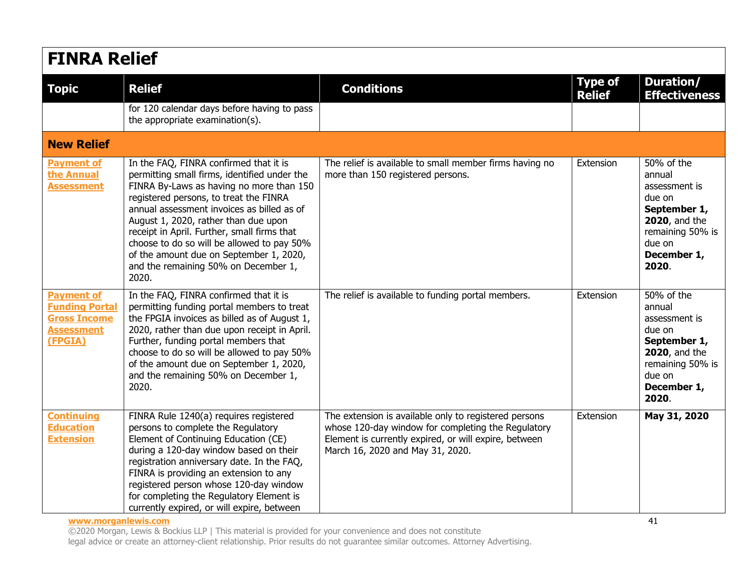| <b>FINRA Relief</b>                                                                               |                                                                                                                                                                                                                                                                                                                                                                                                                                                             |                                                                                                                                                                                                          |                                 |                                                                                                                                                |  |
|---------------------------------------------------------------------------------------------------|-------------------------------------------------------------------------------------------------------------------------------------------------------------------------------------------------------------------------------------------------------------------------------------------------------------------------------------------------------------------------------------------------------------------------------------------------------------|----------------------------------------------------------------------------------------------------------------------------------------------------------------------------------------------------------|---------------------------------|------------------------------------------------------------------------------------------------------------------------------------------------|--|
| <b>Topic</b>                                                                                      | <b>Relief</b>                                                                                                                                                                                                                                                                                                                                                                                                                                               | <b>Conditions</b>                                                                                                                                                                                        | <b>Type of</b><br><b>Relief</b> | Duration/<br><b>Effectiveness</b>                                                                                                              |  |
|                                                                                                   | for 120 calendar days before having to pass<br>the appropriate examination(s).                                                                                                                                                                                                                                                                                                                                                                              |                                                                                                                                                                                                          |                                 |                                                                                                                                                |  |
| <b>New Relief</b>                                                                                 |                                                                                                                                                                                                                                                                                                                                                                                                                                                             |                                                                                                                                                                                                          |                                 |                                                                                                                                                |  |
| <b>Payment of</b><br>the Annual<br><b>Assessment</b>                                              | In the FAQ, FINRA confirmed that it is<br>permitting small firms, identified under the<br>FINRA By-Laws as having no more than 150<br>registered persons, to treat the FINRA<br>annual assessment invoices as billed as of<br>August 1, 2020, rather than due upon<br>receipt in April. Further, small firms that<br>choose to do so will be allowed to pay 50%<br>of the amount due on September 1, 2020,<br>and the remaining 50% on December 1,<br>2020. | The relief is available to small member firms having no<br>more than 150 registered persons.                                                                                                             | Extension                       | 50% of the<br>annual<br>assessment is<br>due on<br>September 1,<br><b>2020</b> , and the<br>remaining 50% is<br>due on<br>December 1,<br>2020. |  |
| <b>Payment of</b><br><b>Funding Portal</b><br><b>Gross Income</b><br><b>Assessment</b><br>(FPGIA) | In the FAQ, FINRA confirmed that it is<br>permitting funding portal members to treat<br>the FPGIA invoices as billed as of August 1,<br>2020, rather than due upon receipt in April.<br>Further, funding portal members that<br>choose to do so will be allowed to pay 50%<br>of the amount due on September 1, 2020,<br>and the remaining 50% on December 1,<br>2020.                                                                                      | The relief is available to funding portal members.                                                                                                                                                       | Extension                       | 50% of the<br>annual<br>assessment is<br>due on<br>September 1,<br><b>2020</b> , and the<br>remaining 50% is<br>due on<br>December 1,<br>2020. |  |
| <b>Continuing</b><br><b>Education</b><br><b>Extension</b>                                         | FINRA Rule 1240(a) requires registered<br>persons to complete the Regulatory<br>Element of Continuing Education (CE)<br>during a 120-day window based on their<br>registration anniversary date. In the FAQ,<br>FINRA is providing an extension to any<br>registered person whose 120-day window<br>for completing the Regulatory Element is<br>currently expired, or will expire, between                                                                  | The extension is available only to registered persons<br>whose 120-day window for completing the Regulatory<br>Element is currently expired, or will expire, between<br>March 16, 2020 and May 31, 2020. | Extension                       | May 31, 2020                                                                                                                                   |  |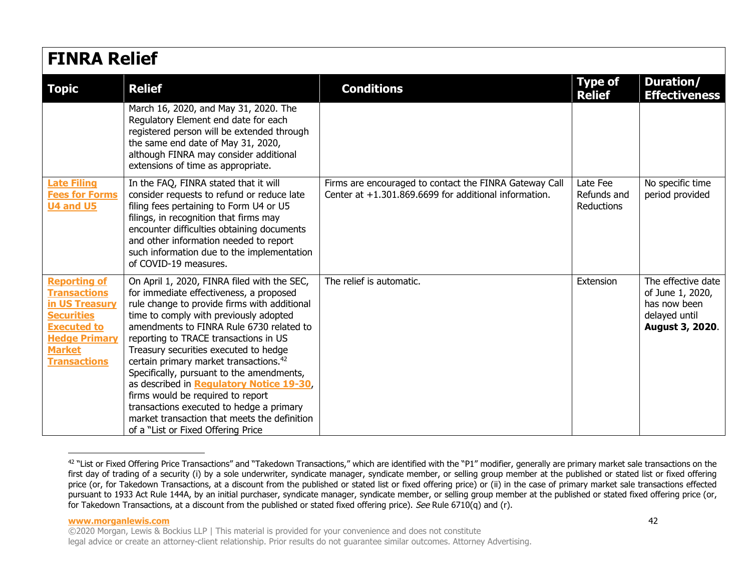## **FINRA Relief**

| <b>Topic</b>                                                                                                                                                            | <b>Relief</b>                                                                                                                                                                                                                                                                                                                                                                                                                                                                                                                                                                                                                        | <b>Conditions</b>                                                                                                 | <b>Type of</b><br><b>Relief</b>       | Duration/<br><b>Effectiveness</b>                                                          |  |  |
|-------------------------------------------------------------------------------------------------------------------------------------------------------------------------|--------------------------------------------------------------------------------------------------------------------------------------------------------------------------------------------------------------------------------------------------------------------------------------------------------------------------------------------------------------------------------------------------------------------------------------------------------------------------------------------------------------------------------------------------------------------------------------------------------------------------------------|-------------------------------------------------------------------------------------------------------------------|---------------------------------------|--------------------------------------------------------------------------------------------|--|--|
|                                                                                                                                                                         | March 16, 2020, and May 31, 2020. The<br>Regulatory Element end date for each<br>registered person will be extended through<br>the same end date of May 31, 2020,<br>although FINRA may consider additional<br>extensions of time as appropriate.                                                                                                                                                                                                                                                                                                                                                                                    |                                                                                                                   |                                       |                                                                                            |  |  |
| <b>Late Filing</b><br><b>Fees for Forms</b><br><b>U4 and U5</b>                                                                                                         | In the FAQ, FINRA stated that it will<br>consider requests to refund or reduce late<br>filing fees pertaining to Form U4 or U5<br>filings, in recognition that firms may<br>encounter difficulties obtaining documents<br>and other information needed to report<br>such information due to the implementation<br>of COVID-19 measures.                                                                                                                                                                                                                                                                                              | Firms are encouraged to contact the FINRA Gateway Call<br>Center at $+1.301.869.6699$ for additional information. | Late Fee<br>Refunds and<br>Reductions | No specific time<br>period provided                                                        |  |  |
| <b>Reporting of</b><br><b>Transactions</b><br>in US Treasury<br><b>Securities</b><br><b>Executed to</b><br><b>Hedge Primary</b><br><b>Market</b><br><b>Transactions</b> | On April 1, 2020, FINRA filed with the SEC,<br>for immediate effectiveness, a proposed<br>rule change to provide firms with additional<br>time to comply with previously adopted<br>amendments to FINRA Rule 6730 related to<br>reporting to TRACE transactions in US<br>Treasury securities executed to hedge<br>certain primary market transactions. <sup>42</sup><br>Specifically, pursuant to the amendments,<br>as described in Regulatory Notice 19-30,<br>firms would be required to report<br>transactions executed to hedge a primary<br>market transaction that meets the definition<br>of a "List or Fixed Offering Price | The relief is automatic.                                                                                          | Extension                             | The effective date<br>of June 1, 2020,<br>has now been<br>delayed until<br>August 3, 2020. |  |  |

<span id="page-41-0"></span><sup>&</sup>lt;sup>42</sup> "List or Fixed Offering Price Transactions" and "Takedown Transactions," which are identified with the "P1" modifier, generally are primary market sale transactions on the first day of trading of a security (i) by a sole underwriter, syndicate manager, syndicate member, or selling group member at the published or stated list or fixed offering price (or, for Takedown Transactions, at a discount from the published or stated list or fixed offering price) or (ii) in the case of primary market sale transactions effected pursuant to 1933 Act Rule 144A, by an initial purchaser, syndicate manager, syndicate member, or selling group member at the published or stated fixed offering price (or, for Takedown Transactions, at a discount from the published or stated fixed offering price). See Rule 6710(q) and (r).

### **www.morganlewis.com** 42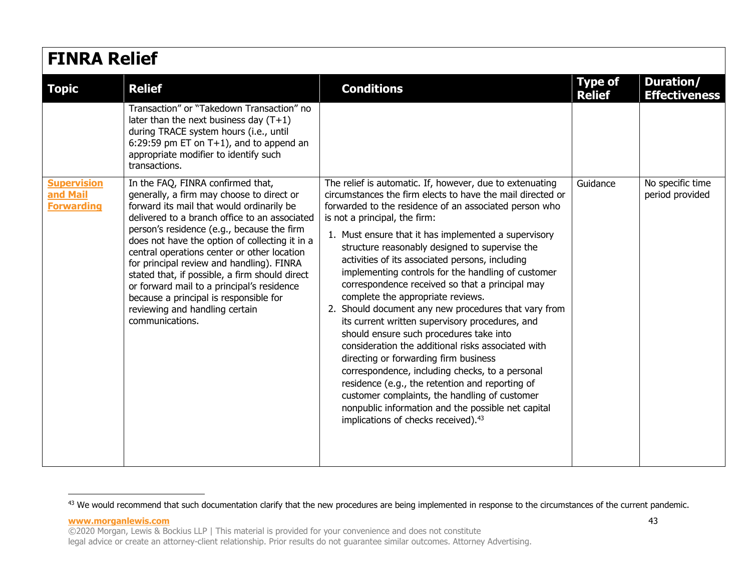| <b>FINRA Relief</b>                                 |                                                                                                                                                                                                                                                                                                                                                                                                                                                                                                                                                                         |                                                                                                                                                                                                                                                                                                                                                                                                                                                                                                                                                                                                                                                                                                                                                                                                                                                                                                                                                                                                                                                   |                                 |                                     |  |
|-----------------------------------------------------|-------------------------------------------------------------------------------------------------------------------------------------------------------------------------------------------------------------------------------------------------------------------------------------------------------------------------------------------------------------------------------------------------------------------------------------------------------------------------------------------------------------------------------------------------------------------------|---------------------------------------------------------------------------------------------------------------------------------------------------------------------------------------------------------------------------------------------------------------------------------------------------------------------------------------------------------------------------------------------------------------------------------------------------------------------------------------------------------------------------------------------------------------------------------------------------------------------------------------------------------------------------------------------------------------------------------------------------------------------------------------------------------------------------------------------------------------------------------------------------------------------------------------------------------------------------------------------------------------------------------------------------|---------------------------------|-------------------------------------|--|
| <b>Topic</b>                                        | <b>Relief</b>                                                                                                                                                                                                                                                                                                                                                                                                                                                                                                                                                           | <b>Conditions</b>                                                                                                                                                                                                                                                                                                                                                                                                                                                                                                                                                                                                                                                                                                                                                                                                                                                                                                                                                                                                                                 | <b>Type of</b><br><b>Relief</b> | Duration/<br><b>Effectiveness</b>   |  |
|                                                     | Transaction" or "Takedown Transaction" no<br>later than the next business day $(T+1)$<br>during TRACE system hours (i.e., until<br>6:29:59 pm ET on $T+1$ ), and to append an<br>appropriate modifier to identify such<br>transactions.                                                                                                                                                                                                                                                                                                                                 |                                                                                                                                                                                                                                                                                                                                                                                                                                                                                                                                                                                                                                                                                                                                                                                                                                                                                                                                                                                                                                                   |                                 |                                     |  |
| <b>Supervision</b><br>and Mail<br><b>Forwarding</b> | In the FAQ, FINRA confirmed that,<br>generally, a firm may choose to direct or<br>forward its mail that would ordinarily be<br>delivered to a branch office to an associated<br>person's residence (e.g., because the firm<br>does not have the option of collecting it in a<br>central operations center or other location<br>for principal review and handling). FINRA<br>stated that, if possible, a firm should direct<br>or forward mail to a principal's residence<br>because a principal is responsible for<br>reviewing and handling certain<br>communications. | The relief is automatic. If, however, due to extenuating<br>circumstances the firm elects to have the mail directed or<br>forwarded to the residence of an associated person who<br>is not a principal, the firm:<br>1. Must ensure that it has implemented a supervisory<br>structure reasonably designed to supervise the<br>activities of its associated persons, including<br>implementing controls for the handling of customer<br>correspondence received so that a principal may<br>complete the appropriate reviews.<br>2. Should document any new procedures that vary from<br>its current written supervisory procedures, and<br>should ensure such procedures take into<br>consideration the additional risks associated with<br>directing or forwarding firm business<br>correspondence, including checks, to a personal<br>residence (e.g., the retention and reporting of<br>customer complaints, the handling of customer<br>nonpublic information and the possible net capital<br>implications of checks received). <sup>43</sup> | Guidance                        | No specific time<br>period provided |  |

<span id="page-42-0"></span><sup>&</sup>lt;sup>43</sup> We would recommend that such documentation clarify that the new procedures are being implemented in response to the circumstances of the current pandemic.

<sup>©2020</sup> Morgan, Lewis & Bockius LLP | This material is provided for your convenience and does not constitute legal advice or create an attorney-client relationship. Prior results do not guarantee similar outcomes. Attorney Advertising.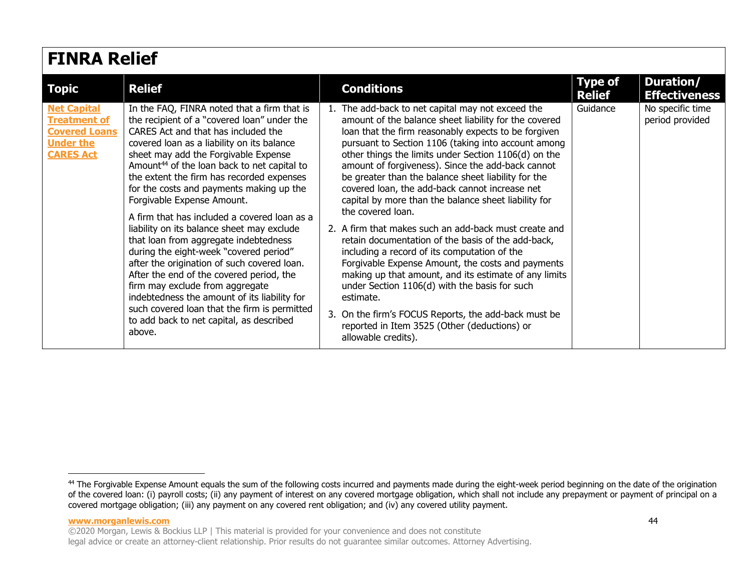| <b>FINRA Relief</b>                                                                                       |                                                                                                                                                                                                                                                                                                                                                                                                                                                                                                                                                                                                                                                                                                                                                                                                                                                                                |                                                                                                                                                                                                                                                                                                                                                                                                                                                                                                                                                                                                                                                                                                                                                                                                                                                                                                                                                                                                  |                                 |                                     |  |  |
|-----------------------------------------------------------------------------------------------------------|--------------------------------------------------------------------------------------------------------------------------------------------------------------------------------------------------------------------------------------------------------------------------------------------------------------------------------------------------------------------------------------------------------------------------------------------------------------------------------------------------------------------------------------------------------------------------------------------------------------------------------------------------------------------------------------------------------------------------------------------------------------------------------------------------------------------------------------------------------------------------------|--------------------------------------------------------------------------------------------------------------------------------------------------------------------------------------------------------------------------------------------------------------------------------------------------------------------------------------------------------------------------------------------------------------------------------------------------------------------------------------------------------------------------------------------------------------------------------------------------------------------------------------------------------------------------------------------------------------------------------------------------------------------------------------------------------------------------------------------------------------------------------------------------------------------------------------------------------------------------------------------------|---------------------------------|-------------------------------------|--|--|
| <b>Topic</b>                                                                                              | <b>Relief</b>                                                                                                                                                                                                                                                                                                                                                                                                                                                                                                                                                                                                                                                                                                                                                                                                                                                                  | <b>Conditions</b>                                                                                                                                                                                                                                                                                                                                                                                                                                                                                                                                                                                                                                                                                                                                                                                                                                                                                                                                                                                | <b>Type of</b><br><b>Relief</b> | Duration/<br><b>Effectiveness</b>   |  |  |
| <b>Net Capital</b><br><b>Treatment of</b><br><b>Covered Loans</b><br><b>Under the</b><br><b>CARES Act</b> | In the FAQ, FINRA noted that a firm that is<br>the recipient of a "covered loan" under the<br>CARES Act and that has included the<br>covered loan as a liability on its balance<br>sheet may add the Forgivable Expense<br>Amount <sup>44</sup> of the loan back to net capital to<br>the extent the firm has recorded expenses<br>for the costs and payments making up the<br>Forgivable Expense Amount.<br>A firm that has included a covered loan as a<br>liability on its balance sheet may exclude<br>that loan from aggregate indebtedness<br>during the eight-week "covered period"<br>after the origination of such covered loan.<br>After the end of the covered period, the<br>firm may exclude from aggregate<br>indebtedness the amount of its liability for<br>such covered loan that the firm is permitted<br>to add back to net capital, as described<br>above. | The add-back to net capital may not exceed the<br>amount of the balance sheet liability for the covered<br>loan that the firm reasonably expects to be forgiven<br>pursuant to Section 1106 (taking into account among<br>other things the limits under Section 1106(d) on the<br>amount of forgiveness). Since the add-back cannot<br>be greater than the balance sheet liability for the<br>covered loan, the add-back cannot increase net<br>capital by more than the balance sheet liability for<br>the covered loan.<br>2. A firm that makes such an add-back must create and<br>retain documentation of the basis of the add-back,<br>including a record of its computation of the<br>Forgivable Expense Amount, the costs and payments<br>making up that amount, and its estimate of any limits<br>under Section 1106(d) with the basis for such<br>estimate.<br>On the firm's FOCUS Reports, the add-back must be<br>reported in Item 3525 (Other (deductions) or<br>allowable credits). | Guidance                        | No specific time<br>period provided |  |  |

<sup>&</sup>lt;sup>44</sup> The Forgivable Expense Amount equals the sum of the following costs incurred and payments made during the eight-week period beginning on the date of the origination of the covered loan: (i) payroll costs; (ii) any payment of interest on any covered mortgage obligation, which shall not include any prepayment or payment of principal on a covered mortgage obligation; (iii) any payment on any covered rent obligation; and (iv) any covered utility payment.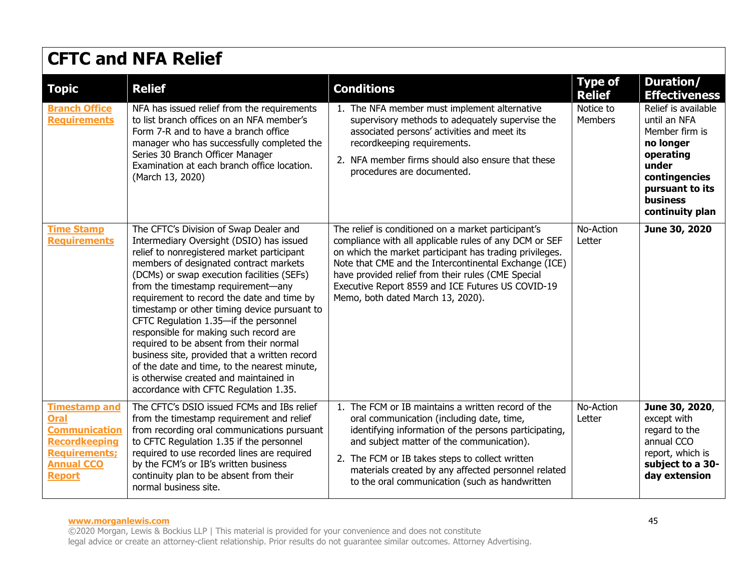| <b>Topic</b>                                                                                                                                      | <b>Relief</b>                                                                                                                                                                                                                                                                                                                                                                                                                                                                                                                                                                                                                                                                  | <b>Conditions</b>                                                                                                                                                                                                                                                                                                                                                                 | <b>Type of</b><br><b>Relief</b> | <b>Duration/</b><br><b>Effectiveness</b>                                                                                                                           |
|---------------------------------------------------------------------------------------------------------------------------------------------------|--------------------------------------------------------------------------------------------------------------------------------------------------------------------------------------------------------------------------------------------------------------------------------------------------------------------------------------------------------------------------------------------------------------------------------------------------------------------------------------------------------------------------------------------------------------------------------------------------------------------------------------------------------------------------------|-----------------------------------------------------------------------------------------------------------------------------------------------------------------------------------------------------------------------------------------------------------------------------------------------------------------------------------------------------------------------------------|---------------------------------|--------------------------------------------------------------------------------------------------------------------------------------------------------------------|
| <b>Branch Office</b><br><b>Requirements</b>                                                                                                       | NFA has issued relief from the requirements<br>to list branch offices on an NFA member's<br>Form 7-R and to have a branch office<br>manager who has successfully completed the<br>Series 30 Branch Officer Manager<br>Examination at each branch office location.<br>(March 13, 2020)                                                                                                                                                                                                                                                                                                                                                                                          | 1. The NFA member must implement alternative<br>supervisory methods to adequately supervise the<br>associated persons' activities and meet its<br>recordkeeping requirements.<br>2. NFA member firms should also ensure that these<br>procedures are documented.                                                                                                                  | Notice to<br><b>Members</b>     | Relief is available<br>until an NFA<br>Member firm is<br>no longer<br>operating<br>under<br>contingencies<br>pursuant to its<br><b>business</b><br>continuity plan |
| <b>Time Stamp</b><br><b>Requirements</b>                                                                                                          | The CFTC's Division of Swap Dealer and<br>Intermediary Oversight (DSIO) has issued<br>relief to nonregistered market participant<br>members of designated contract markets<br>(DCMs) or swap execution facilities (SEFs)<br>from the timestamp requirement-any<br>requirement to record the date and time by<br>timestamp or other timing device pursuant to<br>CFTC Regulation 1.35-if the personnel<br>responsible for making such record are<br>required to be absent from their normal<br>business site, provided that a written record<br>of the date and time, to the nearest minute,<br>is otherwise created and maintained in<br>accordance with CFTC Regulation 1.35. | The relief is conditioned on a market participant's<br>compliance with all applicable rules of any DCM or SEF<br>on which the market participant has trading privileges.<br>Note that CME and the Intercontinental Exchange (ICE)<br>have provided relief from their rules (CME Special<br>Executive Report 8559 and ICE Futures US COVID-19<br>Memo, both dated March 13, 2020). | No-Action<br>Letter             | June 30, 2020                                                                                                                                                      |
| <b>Timestamp and</b><br><b>Oral</b><br><b>Communication</b><br><b>Recordkeeping</b><br><b>Requirements;</b><br><b>Annual CCO</b><br><b>Report</b> | The CFTC's DSIO issued FCMs and IBs relief<br>from the timestamp requirement and relief<br>from recording oral communications pursuant<br>to CFTC Regulation 1.35 if the personnel<br>required to use recorded lines are required<br>by the FCM's or IB's written business<br>continuity plan to be absent from their<br>normal business site.                                                                                                                                                                                                                                                                                                                                 | 1. The FCM or IB maintains a written record of the<br>oral communication (including date, time,<br>identifying information of the persons participating,<br>and subject matter of the communication).<br>2. The FCM or IB takes steps to collect written<br>materials created by any affected personnel related<br>to the oral communication (such as handwritten                 | No-Action<br>Letter             | June 30, 2020,<br>except with<br>regard to the<br>annual CCO<br>report, which is<br>subject to a 30-<br>day extension                                              |

### **www.morganlewis.com** 45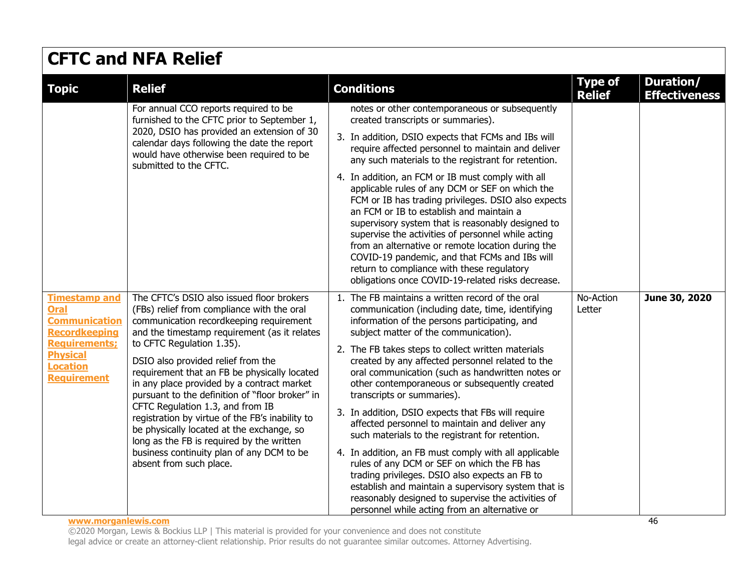| <b>CFTC and NFA Relief</b>                                                                                                                                       |                                                                                                                                                                                                                                                                                                                                                                                                                                                                                                                                                                                                                                                                 |                                                                                                                                                                                                                                                                                                                                                                                                                                                                                                                                                                                                                                                                                                                                                                                                                                                                                                                                |                                 |                                   |  |
|------------------------------------------------------------------------------------------------------------------------------------------------------------------|-----------------------------------------------------------------------------------------------------------------------------------------------------------------------------------------------------------------------------------------------------------------------------------------------------------------------------------------------------------------------------------------------------------------------------------------------------------------------------------------------------------------------------------------------------------------------------------------------------------------------------------------------------------------|--------------------------------------------------------------------------------------------------------------------------------------------------------------------------------------------------------------------------------------------------------------------------------------------------------------------------------------------------------------------------------------------------------------------------------------------------------------------------------------------------------------------------------------------------------------------------------------------------------------------------------------------------------------------------------------------------------------------------------------------------------------------------------------------------------------------------------------------------------------------------------------------------------------------------------|---------------------------------|-----------------------------------|--|
| <b>Topic</b>                                                                                                                                                     | <b>Relief</b>                                                                                                                                                                                                                                                                                                                                                                                                                                                                                                                                                                                                                                                   | <b>Conditions</b>                                                                                                                                                                                                                                                                                                                                                                                                                                                                                                                                                                                                                                                                                                                                                                                                                                                                                                              | <b>Type of</b><br><b>Relief</b> | Duration/<br><b>Effectiveness</b> |  |
|                                                                                                                                                                  | For annual CCO reports required to be<br>furnished to the CFTC prior to September 1,<br>2020, DSIO has provided an extension of 30<br>calendar days following the date the report<br>would have otherwise been required to be<br>submitted to the CFTC.                                                                                                                                                                                                                                                                                                                                                                                                         | notes or other contemporaneous or subsequently<br>created transcripts or summaries).<br>3. In addition, DSIO expects that FCMs and IBs will<br>require affected personnel to maintain and deliver<br>any such materials to the registrant for retention.<br>4. In addition, an FCM or IB must comply with all<br>applicable rules of any DCM or SEF on which the<br>FCM or IB has trading privileges. DSIO also expects<br>an FCM or IB to establish and maintain a<br>supervisory system that is reasonably designed to<br>supervise the activities of personnel while acting<br>from an alternative or remote location during the<br>COVID-19 pandemic, and that FCMs and IBs will<br>return to compliance with these regulatory<br>obligations once COVID-19-related risks decrease.                                                                                                                                        |                                 |                                   |  |
| <b>Timestamp and</b><br>Oral<br><b>Communication</b><br><b>Recordkeeping</b><br><b>Requirements:</b><br><b>Physical</b><br><b>Location</b><br><b>Requirement</b> | The CFTC's DSIO also issued floor brokers<br>(FBs) relief from compliance with the oral<br>communication recordkeeping requirement<br>and the timestamp requirement (as it relates<br>to CFTC Regulation 1.35).<br>DSIO also provided relief from the<br>requirement that an FB be physically located<br>in any place provided by a contract market<br>pursuant to the definition of "floor broker" in<br>CFTC Regulation 1.3, and from IB<br>registration by virtue of the FB's inability to<br>be physically located at the exchange, so<br>long as the FB is required by the written<br>business continuity plan of any DCM to be<br>absent from such place. | 1. The FB maintains a written record of the oral<br>communication (including date, time, identifying<br>information of the persons participating, and<br>subject matter of the communication).<br>2. The FB takes steps to collect written materials<br>created by any affected personnel related to the<br>oral communication (such as handwritten notes or<br>other contemporaneous or subsequently created<br>transcripts or summaries).<br>3. In addition, DSIO expects that FBs will require<br>affected personnel to maintain and deliver any<br>such materials to the registrant for retention.<br>4. In addition, an FB must comply with all applicable<br>rules of any DCM or SEF on which the FB has<br>trading privileges. DSIO also expects an FB to<br>establish and maintain a supervisory system that is<br>reasonably designed to supervise the activities of<br>personnel while acting from an alternative or | No-Action<br>Letter             | June 30, 2020                     |  |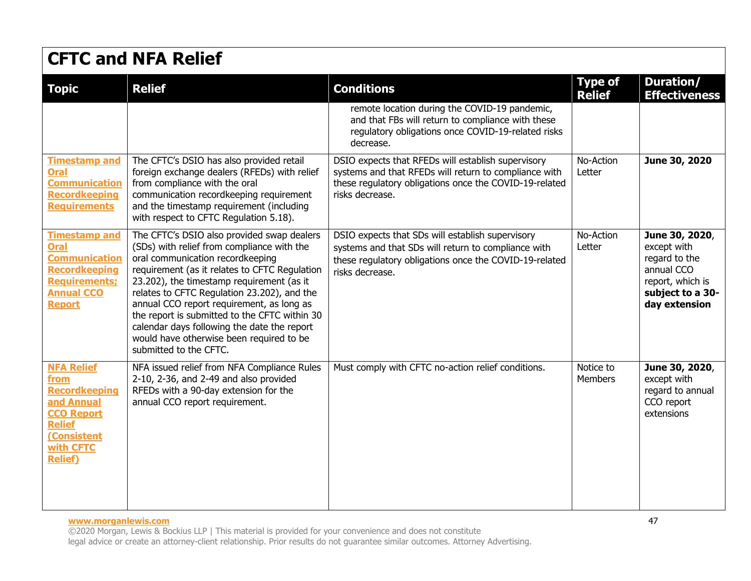| <b>Topic</b>                                                                                                                                        | <b>Relief</b>                                                                                                                                                                                                                                                                                                                                                                                                                                                                                | <b>Conditions</b>                                                                                                                                                                        | <b>Type of</b><br><b>Relief</b> | Duration/<br><b>Effectiveness</b>                                                                                     |
|-----------------------------------------------------------------------------------------------------------------------------------------------------|----------------------------------------------------------------------------------------------------------------------------------------------------------------------------------------------------------------------------------------------------------------------------------------------------------------------------------------------------------------------------------------------------------------------------------------------------------------------------------------------|------------------------------------------------------------------------------------------------------------------------------------------------------------------------------------------|---------------------------------|-----------------------------------------------------------------------------------------------------------------------|
|                                                                                                                                                     |                                                                                                                                                                                                                                                                                                                                                                                                                                                                                              | remote location during the COVID-19 pandemic,<br>and that FBs will return to compliance with these<br>regulatory obligations once COVID-19-related risks<br>decrease.                    |                                 |                                                                                                                       |
| <b>Timestamp and</b><br><b>Oral</b><br><b>Communication</b><br><b>Recordkeeping</b><br><b>Requirements</b>                                          | The CFTC's DSIO has also provided retail<br>foreign exchange dealers (RFEDs) with relief<br>from compliance with the oral<br>communication recordkeeping requirement<br>and the timestamp requirement (including<br>with respect to CFTC Regulation 5.18).                                                                                                                                                                                                                                   | DSIO expects that RFEDs will establish supervisory<br>systems and that RFEDs will return to compliance with<br>these regulatory obligations once the COVID-19-related<br>risks decrease. | No-Action<br>Letter             | June 30, 2020                                                                                                         |
| <b>Timestamp and</b><br><b>Oral</b><br><b>Communication</b><br><b>Recordkeeping</b><br><b>Requirements;</b><br><b>Annual CCO</b><br><b>Report</b>   | The CFTC's DSIO also provided swap dealers<br>(SDs) with relief from compliance with the<br>oral communication recordkeeping<br>requirement (as it relates to CFTC Requlation<br>23.202), the timestamp requirement (as it<br>relates to CFTC Regulation 23.202), and the<br>annual CCO report requirement, as long as<br>the report is submitted to the CFTC within 30<br>calendar days following the date the report<br>would have otherwise been required to be<br>submitted to the CFTC. | DSIO expects that SDs will establish supervisory<br>systems and that SDs will return to compliance with<br>these regulatory obligations once the COVID-19-related<br>risks decrease.     | No-Action<br>Letter             | June 30, 2020,<br>except with<br>regard to the<br>annual CCO<br>report, which is<br>subject to a 30-<br>day extension |
| <b>NFA Relief</b><br>from<br><b>Recordkeeping</b><br>and Annual<br><b>CCO Report</b><br><b>Relief</b><br>(Consistent<br>with CFTC<br><b>Relief)</b> | NFA issued relief from NFA Compliance Rules<br>2-10, 2-36, and 2-49 and also provided<br>RFEDs with a 90-day extension for the<br>annual CCO report requirement.                                                                                                                                                                                                                                                                                                                             | Must comply with CFTC no-action relief conditions.                                                                                                                                       | Notice to<br>Members            | June 30, 2020,<br>except with<br>regard to annual<br>CCO report<br>extensions                                         |

#### **www.morganlewis.com** 47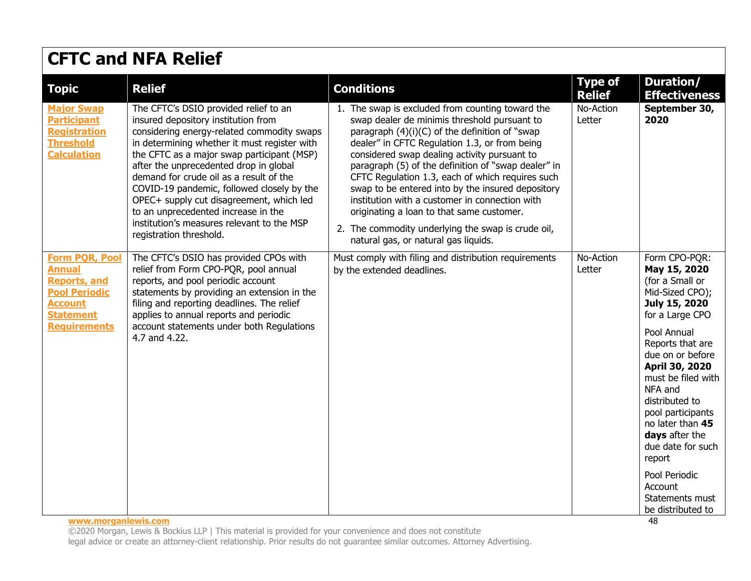| <b>Topic</b>                                                                                                                                                              | <b>Relief</b>                                                                                                                                                                                                                                                                                                                                                                                                                                                                                                           | <b>Conditions</b>                                                                                                                                                                                                                                                                                                                                                                                                                                                                                                                                                                                                | <b>Type of</b><br><b>Relief</b> | <b>Duration/</b><br><b>Effectiveness</b>                                                                                                                                                                                                                                                                                                                                                                |
|---------------------------------------------------------------------------------------------------------------------------------------------------------------------------|-------------------------------------------------------------------------------------------------------------------------------------------------------------------------------------------------------------------------------------------------------------------------------------------------------------------------------------------------------------------------------------------------------------------------------------------------------------------------------------------------------------------------|------------------------------------------------------------------------------------------------------------------------------------------------------------------------------------------------------------------------------------------------------------------------------------------------------------------------------------------------------------------------------------------------------------------------------------------------------------------------------------------------------------------------------------------------------------------------------------------------------------------|---------------------------------|---------------------------------------------------------------------------------------------------------------------------------------------------------------------------------------------------------------------------------------------------------------------------------------------------------------------------------------------------------------------------------------------------------|
| <b>Major Swap</b><br><b>Participant</b><br><b>Registration</b><br><b>Threshold</b><br><b>Calculation</b>                                                                  | The CFTC's DSIO provided relief to an<br>insured depository institution from<br>considering energy-related commodity swaps<br>in determining whether it must register with<br>the CFTC as a major swap participant (MSP)<br>after the unprecedented drop in global<br>demand for crude oil as a result of the<br>COVID-19 pandemic, followed closely by the<br>OPEC+ supply cut disagreement, which led<br>to an unprecedented increase in the<br>institution's measures relevant to the MSP<br>registration threshold. | 1. The swap is excluded from counting toward the<br>swap dealer de minimis threshold pursuant to<br>paragraph (4)(i)(C) of the definition of "swap<br>dealer" in CFTC Regulation 1.3, or from being<br>considered swap dealing activity pursuant to<br>paragraph (5) of the definition of "swap dealer" in<br>CFTC Regulation 1.3, each of which requires such<br>swap to be entered into by the insured depository<br>institution with a customer in connection with<br>originating a loan to that same customer.<br>2. The commodity underlying the swap is crude oil,<br>natural gas, or natural gas liquids. | No-Action<br>Letter             | September 30,<br>2020                                                                                                                                                                                                                                                                                                                                                                                   |
| <b>Form PQR, Pool</b><br><b>Annual</b><br><b>Reports, and</b><br><b>Pool Periodic</b><br><b>Account</b><br><b>Statement</b><br><b>Requirements</b><br>www.morganlewis.com | The CFTC's DSIO has provided CPOs with<br>relief from Form CPO-PQR, pool annual<br>reports, and pool periodic account<br>statements by providing an extension in the<br>filing and reporting deadlines. The relief<br>applies to annual reports and periodic<br>account statements under both Regulations<br>4.7 and 4.22.                                                                                                                                                                                              | Must comply with filing and distribution requirements<br>by the extended deadlines.                                                                                                                                                                                                                                                                                                                                                                                                                                                                                                                              | No-Action<br>Letter             | Form CPO-PQR:<br>May 15, 2020<br>(for a Small or<br>Mid-Sized CPO);<br>July 15, 2020<br>for a Large CPO<br>Pool Annual<br>Reports that are<br>due on or before<br>April 30, 2020<br>must be filed with<br>NFA and<br>distributed to<br>pool participants<br>no later than 45<br>days after the<br>due date for such<br>report<br>Pool Periodic<br>Account<br>Statements must<br>be distributed to<br>48 |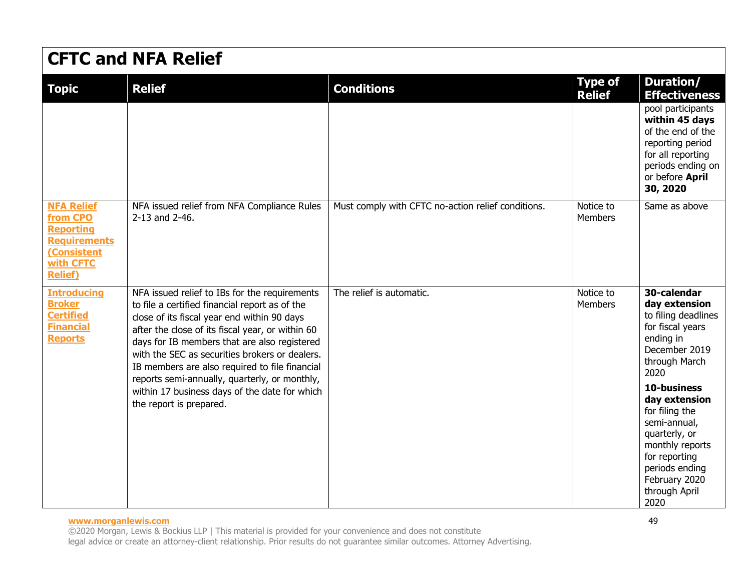| <b>Topic</b>                                                                                                           | <b>Relief</b>                                                                                                                                                                                                                                                                                                                                                                                                                                                                       | <b>Conditions</b>                                  | <b>Type of</b><br><b>Relief</b> | <b>Duration/</b><br><b>Effectiveness</b>                                                                                                                                                                                                                                                                          |
|------------------------------------------------------------------------------------------------------------------------|-------------------------------------------------------------------------------------------------------------------------------------------------------------------------------------------------------------------------------------------------------------------------------------------------------------------------------------------------------------------------------------------------------------------------------------------------------------------------------------|----------------------------------------------------|---------------------------------|-------------------------------------------------------------------------------------------------------------------------------------------------------------------------------------------------------------------------------------------------------------------------------------------------------------------|
|                                                                                                                        |                                                                                                                                                                                                                                                                                                                                                                                                                                                                                     |                                                    |                                 | pool participants<br>within 45 days<br>of the end of the<br>reporting period<br>for all reporting<br>periods ending on<br>or before April<br>30, 2020                                                                                                                                                             |
| <b>NFA Relief</b><br>from CPO<br><b>Reporting</b><br><b>Requirements</b><br>(Consistent<br>with CFTC<br><b>Relief)</b> | NFA issued relief from NFA Compliance Rules<br>2-13 and 2-46.                                                                                                                                                                                                                                                                                                                                                                                                                       | Must comply with CFTC no-action relief conditions. | Notice to<br><b>Members</b>     | Same as above                                                                                                                                                                                                                                                                                                     |
| <b>Introducing</b><br><b>Broker</b><br><b>Certified</b><br><b>Financial</b><br><b>Reports</b>                          | NFA issued relief to IBs for the requirements<br>to file a certified financial report as of the<br>close of its fiscal year end within 90 days<br>after the close of its fiscal year, or within 60<br>days for IB members that are also registered<br>with the SEC as securities brokers or dealers.<br>IB members are also required to file financial<br>reports semi-annually, quarterly, or monthly,<br>within 17 business days of the date for which<br>the report is prepared. | The relief is automatic.                           | Notice to<br>Members            | 30-calendar<br>day extension<br>to filing deadlines<br>for fiscal years<br>ending in<br>December 2019<br>through March<br>2020<br>10-business<br>day extension<br>for filing the<br>semi-annual,<br>quarterly, or<br>monthly reports<br>for reporting<br>periods ending<br>February 2020<br>through April<br>2020 |

#### **www.morganlewis.com** 49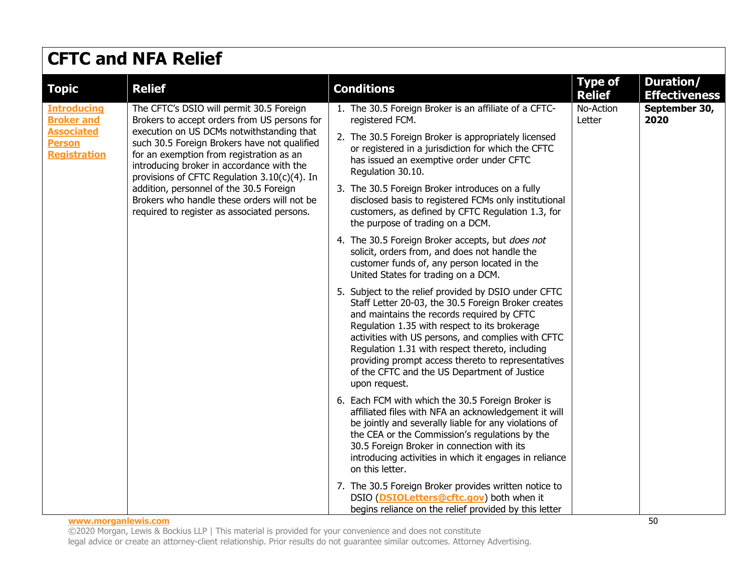| <b>CFTC and NFA Relief</b>                                                                                                  |                                                                                                                                                                                                                                                                                                                                                                                                                                                                         |                                                                                                                                                                                                                                                                                                                                                                                                                                                                                                                                                                                                                                                                                                                                                                                                                                                                                                                                                                                                                                                                                                                                                                                                                                                                                                                                                                                                                                                                                                                                                                                                                          |                                 |                                   |  |
|-----------------------------------------------------------------------------------------------------------------------------|-------------------------------------------------------------------------------------------------------------------------------------------------------------------------------------------------------------------------------------------------------------------------------------------------------------------------------------------------------------------------------------------------------------------------------------------------------------------------|--------------------------------------------------------------------------------------------------------------------------------------------------------------------------------------------------------------------------------------------------------------------------------------------------------------------------------------------------------------------------------------------------------------------------------------------------------------------------------------------------------------------------------------------------------------------------------------------------------------------------------------------------------------------------------------------------------------------------------------------------------------------------------------------------------------------------------------------------------------------------------------------------------------------------------------------------------------------------------------------------------------------------------------------------------------------------------------------------------------------------------------------------------------------------------------------------------------------------------------------------------------------------------------------------------------------------------------------------------------------------------------------------------------------------------------------------------------------------------------------------------------------------------------------------------------------------------------------------------------------------|---------------------------------|-----------------------------------|--|
| <b>Topic</b>                                                                                                                | <b>Relief</b>                                                                                                                                                                                                                                                                                                                                                                                                                                                           | <b>Conditions</b>                                                                                                                                                                                                                                                                                                                                                                                                                                                                                                                                                                                                                                                                                                                                                                                                                                                                                                                                                                                                                                                                                                                                                                                                                                                                                                                                                                                                                                                                                                                                                                                                        | <b>Type of</b><br><b>Relief</b> | Duration/<br><b>Effectiveness</b> |  |
| <b>Introducing</b><br><b>Broker and</b><br><b>Associated</b><br><b>Person</b><br><b>Registration</b><br>www.morganlewis.com | The CFTC's DSIO will permit 30.5 Foreign<br>Brokers to accept orders from US persons for<br>execution on US DCMs notwithstanding that<br>such 30.5 Foreign Brokers have not qualified<br>for an exemption from registration as an<br>introducing broker in accordance with the<br>provisions of CFTC Regulation 3.10(c)(4). In<br>addition, personnel of the 30.5 Foreign<br>Brokers who handle these orders will not be<br>required to register as associated persons. | 1. The 30.5 Foreign Broker is an affiliate of a CFTC-<br>registered FCM.<br>2. The 30.5 Foreign Broker is appropriately licensed<br>or registered in a jurisdiction for which the CFTC<br>has issued an exemptive order under CFTC<br>Regulation 30.10.<br>3. The 30.5 Foreign Broker introduces on a fully<br>disclosed basis to registered FCMs only institutional<br>customers, as defined by CFTC Regulation 1.3, for<br>the purpose of trading on a DCM.<br>4. The 30.5 Foreign Broker accepts, but does not<br>solicit, orders from, and does not handle the<br>customer funds of, any person located in the<br>United States for trading on a DCM.<br>5. Subject to the relief provided by DSIO under CFTC<br>Staff Letter 20-03, the 30.5 Foreign Broker creates<br>and maintains the records required by CFTC<br>Regulation 1.35 with respect to its brokerage<br>activities with US persons, and complies with CFTC<br>Regulation 1.31 with respect thereto, including<br>providing prompt access thereto to representatives<br>of the CFTC and the US Department of Justice<br>upon request.<br>6. Each FCM with which the 30.5 Foreign Broker is<br>affiliated files with NFA an acknowledgement it will<br>be jointly and severally liable for any violations of<br>the CEA or the Commission's regulations by the<br>30.5 Foreign Broker in connection with its<br>introducing activities in which it engages in reliance<br>on this letter.<br>7. The 30.5 Foreign Broker provides written notice to<br>DSIO (DSIOLetters@cftc.gov) both when it<br>begins reliance on the relief provided by this letter | No-Action<br>Letter             | September 30,<br>2020<br>50       |  |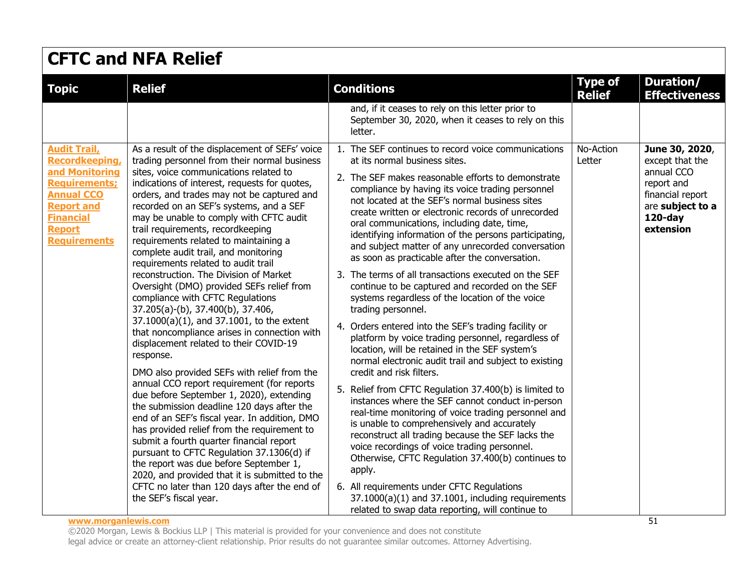| <b>Topic</b>                                                                                                                                                                   | <b>Relief</b>                                                                                                                                                                                                                                                                                                                                                                                                                                                                                                                                                                                                                                                                                                                                                                                                                                                                                                                                                                                                                                                                                                                                                                                                                                                                                                                                                              | <b>Conditions</b>                                                                                                                                                                                                                                                                                                                                                                                                                                                                                                                                                                                                                                                                                                                                                                                                                                                                                                                                                                                                                                                                                                                                                                                                                                                                                                                                                                                                                                                                                                 | <b>Type of</b>      | Duration/                                                                                                                        |
|--------------------------------------------------------------------------------------------------------------------------------------------------------------------------------|----------------------------------------------------------------------------------------------------------------------------------------------------------------------------------------------------------------------------------------------------------------------------------------------------------------------------------------------------------------------------------------------------------------------------------------------------------------------------------------------------------------------------------------------------------------------------------------------------------------------------------------------------------------------------------------------------------------------------------------------------------------------------------------------------------------------------------------------------------------------------------------------------------------------------------------------------------------------------------------------------------------------------------------------------------------------------------------------------------------------------------------------------------------------------------------------------------------------------------------------------------------------------------------------------------------------------------------------------------------------------|-------------------------------------------------------------------------------------------------------------------------------------------------------------------------------------------------------------------------------------------------------------------------------------------------------------------------------------------------------------------------------------------------------------------------------------------------------------------------------------------------------------------------------------------------------------------------------------------------------------------------------------------------------------------------------------------------------------------------------------------------------------------------------------------------------------------------------------------------------------------------------------------------------------------------------------------------------------------------------------------------------------------------------------------------------------------------------------------------------------------------------------------------------------------------------------------------------------------------------------------------------------------------------------------------------------------------------------------------------------------------------------------------------------------------------------------------------------------------------------------------------------------|---------------------|----------------------------------------------------------------------------------------------------------------------------------|
|                                                                                                                                                                                |                                                                                                                                                                                                                                                                                                                                                                                                                                                                                                                                                                                                                                                                                                                                                                                                                                                                                                                                                                                                                                                                                                                                                                                                                                                                                                                                                                            | and, if it ceases to rely on this letter prior to<br>September 30, 2020, when it ceases to rely on this<br>letter.                                                                                                                                                                                                                                                                                                                                                                                                                                                                                                                                                                                                                                                                                                                                                                                                                                                                                                                                                                                                                                                                                                                                                                                                                                                                                                                                                                                                | <b>Relief</b>       | <b>Effectiveness</b>                                                                                                             |
| <b>Audit Trail,</b><br>Recordkeeping,<br>and Monitoring<br><b>Requirements:</b><br><b>Annual CCO</b><br><b>Report and</b><br><b>Financial</b><br>Report<br><b>Requirements</b> | As a result of the displacement of SEFs' voice<br>trading personnel from their normal business<br>sites, voice communications related to<br>indications of interest, requests for quotes,<br>orders, and trades may not be captured and<br>recorded on an SEF's systems, and a SEF<br>may be unable to comply with CFTC audit<br>trail requirements, recordkeeping<br>requirements related to maintaining a<br>complete audit trail, and monitoring<br>requirements related to audit trail<br>reconstruction. The Division of Market<br>Oversight (DMO) provided SEFs relief from<br>compliance with CFTC Regulations<br>37.205(a)-(b), 37.400(b), 37.406,<br>$37.1000(a)(1)$ , and $37.1001$ , to the extent<br>that noncompliance arises in connection with<br>displacement related to their COVID-19<br>response.<br>DMO also provided SEFs with relief from the<br>annual CCO report requirement (for reports<br>due before September 1, 2020), extending<br>the submission deadline 120 days after the<br>end of an SEF's fiscal year. In addition, DMO<br>has provided relief from the requirement to<br>submit a fourth quarter financial report<br>pursuant to CFTC Regulation 37.1306(d) if<br>the report was due before September 1,<br>2020, and provided that it is submitted to the<br>CFTC no later than 120 days after the end of<br>the SEF's fiscal year. | 1. The SEF continues to record voice communications<br>at its normal business sites.<br>2. The SEF makes reasonable efforts to demonstrate<br>compliance by having its voice trading personnel<br>not located at the SEF's normal business sites<br>create written or electronic records of unrecorded<br>oral communications, including date, time,<br>identifying information of the persons participating,<br>and subject matter of any unrecorded conversation<br>as soon as practicable after the conversation.<br>3. The terms of all transactions executed on the SEF<br>continue to be captured and recorded on the SEF<br>systems regardless of the location of the voice<br>trading personnel.<br>4. Orders entered into the SEF's trading facility or<br>platform by voice trading personnel, regardless of<br>location, will be retained in the SEF system's<br>normal electronic audit trail and subject to existing<br>credit and risk filters.<br>5. Relief from CFTC Regulation 37.400(b) is limited to<br>instances where the SEF cannot conduct in-person<br>real-time monitoring of voice trading personnel and<br>is unable to comprehensively and accurately<br>reconstruct all trading because the SEF lacks the<br>voice recordings of voice trading personnel.<br>Otherwise, CFTC Regulation 37.400(b) continues to<br>apply.<br>6. All requirements under CFTC Regulations<br>$37.1000(a)(1)$ and $37.1001$ , including requirements<br>related to swap data reporting, will continue to | No-Action<br>Letter | June 30, 2020,<br>except that the<br>annual CCO<br>report and<br>financial report<br>are subject to a<br>$120$ -day<br>extension |

#### **www.morganlewis.com** 51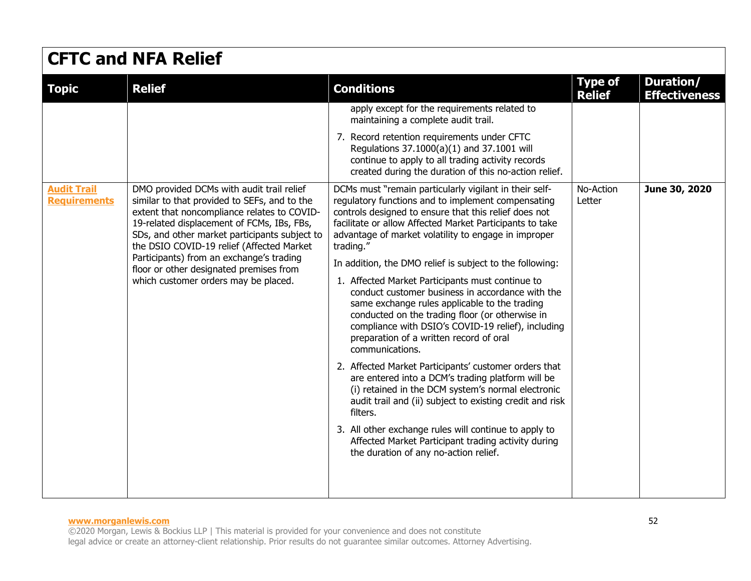| <b>Topic</b>                              | <b>Relief</b>                                                                                                                                                                                                                                                                                                                                                                                                       | <b>Conditions</b>                                                                                                                                                                                                                                                                                                                                                                                                                                                                                                                                                                                                                                                                                                                                                                                                | <b>Type of</b><br><b>Relief</b> | Duration/<br><b>Effectiveness</b> |
|-------------------------------------------|---------------------------------------------------------------------------------------------------------------------------------------------------------------------------------------------------------------------------------------------------------------------------------------------------------------------------------------------------------------------------------------------------------------------|------------------------------------------------------------------------------------------------------------------------------------------------------------------------------------------------------------------------------------------------------------------------------------------------------------------------------------------------------------------------------------------------------------------------------------------------------------------------------------------------------------------------------------------------------------------------------------------------------------------------------------------------------------------------------------------------------------------------------------------------------------------------------------------------------------------|---------------------------------|-----------------------------------|
|                                           |                                                                                                                                                                                                                                                                                                                                                                                                                     | apply except for the requirements related to<br>maintaining a complete audit trail.                                                                                                                                                                                                                                                                                                                                                                                                                                                                                                                                                                                                                                                                                                                              |                                 |                                   |
|                                           |                                                                                                                                                                                                                                                                                                                                                                                                                     | 7. Record retention requirements under CFTC<br>Regulations 37.1000(a)(1) and 37.1001 will<br>continue to apply to all trading activity records<br>created during the duration of this no-action relief.                                                                                                                                                                                                                                                                                                                                                                                                                                                                                                                                                                                                          |                                 |                                   |
| <b>Audit Trail</b><br><b>Requirements</b> | DMO provided DCMs with audit trail relief<br>similar to that provided to SEFs, and to the<br>extent that noncompliance relates to COVID-<br>19-related displacement of FCMs, IBs, FBs,<br>SDs, and other market participants subject to<br>the DSIO COVID-19 relief (Affected Market<br>Participants) from an exchange's trading<br>floor or other designated premises from<br>which customer orders may be placed. | DCMs must "remain particularly vigilant in their self-<br>regulatory functions and to implement compensating<br>controls designed to ensure that this relief does not<br>facilitate or allow Affected Market Participants to take<br>advantage of market volatility to engage in improper<br>trading."<br>In addition, the DMO relief is subject to the following:<br>1. Affected Market Participants must continue to<br>conduct customer business in accordance with the<br>same exchange rules applicable to the trading<br>conducted on the trading floor (or otherwise in<br>compliance with DSIO's COVID-19 relief), including<br>preparation of a written record of oral<br>communications.<br>2. Affected Market Participants' customer orders that<br>are entered into a DCM's trading platform will be | No-Action<br>Letter             | June 30, 2020                     |
|                                           |                                                                                                                                                                                                                                                                                                                                                                                                                     | (i) retained in the DCM system's normal electronic<br>audit trail and (ii) subject to existing credit and risk<br>filters.                                                                                                                                                                                                                                                                                                                                                                                                                                                                                                                                                                                                                                                                                       |                                 |                                   |
|                                           |                                                                                                                                                                                                                                                                                                                                                                                                                     | 3. All other exchange rules will continue to apply to<br>Affected Market Participant trading activity during<br>the duration of any no-action relief.                                                                                                                                                                                                                                                                                                                                                                                                                                                                                                                                                                                                                                                            |                                 |                                   |
|                                           |                                                                                                                                                                                                                                                                                                                                                                                                                     |                                                                                                                                                                                                                                                                                                                                                                                                                                                                                                                                                                                                                                                                                                                                                                                                                  |                                 |                                   |

#### **www.morganlewis.com** 52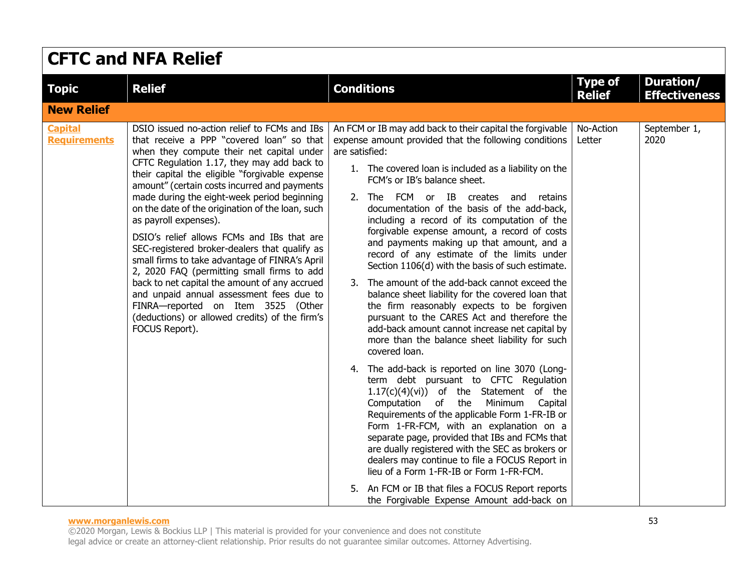| <b>CFTC and NFA Relief</b>            |                                                                                                                                                                                                                                                                                                                                                                                                                                                                                                                                                                                                                                                                                                                                                                                                                          |                                                                                                                                                                                                                                                                                                                                                                                                                                                                                                                                                                                                                                                                                                                                                                                                                                                                                                                                                                                                                                                                                                                                                                                                                                                                                                                                                                                                                                                                                      |                                 |                                   |  |
|---------------------------------------|--------------------------------------------------------------------------------------------------------------------------------------------------------------------------------------------------------------------------------------------------------------------------------------------------------------------------------------------------------------------------------------------------------------------------------------------------------------------------------------------------------------------------------------------------------------------------------------------------------------------------------------------------------------------------------------------------------------------------------------------------------------------------------------------------------------------------|--------------------------------------------------------------------------------------------------------------------------------------------------------------------------------------------------------------------------------------------------------------------------------------------------------------------------------------------------------------------------------------------------------------------------------------------------------------------------------------------------------------------------------------------------------------------------------------------------------------------------------------------------------------------------------------------------------------------------------------------------------------------------------------------------------------------------------------------------------------------------------------------------------------------------------------------------------------------------------------------------------------------------------------------------------------------------------------------------------------------------------------------------------------------------------------------------------------------------------------------------------------------------------------------------------------------------------------------------------------------------------------------------------------------------------------------------------------------------------------|---------------------------------|-----------------------------------|--|
| <b>Topic</b>                          | <b>Relief</b>                                                                                                                                                                                                                                                                                                                                                                                                                                                                                                                                                                                                                                                                                                                                                                                                            | <b>Conditions</b>                                                                                                                                                                                                                                                                                                                                                                                                                                                                                                                                                                                                                                                                                                                                                                                                                                                                                                                                                                                                                                                                                                                                                                                                                                                                                                                                                                                                                                                                    | <b>Type of</b><br><b>Relief</b> | Duration/<br><b>Effectiveness</b> |  |
| <b>New Relief</b>                     |                                                                                                                                                                                                                                                                                                                                                                                                                                                                                                                                                                                                                                                                                                                                                                                                                          |                                                                                                                                                                                                                                                                                                                                                                                                                                                                                                                                                                                                                                                                                                                                                                                                                                                                                                                                                                                                                                                                                                                                                                                                                                                                                                                                                                                                                                                                                      |                                 |                                   |  |
| <b>Capital</b><br><b>Requirements</b> | DSIO issued no-action relief to FCMs and IBs<br>that receive a PPP "covered loan" so that<br>when they compute their net capital under<br>CFTC Regulation 1.17, they may add back to<br>their capital the eligible "forgivable expense<br>amount" (certain costs incurred and payments<br>made during the eight-week period beginning<br>on the date of the origination of the loan, such<br>as payroll expenses).<br>DSIO's relief allows FCMs and IBs that are<br>SEC-registered broker-dealers that qualify as<br>small firms to take advantage of FINRA's April<br>2, 2020 FAQ (permitting small firms to add<br>back to net capital the amount of any accrued<br>and unpaid annual assessment fees due to<br>FINRA-reported on Item 3525 (Other<br>(deductions) or allowed credits) of the firm's<br>FOCUS Report). | An FCM or IB may add back to their capital the forgivable<br>expense amount provided that the following conditions<br>are satisfied:<br>1. The covered loan is included as a liability on the<br>FCM's or IB's balance sheet.<br>2. The FCM or IB creates and retains<br>documentation of the basis of the add-back,<br>including a record of its computation of the<br>forgivable expense amount, a record of costs<br>and payments making up that amount, and a<br>record of any estimate of the limits under<br>Section 1106(d) with the basis of such estimate.<br>3. The amount of the add-back cannot exceed the<br>balance sheet liability for the covered loan that<br>the firm reasonably expects to be forgiven<br>pursuant to the CARES Act and therefore the<br>add-back amount cannot increase net capital by<br>more than the balance sheet liability for such<br>covered loan.<br>4. The add-back is reported on line 3070 (Long-<br>term debt pursuant to CFTC Regulation<br>$1.17(c)(4)(vi)$ of the Statement of the<br>Computation of the<br>Minimum<br>Capital<br>Requirements of the applicable Form 1-FR-IB or<br>Form 1-FR-FCM, with an explanation on a<br>separate page, provided that IBs and FCMs that<br>are dually registered with the SEC as brokers or<br>dealers may continue to file a FOCUS Report in<br>lieu of a Form 1-FR-IB or Form 1-FR-FCM.<br>5. An FCM or IB that files a FOCUS Report reports<br>the Forgivable Expense Amount add-back on | No-Action<br>Letter             | September 1,<br>2020              |  |